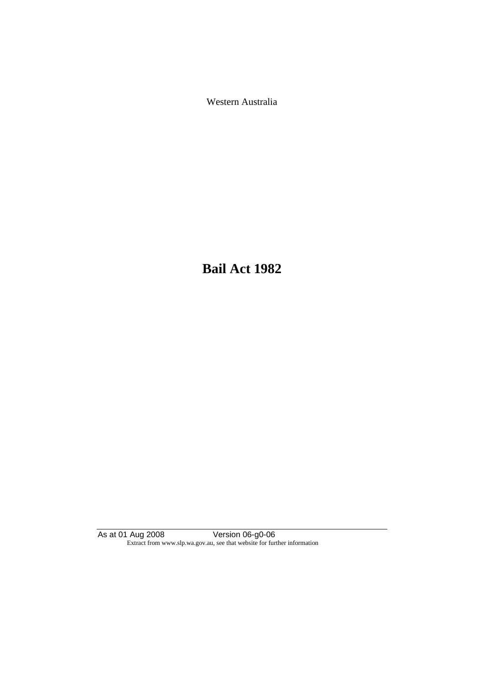Western Australia

**Bail Act 1982**

As at 01 Aug 2008 Version 06-g0-06 Extract from www.slp.wa.gov.au, see that website for further information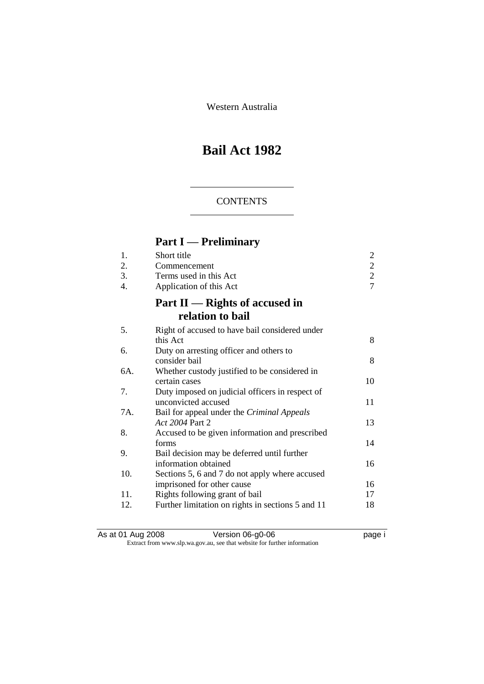Western Australia

# **Bail Act 1982**

### **CONTENTS**

# **Part I — Preliminary**

| 1.<br>2.<br>3.<br>$\overline{4}$ . | Short title<br>Commencement<br>Terms used in this Act<br>Application of this Act | $\overline{c}$<br>$\frac{2}{7}$ |
|------------------------------------|----------------------------------------------------------------------------------|---------------------------------|
|                                    | Part II — Rights of accused in<br>relation to bail                               |                                 |
| 5.                                 | Right of accused to have bail considered under<br>this Act                       | 8                               |
| 6.                                 | Duty on arresting officer and others to<br>consider bail                         | 8                               |
| 6A.                                | Whether custody justified to be considered in<br>certain cases                   | 10                              |
| 7.                                 | Duty imposed on judicial officers in respect of<br>unconvicted accused           | 11                              |
| 7A.                                | Bail for appeal under the <i>Criminal Appeals</i><br>Act 2004 Part 2             | 13                              |
| 8.                                 | Accused to be given information and prescribed<br>forms                          | 14                              |
| 9.                                 | Bail decision may be deferred until further<br>information obtained              | 16                              |
| 10.                                | Sections 5, 6 and 7 do not apply where accused<br>imprisoned for other cause     | 16                              |
| 11.                                | Rights following grant of bail                                                   | 17                              |
| 12.                                | Further limitation on rights in sections 5 and 11                                | 18                              |

As at 01 Aug 2008 **Version 06-g0-06 page i** Extract from www.slp.wa.gov.au, see that website for further information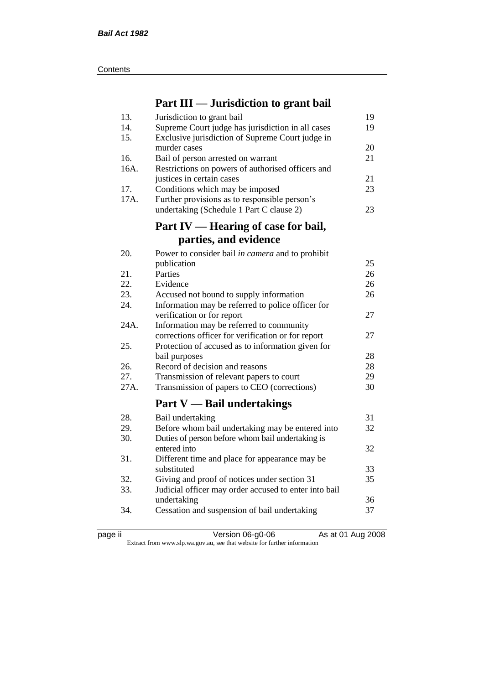| Contents |
|----------|
|----------|

## **Part III — Jurisdiction to grant bail**

| 13.  | Jurisdiction to grant bail                            | 19 |
|------|-------------------------------------------------------|----|
| 14.  | Supreme Court judge has jurisdiction in all cases     | 19 |
| 15.  | Exclusive jurisdiction of Supreme Court judge in      |    |
|      | murder cases                                          | 20 |
| 16.  | Bail of person arrested on warrant                    | 21 |
| 16A. | Restrictions on powers of authorised officers and     |    |
|      | justices in certain cases                             | 21 |
| 17.  | Conditions which may be imposed                       | 23 |
| 17A. | Further provisions as to responsible person's         |    |
|      | undertaking (Schedule 1 Part C clause 2)              | 23 |
|      |                                                       |    |
|      | Part IV — Hearing of case for bail,                   |    |
|      | parties, and evidence                                 |    |
| 20.  | Power to consider bail in camera and to prohibit      |    |
|      | publication                                           | 25 |
| 21.  | Parties                                               | 26 |
| 22.  | Evidence                                              | 26 |
| 23.  | Accused not bound to supply information               | 26 |
| 24.  | Information may be referred to police officer for     |    |
|      | verification or for report                            | 27 |
| 24A. | Information may be referred to community              |    |
|      | corrections officer for verification or for report    | 27 |
| 25.  | Protection of accused as to information given for     |    |
|      | bail purposes                                         | 28 |
| 26.  | Record of decision and reasons                        | 28 |
| 27.  | Transmission of relevant papers to court              | 29 |
| 27A. | Transmission of papers to CEO (corrections)           | 30 |
|      | <b>Part V</b> — Bail undertakings                     |    |
| 28.  | Bail undertaking                                      | 31 |
| 29.  | Before whom bail undertaking may be entered into      | 32 |
| 30.  | Duties of person before whom bail undertaking is      |    |
|      | entered into                                          | 32 |
| 31.  | Different time and place for appearance may be        |    |
|      | substituted                                           | 33 |
| 32.  | Giving and proof of notices under section 31          | 35 |
| 33.  | Judicial officer may order accused to enter into bail |    |
|      | undertaking                                           | 36 |
| 34.  | Cessation and suspension of bail undertaking          | 37 |
|      |                                                       |    |

page ii Version 06-g0-06 As at 01 Aug 2008

Extract from www.slp.wa.gov.au, see that website for further information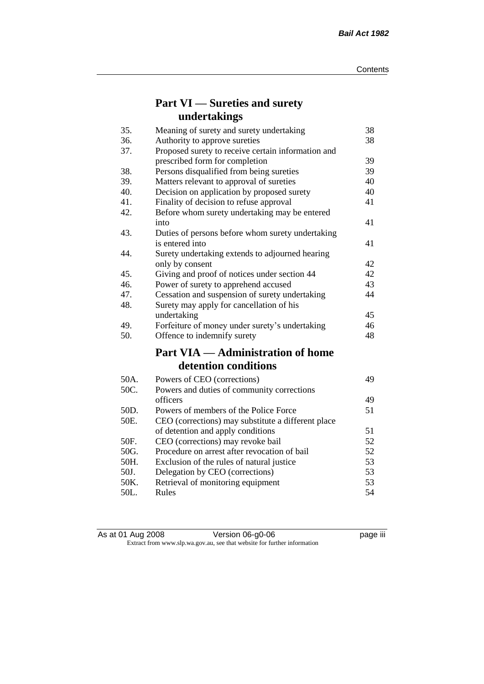# **Part VI — Sureties and surety undertakings**

| 35.  | Meaning of surety and surety undertaking           | 38 |
|------|----------------------------------------------------|----|
| 36.  | Authority to approve sureties                      | 38 |
| 37.  | Proposed surety to receive certain information and |    |
|      | prescribed form for completion                     | 39 |
| 38.  | Persons disqualified from being sureties           | 39 |
| 39.  | Matters relevant to approval of sureties           | 40 |
| 40.  | Decision on application by proposed surety         | 40 |
| 41.  | Finality of decision to refuse approval            | 41 |
| 42.  | Before whom surety undertaking may be entered      |    |
|      | into                                               | 41 |
| 43.  | Duties of persons before whom surety undertaking   |    |
|      | is entered into                                    | 41 |
| 44.  | Surety undertaking extends to adjourned hearing    |    |
|      | only by consent                                    | 42 |
| 45.  | Giving and proof of notices under section 44       | 42 |
| 46.  | Power of surety to apprehend accused               | 43 |
| 47.  | Cessation and suspension of surety undertaking     | 44 |
| 48.  | Surety may apply for cancellation of his           |    |
|      | undertaking                                        | 45 |
| 49.  | Forfeiture of money under surety's undertaking     | 46 |
| 50.  | Offence to indemnify surety                        | 48 |
|      | <b>Part VIA — Administration of home</b>           |    |
|      | detention conditions                               |    |
| 50A. | Powers of CEO (corrections)                        | 49 |
| 50C. | Powers and duties of community corrections         |    |
|      | officers                                           | 49 |
| 50D. | Powers of members of the Police Force              | 51 |
| 50E. | CEO (corrections) may substitute a different place |    |
|      | of detention and apply conditions                  | 51 |
| 50F. | CEO (corrections) may revoke bail                  | 52 |
| 50G. | Procedure on arrest after revocation of bail       | 52 |
| 50H. | Exclusion of the rules of natural justice          | 53 |
| 50J. | Delegation by CEO (corrections)                    | 53 |
| 50K. | Retrieval of monitoring equipment                  | 53 |
| 50L. | Rules                                              | 54 |

| As at 01 Aug 2008 | Version 06-g0-06                                                         | <br>page III |
|-------------------|--------------------------------------------------------------------------|--------------|
|                   | Extract from www.slp.wa.gov.au, see that website for further information |              |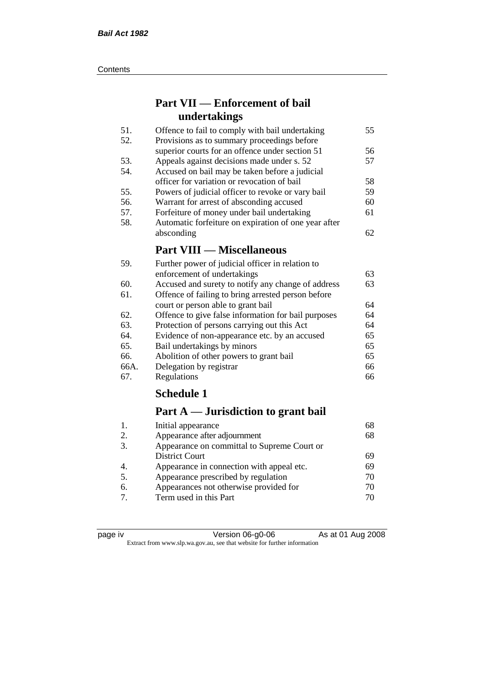#### **Contents**

## **Part VII — Enforcement of bail undertakings**

| Offence to fail to comply with bail undertaking      | 55 |
|------------------------------------------------------|----|
| Provisions as to summary proceedings before          |    |
| superior courts for an offence under section 51      | 56 |
| Appeals against decisions made under s. 52           | 57 |
| Accused on bail may be taken before a judicial       |    |
| officer for variation or revocation of bail          | 58 |
| Powers of judicial officer to revoke or vary bail    | 59 |
| Warrant for arrest of absconding accused             | 60 |
| Forfeiture of money under bail undertaking           | 61 |
| Automatic forfeiture on expiration of one year after |    |
| absconding                                           | 62 |
| <b>Part VIII — Miscellaneous</b>                     |    |
|                                                      |    |

| 59.  | Further power of judicial officer in relation to    |    |
|------|-----------------------------------------------------|----|
|      | enforcement of undertakings                         | 63 |
| 60.  | Accused and surety to notify any change of address  | 63 |
| 61.  | Offence of failing to bring arrested person before  |    |
|      | court or person able to grant bail                  | 64 |
| 62.  | Offence to give false information for bail purposes | 64 |
| 63.  | Protection of persons carrying out this Act         | 64 |
| 64.  | Evidence of non-appearance etc. by an accused       | 65 |
| 65.  | Bail undertakings by minors                         | 65 |
| 66.  | Abolition of other powers to grant bail             | 65 |
| 66A. | Delegation by registrar                             | 66 |
| 67.  | Regulations                                         | 66 |

## **Schedule 1**

## **Part A — Jurisdiction to grant bail**

| 68 |
|----|
|    |
|    |
| 69 |
| 69 |
| 70 |
| 70 |
| 70 |
|    |

| page | ιv |
|------|----|
|      |    |
|      |    |

Version 06-g0-06 As at 01 Aug 2008 Extract from www.slp.wa.gov.au, see that website for further information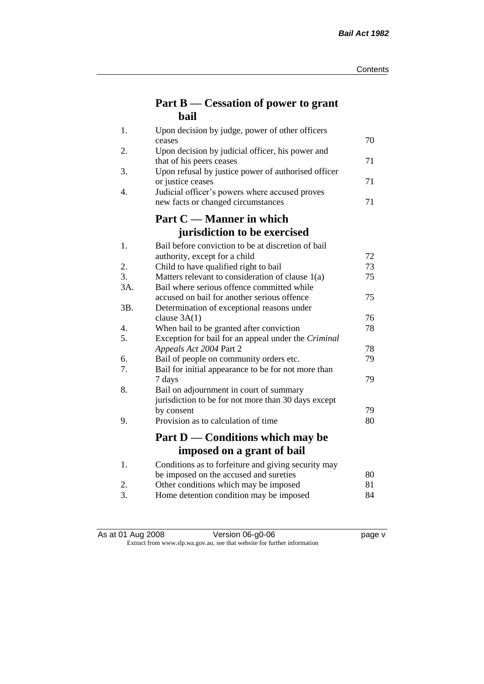## **Part B — Cessation of power to grant bail**

| 1.  | Upon decision by judge, power of other officers                                 |    |
|-----|---------------------------------------------------------------------------------|----|
|     | ceases                                                                          | 70 |
| 2.  | Upon decision by judicial officer, his power and                                | 71 |
| 3.  | that of his peers ceases<br>Upon refusal by justice power of authorised officer |    |
|     | or justice ceases                                                               | 71 |
| 4.  | Judicial officer's powers where accused proves                                  |    |
|     | new facts or changed circumstances                                              | 71 |
|     | Part C — Manner in which                                                        |    |
|     | jurisdiction to be exercised                                                    |    |
| 1.  | Bail before conviction to be at discretion of bail                              |    |
|     | authority, except for a child                                                   | 72 |
| 2.  | Child to have qualified right to bail                                           | 73 |
| 3.  | Matters relevant to consideration of clause 1(a)                                | 75 |
| 3A. | Bail where serious offence committed while                                      |    |
|     | accused on bail for another serious offence                                     | 75 |
| 3B. | Determination of exceptional reasons under                                      |    |
|     | clause $3A(1)$                                                                  | 76 |
| 4.  | When bail to be granted after conviction                                        | 78 |
| 5.  | Exception for bail for an appeal under the Criminal                             |    |
|     | Appeals Act 2004 Part 2                                                         | 78 |
| 6.  | Bail of people on community orders etc.                                         | 79 |
| 7.  | Bail for initial appearance to be for not more than<br>7 days                   | 79 |
| 8.  | Bail on adjournment in court of summary                                         |    |
|     | jurisdiction to be for not more than 30 days except                             |    |
|     | by consent                                                                      | 79 |
| 9.  | Provision as to calculation of time                                             | 80 |
|     |                                                                                 |    |
|     | Part D — Conditions which may be                                                |    |
|     | imposed on a grant of bail                                                      |    |
| 1.  | Conditions as to forfeiture and giving security may                             |    |
|     | be imposed on the accused and sureties                                          | 80 |
| 2.  | Other conditions which may be imposed                                           | 81 |
| 3.  | Home detention condition may be imposed                                         | 84 |

| As at 01 Aug 2008 | Version 06-g0-06 | page v |
|-------------------|------------------|--------|

#### Extract from www.slp.wa.gov.au, see that website for further information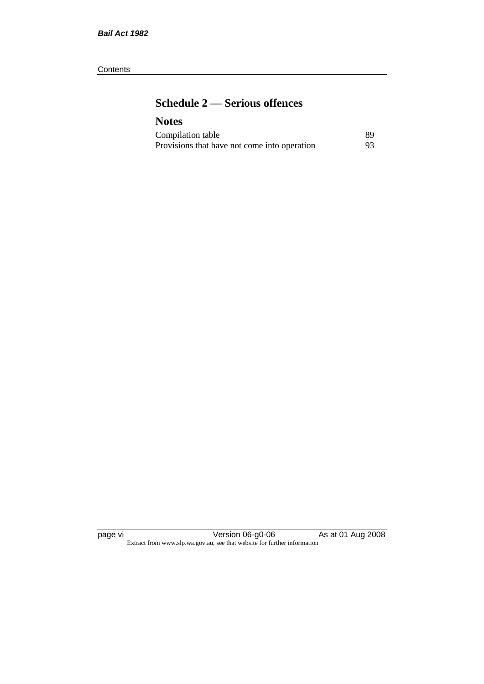#### **Contents**

# **Schedule 2 — Serious offences**

### **Notes**

| Compilation table                            | 89 |
|----------------------------------------------|----|
| Provisions that have not come into operation | 93 |

page vi Version 06-g0-06 As at 01 Aug 2008 Extract from www.slp.wa.gov.au, see that website for further information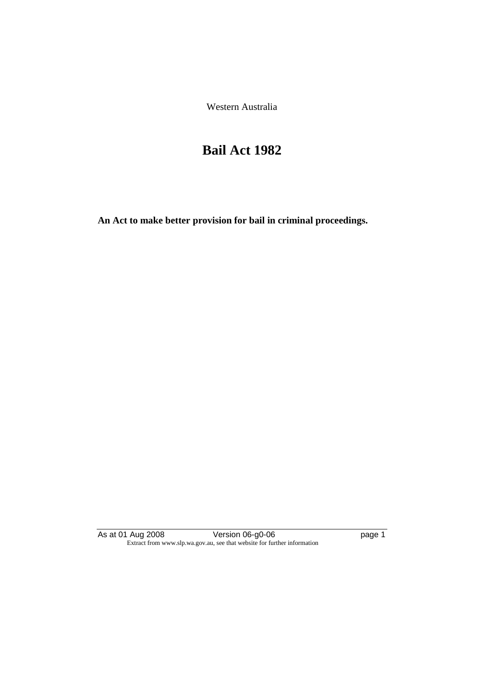Western Australia

# **Bail Act 1982**

**An Act to make better provision for bail in criminal proceedings.** 

As at 01 Aug 2008 **Version 06-g0-06 page 1** Extract from www.slp.wa.gov.au, see that website for further information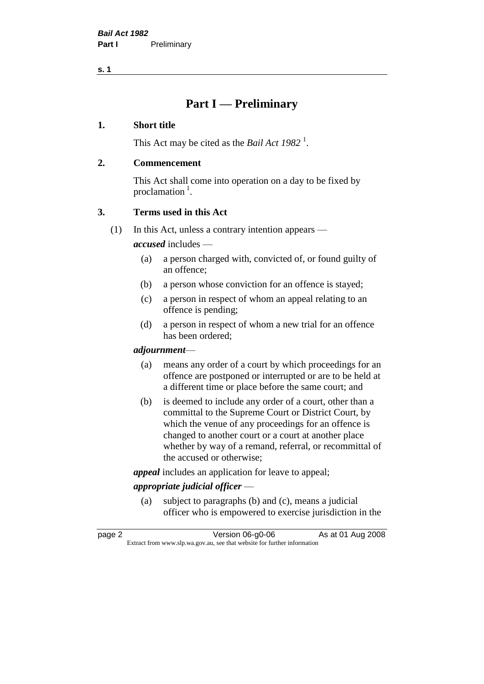# **Part I — Preliminary**

#### **1. Short title**

This Act may be cited as the *Bail Act* 1982<sup>1</sup>.

#### **2. Commencement**

This Act shall come into operation on a day to be fixed by proclamation  $<sup>1</sup>$ .</sup>

### **3. Terms used in this Act**

(1) In this Act, unless a contrary intention appears —

*accused* includes —

- (a) a person charged with, convicted of, or found guilty of an offence;
- (b) a person whose conviction for an offence is stayed;
- (c) a person in respect of whom an appeal relating to an offence is pending;
- (d) a person in respect of whom a new trial for an offence has been ordered;

#### *adjournment*—

- (a) means any order of a court by which proceedings for an offence are postponed or interrupted or are to be held at a different time or place before the same court; and
- (b) is deemed to include any order of a court, other than a committal to the Supreme Court or District Court, by which the venue of any proceedings for an offence is changed to another court or a court at another place whether by way of a remand, referral, or recommittal of the accused or otherwise;

*appeal* includes an application for leave to appeal;

### *appropriate judicial officer* —

(a) subject to paragraphs (b) and (c), means a judicial officer who is empowered to exercise jurisdiction in the

page 2 Version 06-g0-06 As at 01 Aug 2008 Extract from www.slp.wa.gov.au, see that website for further information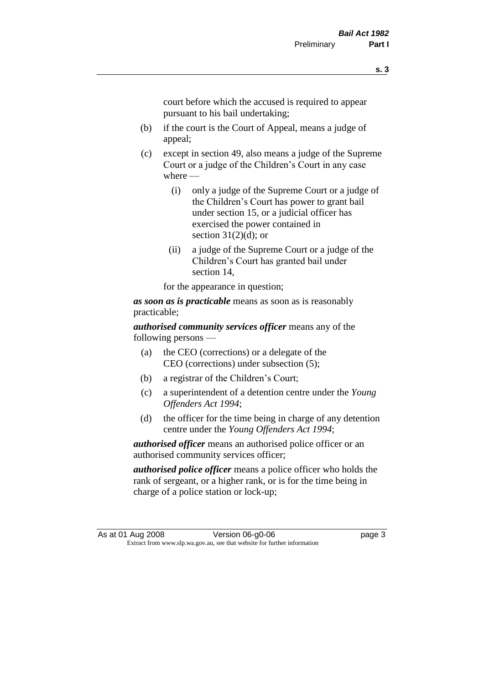court before which the accused is required to appear pursuant to his bail undertaking;

- (b) if the court is the Court of Appeal, means a judge of appeal;
- (c) except in section 49, also means a judge of the Supreme Court or a judge of the Children's Court in any case where —
	- (i) only a judge of the Supreme Court or a judge of the Children's Court has power to grant bail under section 15, or a judicial officer has exercised the power contained in section  $31(2)(d)$ ; or
	- (ii) a judge of the Supreme Court or a judge of the Children's Court has granted bail under section 14,

for the appearance in question;

*as soon as is practicable* means as soon as is reasonably practicable;

*authorised community services officer* means any of the following persons —

- (a) the CEO (corrections) or a delegate of the CEO (corrections) under subsection (5);
- (b) a registrar of the Children's Court;
- (c) a superintendent of a detention centre under the *Young Offenders Act 1994*;
- (d) the officer for the time being in charge of any detention centre under the *Young Offenders Act 1994*;

*authorised officer* means an authorised police officer or an authorised community services officer;

*authorised police officer* means a police officer who holds the rank of sergeant, or a higher rank, or is for the time being in charge of a police station or lock-up;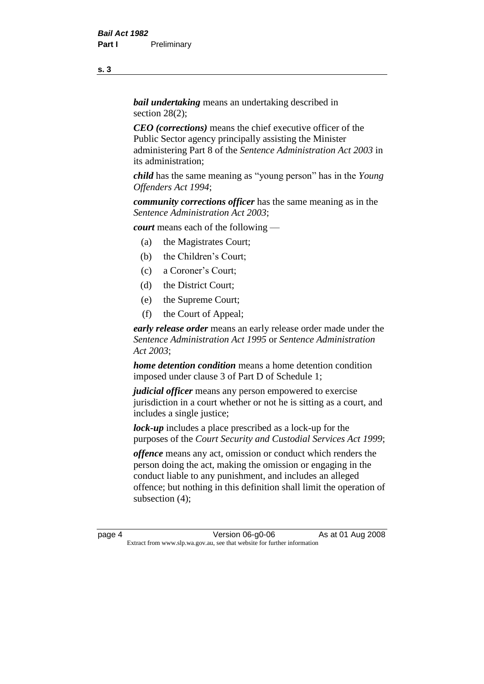*bail undertaking* means an undertaking described in section 28(2):

*CEO (corrections)* means the chief executive officer of the Public Sector agency principally assisting the Minister administering Part 8 of the *Sentence Administration Act 2003* in its administration;

*child* has the same meaning as "young person" has in the *Young Offenders Act 1994*;

*community corrections officer* has the same meaning as in the *Sentence Administration Act 2003*;

*court* means each of the following —

- (a) the Magistrates Court;
- (b) the Children's Court;
- (c) a Coroner's Court;
- (d) the District Court;
- (e) the Supreme Court;
- (f) the Court of Appeal;

*early release order* means an early release order made under the *Sentence Administration Act 1995* or *Sentence Administration Act 2003*;

*home detention condition* means a home detention condition imposed under clause 3 of Part D of Schedule 1;

*judicial officer* means any person empowered to exercise jurisdiction in a court whether or not he is sitting as a court, and includes a single justice;

*lock-up* includes a place prescribed as a lock-up for the purposes of the *Court Security and Custodial Services Act 1999*;

*offence* means any act, omission or conduct which renders the person doing the act, making the omission or engaging in the conduct liable to any punishment, and includes an alleged offence; but nothing in this definition shall limit the operation of subsection (4);

page 4 Version 06-g0-06 As at 01 Aug 2008 Extract from www.slp.wa.gov.au, see that website for further information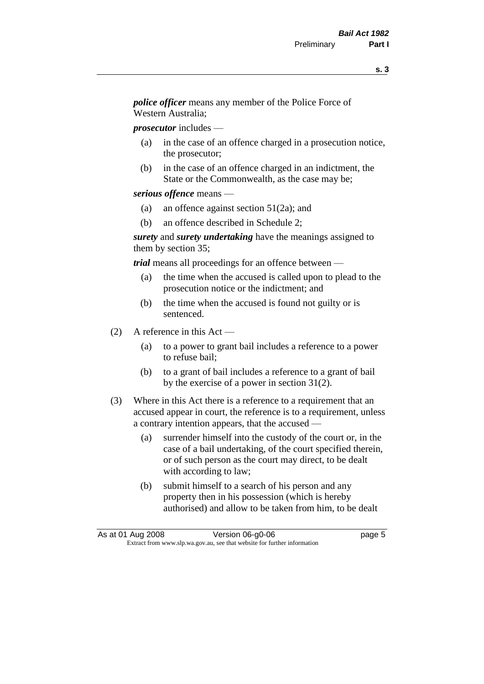*police officer* means any member of the Police Force of Western Australia;

*prosecutor* includes —

- (a) in the case of an offence charged in a prosecution notice, the prosecutor;
- (b) in the case of an offence charged in an indictment, the State or the Commonwealth, as the case may be;

#### *serious offence* means —

- (a) an offence against section 51(2a); and
- (b) an offence described in Schedule 2;

*surety* and *surety undertaking* have the meanings assigned to them by section 35;

*trial* means all proceedings for an offence between —

- (a) the time when the accused is called upon to plead to the prosecution notice or the indictment; and
- (b) the time when the accused is found not guilty or is sentenced.
- (2) A reference in this Act
	- (a) to a power to grant bail includes a reference to a power to refuse bail;
	- (b) to a grant of bail includes a reference to a grant of bail by the exercise of a power in section 31(2).
- (3) Where in this Act there is a reference to a requirement that an accused appear in court, the reference is to a requirement, unless a contrary intention appears, that the accused —
	- (a) surrender himself into the custody of the court or, in the case of a bail undertaking, of the court specified therein, or of such person as the court may direct, to be dealt with according to law;
	- (b) submit himself to a search of his person and any property then in his possession (which is hereby authorised) and allow to be taken from him, to be dealt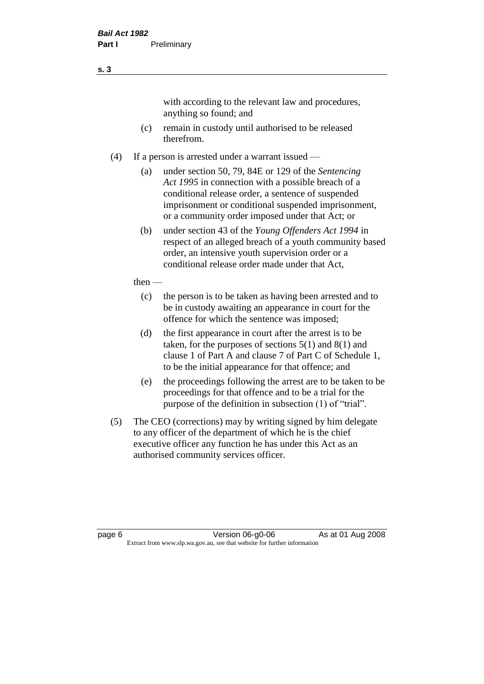with according to the relevant law and procedures, anything so found; and

- (c) remain in custody until authorised to be released therefrom.
- (4) If a person is arrested under a warrant issued
	- (a) under section 50, 79, 84E or 129 of the *Sentencing Act 1995* in connection with a possible breach of a conditional release order, a sentence of suspended imprisonment or conditional suspended imprisonment, or a community order imposed under that Act; or
	- (b) under section 43 of the *Young Offenders Act 1994* in respect of an alleged breach of a youth community based order, an intensive youth supervision order or a conditional release order made under that Act,
	- then
		- (c) the person is to be taken as having been arrested and to be in custody awaiting an appearance in court for the offence for which the sentence was imposed;
		- (d) the first appearance in court after the arrest is to be taken, for the purposes of sections  $5(1)$  and  $8(1)$  and clause 1 of Part A and clause 7 of Part C of Schedule 1, to be the initial appearance for that offence; and
		- (e) the proceedings following the arrest are to be taken to be proceedings for that offence and to be a trial for the purpose of the definition in subsection (1) of "trial".
- (5) The CEO (corrections) may by writing signed by him delegate to any officer of the department of which he is the chief executive officer any function he has under this Act as an authorised community services officer.

page 6 **Version 06-g0-06** As at 01 Aug 2008 Extract from www.slp.wa.gov.au, see that website for further information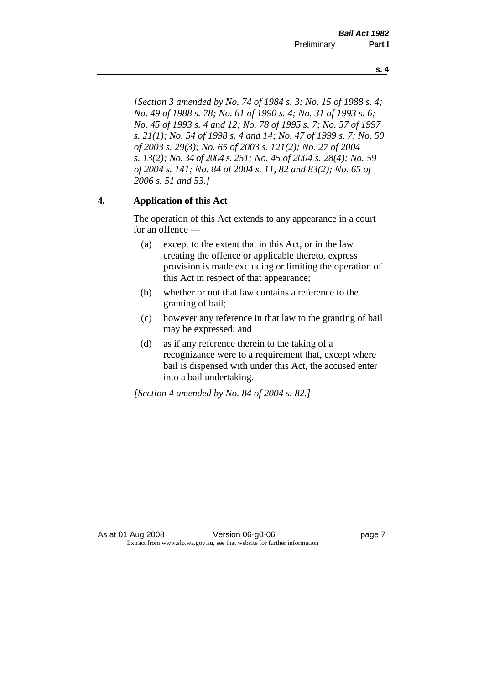*[Section 3 amended by No. 74 of 1984 s. 3; No. 15 of 1988 s. 4; No. 49 of 1988 s. 78; No. 61 of 1990 s. 4; No. 31 of 1993 s. 6; No. 45 of 1993 s. 4 and 12; No. 78 of 1995 s. 7; No. 57 of 1997 s. 21(1); No. 54 of 1998 s. 4 and 14; No. 47 of 1999 s. 7; No. 50* 

*of 2003 s. 29(3); No. 65 of 2003 s. 121(2); No. 27 of 2004 s. 13(2); No. 34 of 2004 s. 251; No. 45 of 2004 s. 28(4); No. 59 of 2004 s. 141; No. 84 of 2004 s. 11, 82 and 83(2); No. 65 of 2006 s. 51 and 53.]* 

#### **4. Application of this Act**

The operation of this Act extends to any appearance in a court for an offence —

- (a) except to the extent that in this Act, or in the law creating the offence or applicable thereto, express provision is made excluding or limiting the operation of this Act in respect of that appearance;
- (b) whether or not that law contains a reference to the granting of bail;
- (c) however any reference in that law to the granting of bail may be expressed; and
- (d) as if any reference therein to the taking of a recognizance were to a requirement that, except where bail is dispensed with under this Act, the accused enter into a bail undertaking.

*[Section 4 amended by No. 84 of 2004 s. 82.]*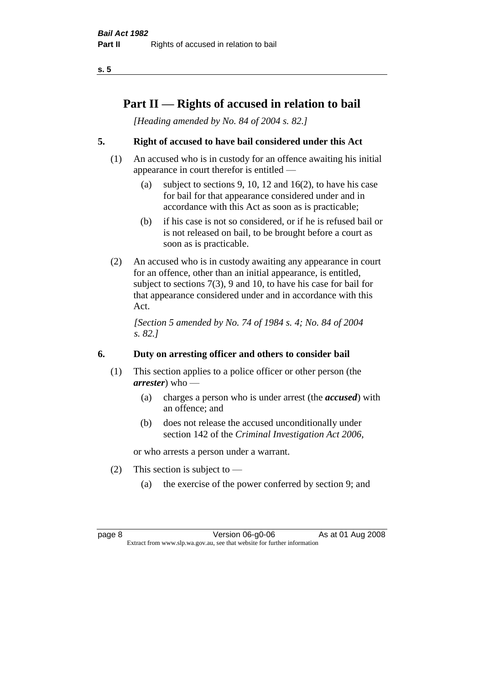# **Part II — Rights of accused in relation to bail**

*[Heading amended by No. 84 of 2004 s. 82.]* 

### **5. Right of accused to have bail considered under this Act**

- (1) An accused who is in custody for an offence awaiting his initial appearance in court therefor is entitled —
	- (a) subject to sections 9, 10, 12 and 16(2), to have his case for bail for that appearance considered under and in accordance with this Act as soon as is practicable;
	- (b) if his case is not so considered, or if he is refused bail or is not released on bail, to be brought before a court as soon as is practicable.
- (2) An accused who is in custody awaiting any appearance in court for an offence, other than an initial appearance, is entitled, subject to sections 7(3), 9 and 10, to have his case for bail for that appearance considered under and in accordance with this Act.

*[Section 5 amended by No. 74 of 1984 s. 4; No. 84 of 2004 s. 82.]* 

### **6. Duty on arresting officer and others to consider bail**

- (1) This section applies to a police officer or other person (the *arrester*) who —
	- (a) charges a person who is under arrest (the *accused*) with an offence; and
	- (b) does not release the accused unconditionally under section 142 of the *Criminal Investigation Act 2006*,

or who arrests a person under a warrant.

- (2) This section is subject to  $-$ 
	- (a) the exercise of the power conferred by section 9; and

page 8 Version 06-g0-06 As at 01 Aug 2008 Extract from www.slp.wa.gov.au, see that website for further information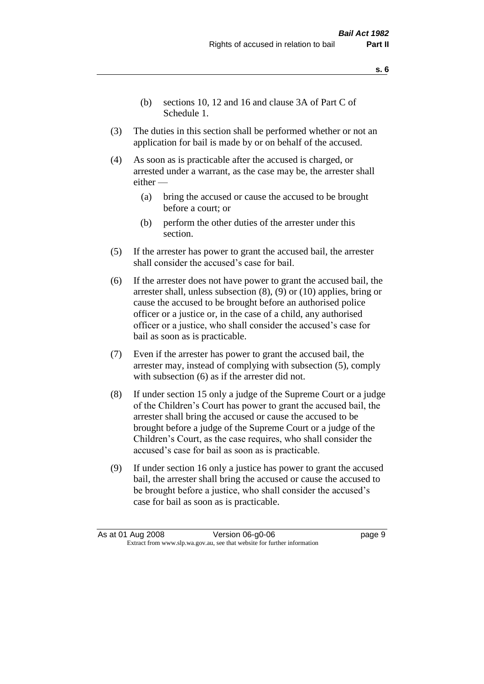- (b) sections 10, 12 and 16 and clause 3A of Part C of Schedule 1.
- (3) The duties in this section shall be performed whether or not an application for bail is made by or on behalf of the accused.
- (4) As soon as is practicable after the accused is charged, or arrested under a warrant, as the case may be, the arrester shall either —
	- (a) bring the accused or cause the accused to be brought before a court; or
	- (b) perform the other duties of the arrester under this section.
- (5) If the arrester has power to grant the accused bail, the arrester shall consider the accused's case for bail.
- (6) If the arrester does not have power to grant the accused bail, the arrester shall, unless subsection (8), (9) or (10) applies, bring or cause the accused to be brought before an authorised police officer or a justice or, in the case of a child, any authorised officer or a justice, who shall consider the accused's case for bail as soon as is practicable.
- (7) Even if the arrester has power to grant the accused bail, the arrester may, instead of complying with subsection (5), comply with subsection  $(6)$  as if the arrester did not.
- (8) If under section 15 only a judge of the Supreme Court or a judge of the Children's Court has power to grant the accused bail, the arrester shall bring the accused or cause the accused to be brought before a judge of the Supreme Court or a judge of the Children's Court, as the case requires, who shall consider the accused's case for bail as soon as is practicable.
- (9) If under section 16 only a justice has power to grant the accused bail, the arrester shall bring the accused or cause the accused to be brought before a justice, who shall consider the accused's case for bail as soon as is practicable.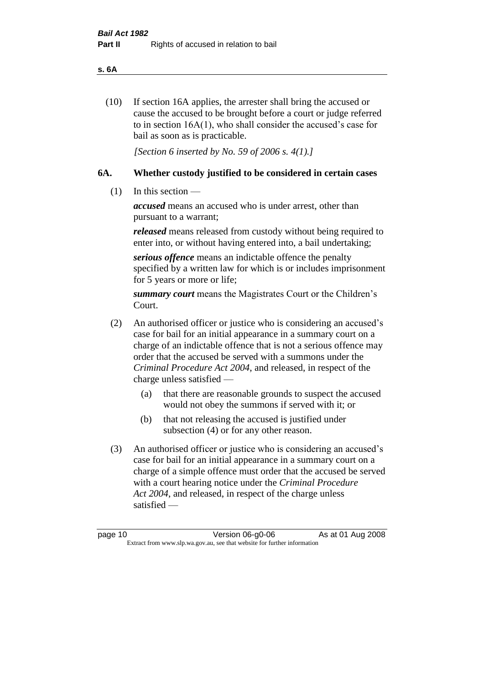#### **s. 6A**

(10) If section 16A applies, the arrester shall bring the accused or cause the accused to be brought before a court or judge referred to in section 16A(1), who shall consider the accused's case for bail as soon as is practicable.

*[Section 6 inserted by No. 59 of 2006 s. 4(1).]* 

#### **6A. Whether custody justified to be considered in certain cases**

(1) In this section —

*accused* means an accused who is under arrest, other than pursuant to a warrant;

*released* means released from custody without being required to enter into, or without having entered into, a bail undertaking;

*serious offence* means an indictable offence the penalty specified by a written law for which is or includes imprisonment for 5 years or more or life;

*summary court* means the Magistrates Court or the Children's Court.

- (2) An authorised officer or justice who is considering an accused's case for bail for an initial appearance in a summary court on a charge of an indictable offence that is not a serious offence may order that the accused be served with a summons under the *Criminal Procedure Act 2004*, and released, in respect of the charge unless satisfied —
	- (a) that there are reasonable grounds to suspect the accused would not obey the summons if served with it; or
	- (b) that not releasing the accused is justified under subsection (4) or for any other reason.
- (3) An authorised officer or justice who is considering an accused's case for bail for an initial appearance in a summary court on a charge of a simple offence must order that the accused be served with a court hearing notice under the *Criminal Procedure Act 2004*, and released, in respect of the charge unless satisfied —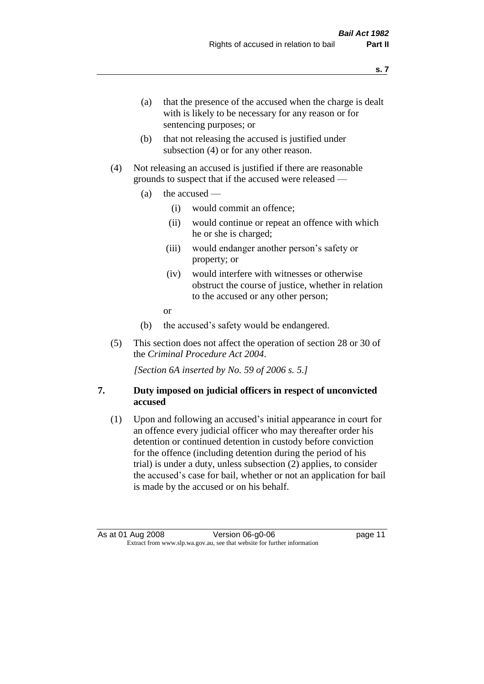- (a) that the presence of the accused when the charge is dealt with is likely to be necessary for any reason or for sentencing purposes; or
- (b) that not releasing the accused is justified under subsection (4) or for any other reason.
- (4) Not releasing an accused is justified if there are reasonable grounds to suspect that if the accused were released —
	- (a) the accused
		- (i) would commit an offence;
		- (ii) would continue or repeat an offence with which he or she is charged;
		- (iii) would endanger another person's safety or property; or
		- (iv) would interfere with witnesses or otherwise obstruct the course of justice, whether in relation to the accused or any other person;
		- or
	- (b) the accused's safety would be endangered.
- (5) This section does not affect the operation of section 28 or 30 of the *Criminal Procedure Act 2004*.

*[Section 6A inserted by No. 59 of 2006 s. 5.]* 

#### **7. Duty imposed on judicial officers in respect of unconvicted accused**

(1) Upon and following an accused's initial appearance in court for an offence every judicial officer who may thereafter order his detention or continued detention in custody before conviction for the offence (including detention during the period of his trial) is under a duty, unless subsection (2) applies, to consider the accused's case for bail, whether or not an application for bail is made by the accused or on his behalf.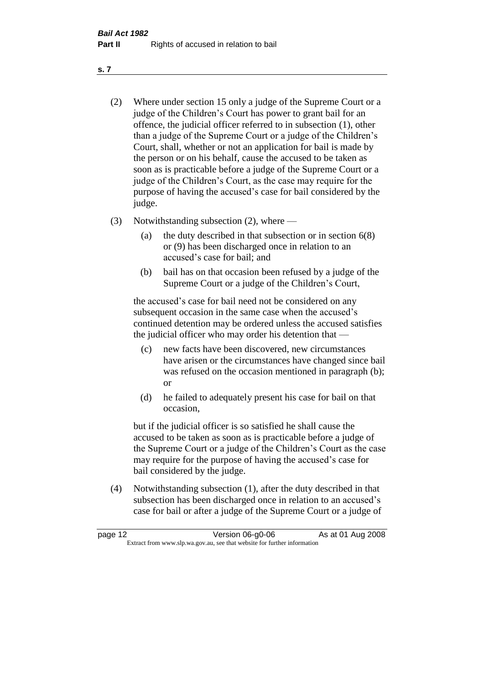- (2) Where under section 15 only a judge of the Supreme Court or a judge of the Children's Court has power to grant bail for an offence, the judicial officer referred to in subsection (1), other than a judge of the Supreme Court or a judge of the Children's Court, shall, whether or not an application for bail is made by the person or on his behalf, cause the accused to be taken as soon as is practicable before a judge of the Supreme Court or a judge of the Children's Court, as the case may require for the purpose of having the accused's case for bail considered by the judge.
- (3) Notwithstanding subsection (2), where
	- (a) the duty described in that subsection or in section 6(8) or (9) has been discharged once in relation to an accused's case for bail; and
	- (b) bail has on that occasion been refused by a judge of the Supreme Court or a judge of the Children's Court,

the accused's case for bail need not be considered on any subsequent occasion in the same case when the accused's continued detention may be ordered unless the accused satisfies the judicial officer who may order his detention that —

- (c) new facts have been discovered, new circumstances have arisen or the circumstances have changed since bail was refused on the occasion mentioned in paragraph (b); or
- (d) he failed to adequately present his case for bail on that occasion,

but if the judicial officer is so satisfied he shall cause the accused to be taken as soon as is practicable before a judge of the Supreme Court or a judge of the Children's Court as the case may require for the purpose of having the accused's case for bail considered by the judge.

(4) Notwithstanding subsection (1), after the duty described in that subsection has been discharged once in relation to an accused's case for bail or after a judge of the Supreme Court or a judge of

| page 12 | Version 06-g0-06                                                         | As at 01 Aug 2008 |
|---------|--------------------------------------------------------------------------|-------------------|
|         | Extract from www.slp.wa.gov.au, see that website for further information |                   |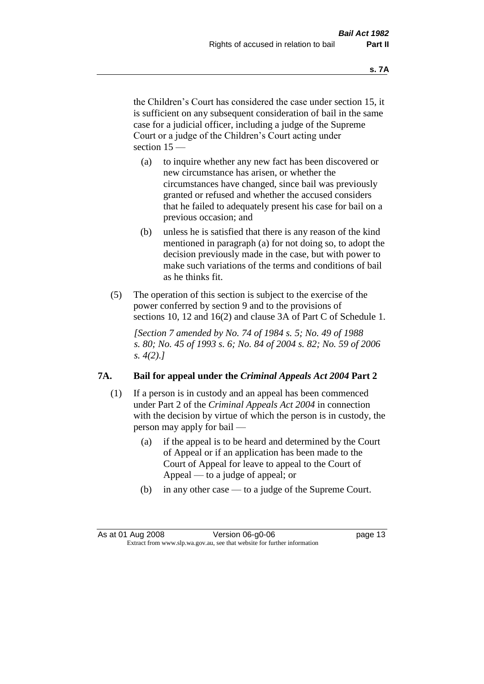the Children's Court has considered the case under section 15, it is sufficient on any subsequent consideration of bail in the same case for a judicial officer, including a judge of the Supreme Court or a judge of the Children's Court acting under section 15 —

- (a) to inquire whether any new fact has been discovered or new circumstance has arisen, or whether the circumstances have changed, since bail was previously granted or refused and whether the accused considers that he failed to adequately present his case for bail on a previous occasion; and
- (b) unless he is satisfied that there is any reason of the kind mentioned in paragraph (a) for not doing so, to adopt the decision previously made in the case, but with power to make such variations of the terms and conditions of bail as he thinks fit.
- (5) The operation of this section is subject to the exercise of the power conferred by section 9 and to the provisions of sections 10, 12 and 16(2) and clause 3A of Part C of Schedule 1.

*[Section 7 amended by No. 74 of 1984 s. 5; No. 49 of 1988 s. 80; No. 45 of 1993 s. 6; No. 84 of 2004 s. 82; No. 59 of 2006 s. 4(2).]* 

#### **7A. Bail for appeal under the** *Criminal Appeals Act 2004* **Part 2**

- (1) If a person is in custody and an appeal has been commenced under Part 2 of the *Criminal Appeals Act 2004* in connection with the decision by virtue of which the person is in custody, the person may apply for bail —
	- (a) if the appeal is to be heard and determined by the Court of Appeal or if an application has been made to the Court of Appeal for leave to appeal to the Court of Appeal — to a judge of appeal; or
	- (b) in any other case to a judge of the Supreme Court.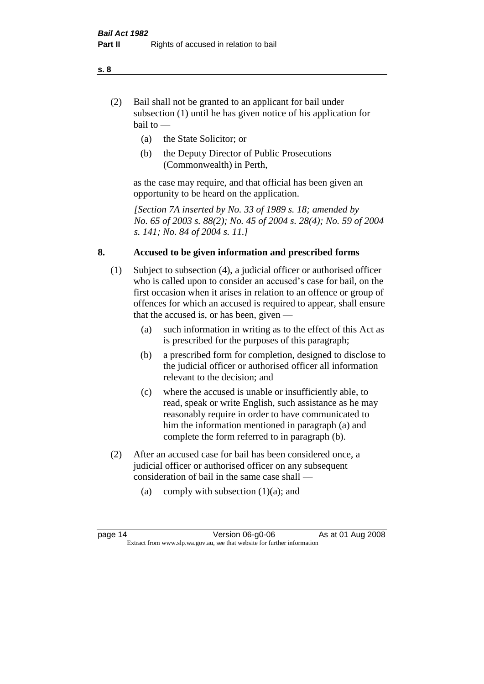- (2) Bail shall not be granted to an applicant for bail under subsection (1) until he has given notice of his application for bail to —
	- (a) the State Solicitor; or
	- (b) the Deputy Director of Public Prosecutions (Commonwealth) in Perth,

as the case may require, and that official has been given an opportunity to be heard on the application.

*[Section 7A inserted by No. 33 of 1989 s. 18; amended by No. 65 of 2003 s. 88(2); No. 45 of 2004 s. 28(4); No. 59 of 2004 s. 141; No. 84 of 2004 s. 11.]* 

#### **8. Accused to be given information and prescribed forms**

- (1) Subject to subsection (4), a judicial officer or authorised officer who is called upon to consider an accused's case for bail, on the first occasion when it arises in relation to an offence or group of offences for which an accused is required to appear, shall ensure that the accused is, or has been, given —
	- (a) such information in writing as to the effect of this Act as is prescribed for the purposes of this paragraph;
	- (b) a prescribed form for completion, designed to disclose to the judicial officer or authorised officer all information relevant to the decision; and
	- (c) where the accused is unable or insufficiently able, to read, speak or write English, such assistance as he may reasonably require in order to have communicated to him the information mentioned in paragraph (a) and complete the form referred to in paragraph (b).
- (2) After an accused case for bail has been considered once, a judicial officer or authorised officer on any subsequent consideration of bail in the same case shall —
	- (a) comply with subsection  $(1)(a)$ ; and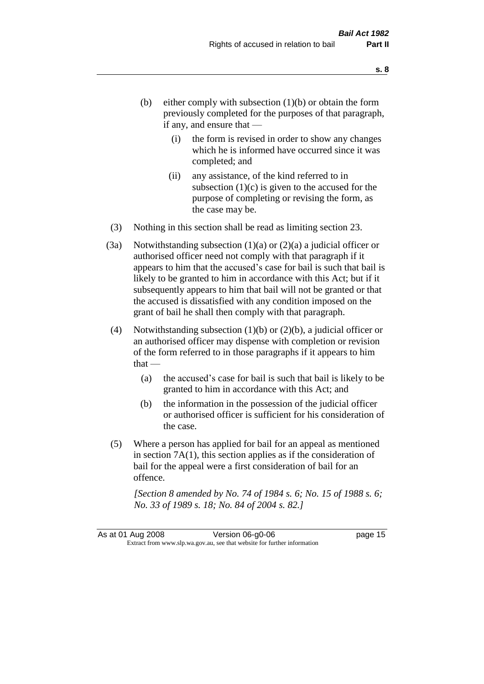- (b) either comply with subsection  $(1)(b)$  or obtain the form previously completed for the purposes of that paragraph, if any, and ensure that —
	- (i) the form is revised in order to show any changes which he is informed have occurred since it was completed; and
	- (ii) any assistance, of the kind referred to in subsection  $(1)(c)$  is given to the accused for the purpose of completing or revising the form, as the case may be.
- (3) Nothing in this section shall be read as limiting section 23.
- (3a) Notwithstanding subsection  $(1)(a)$  or  $(2)(a)$  a judicial officer or authorised officer need not comply with that paragraph if it appears to him that the accused's case for bail is such that bail is likely to be granted to him in accordance with this Act; but if it subsequently appears to him that bail will not be granted or that the accused is dissatisfied with any condition imposed on the grant of bail he shall then comply with that paragraph.
- (4) Notwithstanding subsection  $(1)(b)$  or  $(2)(b)$ , a judicial officer or an authorised officer may dispense with completion or revision of the form referred to in those paragraphs if it appears to him  $that -$ 
	- (a) the accused's case for bail is such that bail is likely to be granted to him in accordance with this Act; and
	- (b) the information in the possession of the judicial officer or authorised officer is sufficient for his consideration of the case.
- (5) Where a person has applied for bail for an appeal as mentioned in section 7A(1), this section applies as if the consideration of bail for the appeal were a first consideration of bail for an offence.

*[Section 8 amended by No. 74 of 1984 s. 6; No. 15 of 1988 s. 6; No. 33 of 1989 s. 18; No. 84 of 2004 s. 82.]*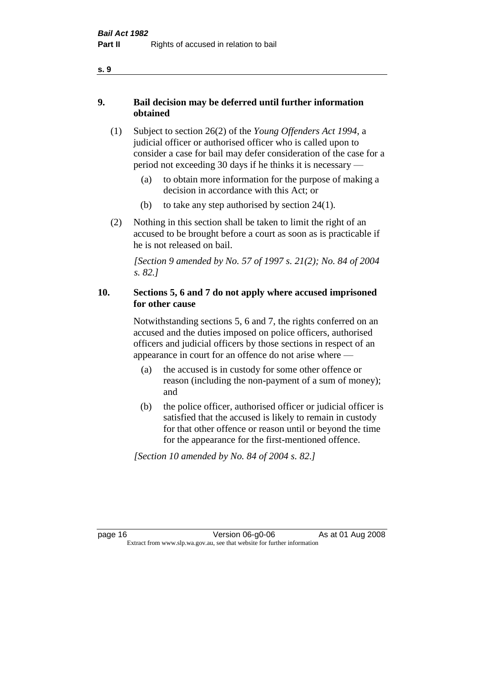- **9. Bail decision may be deferred until further information obtained** 
	- (1) Subject to section 26(2) of the *Young Offenders Act 1994*, a judicial officer or authorised officer who is called upon to consider a case for bail may defer consideration of the case for a period not exceeding 30 days if he thinks it is necessary —
		- (a) to obtain more information for the purpose of making a decision in accordance with this Act; or
		- (b) to take any step authorised by section  $24(1)$ .
	- (2) Nothing in this section shall be taken to limit the right of an accused to be brought before a court as soon as is practicable if he is not released on bail.

*[Section 9 amended by No. 57 of 1997 s. 21(2); No. 84 of 2004 s. 82.]*

### **10. Sections 5, 6 and 7 do not apply where accused imprisoned for other cause**

Notwithstanding sections 5, 6 and 7, the rights conferred on an accused and the duties imposed on police officers, authorised officers and judicial officers by those sections in respect of an appearance in court for an offence do not arise where —

- (a) the accused is in custody for some other offence or reason (including the non-payment of a sum of money); and
- (b) the police officer, authorised officer or judicial officer is satisfied that the accused is likely to remain in custody for that other offence or reason until or beyond the time for the appearance for the first-mentioned offence.

*[Section 10 amended by No. 84 of 2004 s. 82.]*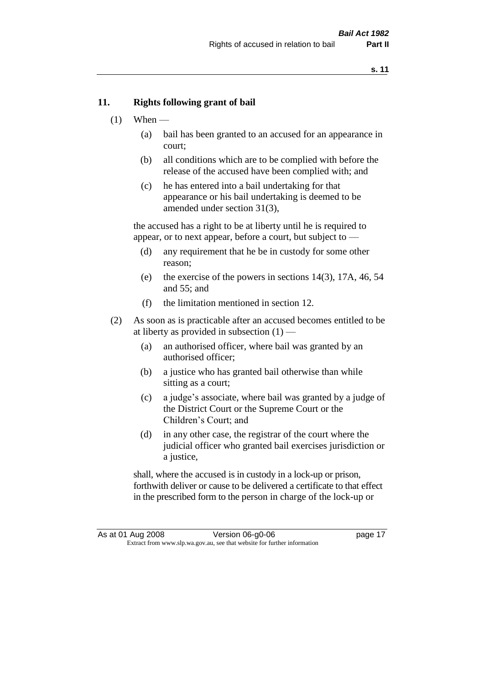#### **11. Rights following grant of bail**

- $(1)$  When
	- (a) bail has been granted to an accused for an appearance in court;
	- (b) all conditions which are to be complied with before the release of the accused have been complied with; and
	- (c) he has entered into a bail undertaking for that appearance or his bail undertaking is deemed to be amended under section 31(3),

the accused has a right to be at liberty until he is required to appear, or to next appear, before a court, but subject to —

- (d) any requirement that he be in custody for some other reason;
- (e) the exercise of the powers in sections 14(3), 17A, 46, 54 and 55; and
- (f) the limitation mentioned in section 12.
- (2) As soon as is practicable after an accused becomes entitled to be at liberty as provided in subsection  $(1)$  —
	- (a) an authorised officer, where bail was granted by an authorised officer;
	- (b) a justice who has granted bail otherwise than while sitting as a court;
	- (c) a judge's associate, where bail was granted by a judge of the District Court or the Supreme Court or the Children's Court; and
	- (d) in any other case, the registrar of the court where the judicial officer who granted bail exercises jurisdiction or a justice,

shall, where the accused is in custody in a lock-up or prison, forthwith deliver or cause to be delivered a certificate to that effect in the prescribed form to the person in charge of the lock-up or

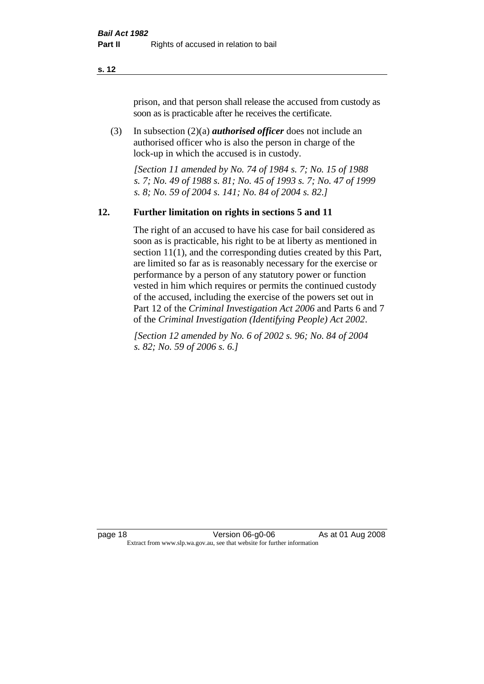prison, and that person shall release the accused from custody as soon as is practicable after he receives the certificate.

(3) In subsection (2)(a) *authorised officer* does not include an authorised officer who is also the person in charge of the lock-up in which the accused is in custody.

*[Section 11 amended by No. 74 of 1984 s. 7; No. 15 of 1988 s. 7; No. 49 of 1988 s. 81; No. 45 of 1993 s. 7; No. 47 of 1999 s. 8; No. 59 of 2004 s. 141; No. 84 of 2004 s. 82.]* 

#### **12. Further limitation on rights in sections 5 and 11**

The right of an accused to have his case for bail considered as soon as is practicable, his right to be at liberty as mentioned in section 11(1), and the corresponding duties created by this Part, are limited so far as is reasonably necessary for the exercise or performance by a person of any statutory power or function vested in him which requires or permits the continued custody of the accused, including the exercise of the powers set out in Part 12 of the *Criminal Investigation Act 2006* and Parts 6 and 7 of the *Criminal Investigation (Identifying People) Act 2002*.

*[Section 12 amended by No. 6 of 2002 s. 96; No. 84 of 2004 s. 82; No. 59 of 2006 s. 6.]*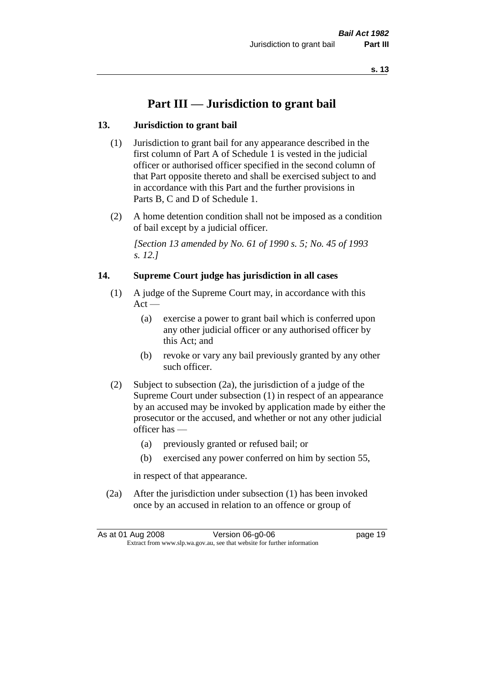# **Part III — Jurisdiction to grant bail**

### **13. Jurisdiction to grant bail**

- (1) Jurisdiction to grant bail for any appearance described in the first column of Part A of Schedule 1 is vested in the judicial officer or authorised officer specified in the second column of that Part opposite thereto and shall be exercised subject to and in accordance with this Part and the further provisions in Parts B, C and D of Schedule 1.
- (2) A home detention condition shall not be imposed as a condition of bail except by a judicial officer.

*[Section 13 amended by No. 61 of 1990 s. 5; No. 45 of 1993 s. 12.]* 

#### **14. Supreme Court judge has jurisdiction in all cases**

- (1) A judge of the Supreme Court may, in accordance with this  $Act -$ 
	- (a) exercise a power to grant bail which is conferred upon any other judicial officer or any authorised officer by this Act; and
	- (b) revoke or vary any bail previously granted by any other such officer.
- (2) Subject to subsection (2a), the jurisdiction of a judge of the Supreme Court under subsection (1) in respect of an appearance by an accused may be invoked by application made by either the prosecutor or the accused, and whether or not any other judicial officer has —
	- (a) previously granted or refused bail; or
	- (b) exercised any power conferred on him by section 55,

in respect of that appearance.

(2a) After the jurisdiction under subsection (1) has been invoked once by an accused in relation to an offence or group of

|                                                                          | As at 01 Aug 2008 | Version 06-g0-06 | page 19 |
|--------------------------------------------------------------------------|-------------------|------------------|---------|
| Extract from www.slp.wa.gov.au, see that website for further information |                   |                  |         |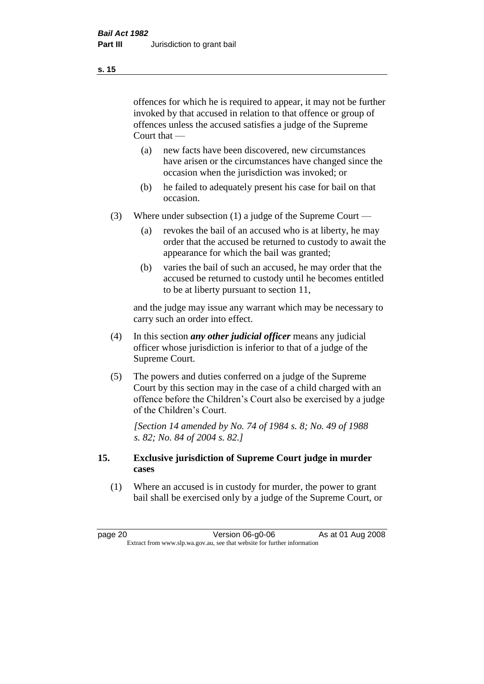offences for which he is required to appear, it may not be further invoked by that accused in relation to that offence or group of offences unless the accused satisfies a judge of the Supreme Court that —

- (a) new facts have been discovered, new circumstances have arisen or the circumstances have changed since the occasion when the jurisdiction was invoked; or
- (b) he failed to adequately present his case for bail on that occasion.
- (3) Where under subsection (1) a judge of the Supreme Court
	- (a) revokes the bail of an accused who is at liberty, he may order that the accused be returned to custody to await the appearance for which the bail was granted;
	- (b) varies the bail of such an accused, he may order that the accused be returned to custody until he becomes entitled to be at liberty pursuant to section 11,

and the judge may issue any warrant which may be necessary to carry such an order into effect.

- (4) In this section *any other judicial officer* means any judicial officer whose jurisdiction is inferior to that of a judge of the Supreme Court.
- (5) The powers and duties conferred on a judge of the Supreme Court by this section may in the case of a child charged with an offence before the Children's Court also be exercised by a judge of the Children's Court.

*[Section 14 amended by No. 74 of 1984 s. 8; No. 49 of 1988 s. 82; No. 84 of 2004 s. 82.]* 

#### **15. Exclusive jurisdiction of Supreme Court judge in murder cases**

(1) Where an accused is in custody for murder, the power to grant bail shall be exercised only by a judge of the Supreme Court, or

page 20 **Version 06-g0-06** As at 01 Aug 2008 Extract from www.slp.wa.gov.au, see that website for further information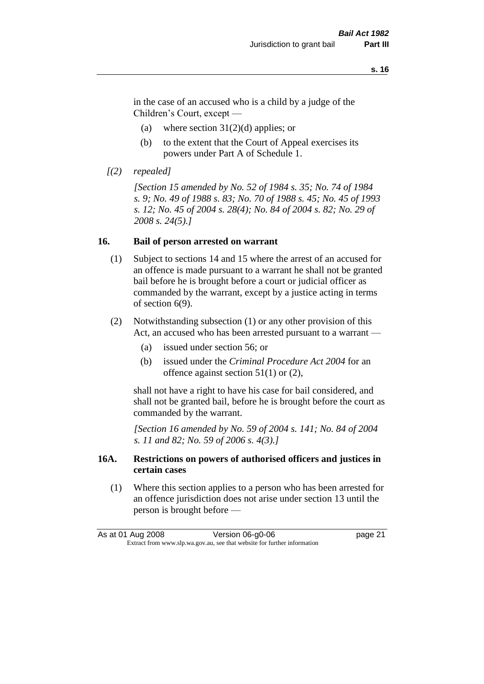in the case of an accused who is a child by a judge of the Children's Court, except —

- (a) where section  $31(2)(d)$  applies; or
- (b) to the extent that the Court of Appeal exercises its powers under Part A of Schedule 1.
- *[(2) repealed]*

*[Section 15 amended by No. 52 of 1984 s. 35; No. 74 of 1984 s. 9; No. 49 of 1988 s. 83; No. 70 of 1988 s. 45; No. 45 of 1993 s. 12; No. 45 of 2004 s. 28(4); No. 84 of 2004 s. 82; No. 29 of 2008 s. 24(5).]* 

#### **16. Bail of person arrested on warrant**

- (1) Subject to sections 14 and 15 where the arrest of an accused for an offence is made pursuant to a warrant he shall not be granted bail before he is brought before a court or judicial officer as commanded by the warrant, except by a justice acting in terms of section 6(9).
- (2) Notwithstanding subsection (1) or any other provision of this Act, an accused who has been arrested pursuant to a warrant —
	- (a) issued under section 56; or
	- (b) issued under the *Criminal Procedure Act 2004* for an offence against section 51(1) or (2),

shall not have a right to have his case for bail considered, and shall not be granted bail, before he is brought before the court as commanded by the warrant.

*[Section 16 amended by No. 59 of 2004 s. 141; No. 84 of 2004 s. 11 and 82; No. 59 of 2006 s. 4(3).]*

#### **16A. Restrictions on powers of authorised officers and justices in certain cases**

(1) Where this section applies to a person who has been arrested for an offence jurisdiction does not arise under section 13 until the person is brought before —

| As at 01 Aug 2008                                                        | Version 06-g0-06 | page 21 |
|--------------------------------------------------------------------------|------------------|---------|
| Extract from www.slp.wa.gov.au, see that website for further information |                  |         |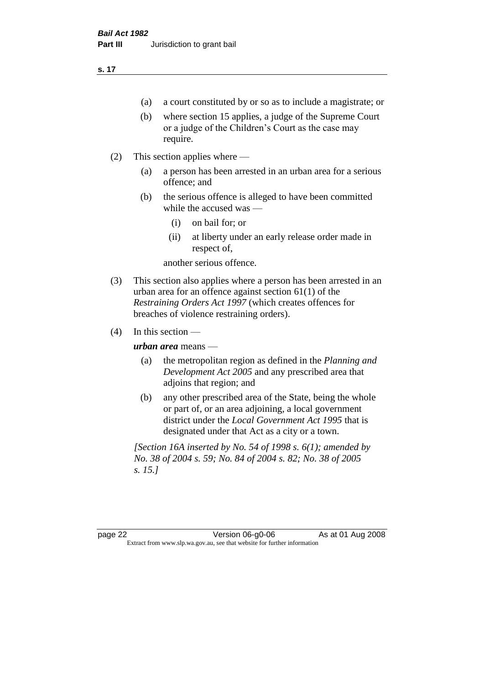- (a) a court constituted by or so as to include a magistrate; or
- (b) where section 15 applies, a judge of the Supreme Court or a judge of the Children's Court as the case may require.
- (2) This section applies where
	- (a) a person has been arrested in an urban area for a serious offence; and
	- (b) the serious offence is alleged to have been committed while the accused was —
		- (i) on bail for; or
		- (ii) at liberty under an early release order made in respect of,

another serious offence.

- (3) This section also applies where a person has been arrested in an urban area for an offence against section 61(1) of the *Restraining Orders Act 1997* (which creates offences for breaches of violence restraining orders).
- $(4)$  In this section —

*urban area* means —

- (a) the metropolitan region as defined in the *Planning and Development Act 2005* and any prescribed area that adjoins that region; and
- (b) any other prescribed area of the State, being the whole or part of, or an area adjoining, a local government district under the *Local Government Act 1995* that is designated under that Act as a city or a town.

*[Section 16A inserted by No. 54 of 1998 s. 6(1); amended by No. 38 of 2004 s. 59; No. 84 of 2004 s. 82; No. 38 of 2005 s. 15.]*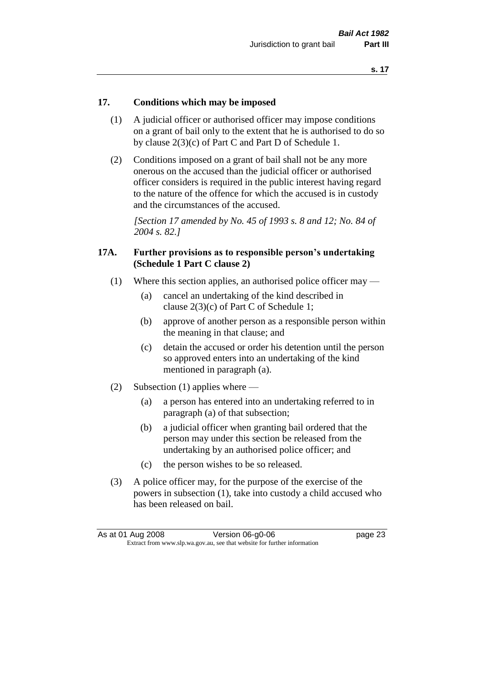#### **17. Conditions which may be imposed**

- (1) A judicial officer or authorised officer may impose conditions on a grant of bail only to the extent that he is authorised to do so by clause 2(3)(c) of Part C and Part D of Schedule 1.
- (2) Conditions imposed on a grant of bail shall not be any more onerous on the accused than the judicial officer or authorised officer considers is required in the public interest having regard to the nature of the offence for which the accused is in custody and the circumstances of the accused.

*[Section 17 amended by No. 45 of 1993 s. 8 and 12; No. 84 of 2004 s. 82.]* 

#### **17A. Further provisions as to responsible person's undertaking (Schedule 1 Part C clause 2)**

- (1) Where this section applies, an authorised police officer may
	- (a) cancel an undertaking of the kind described in clause 2(3)(c) of Part C of Schedule 1;
	- (b) approve of another person as a responsible person within the meaning in that clause; and
	- (c) detain the accused or order his detention until the person so approved enters into an undertaking of the kind mentioned in paragraph (a).
- (2) Subsection (1) applies where
	- (a) a person has entered into an undertaking referred to in paragraph (a) of that subsection;
	- (b) a judicial officer when granting bail ordered that the person may under this section be released from the undertaking by an authorised police officer; and
	- (c) the person wishes to be so released.
- (3) A police officer may, for the purpose of the exercise of the powers in subsection (1), take into custody a child accused who has been released on bail.

| As at 01 Aug 2008                                                        | Version 06-g0-06 | page 23 |
|--------------------------------------------------------------------------|------------------|---------|
| Extract from www.slp.wa.gov.au, see that website for further information |                  |         |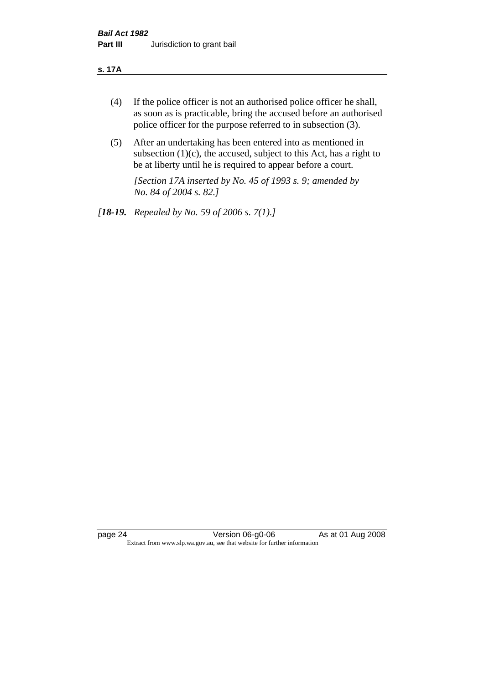#### **s. 17A**

- (4) If the police officer is not an authorised police officer he shall, as soon as is practicable, bring the accused before an authorised police officer for the purpose referred to in subsection (3).
- (5) After an undertaking has been entered into as mentioned in subsection  $(1)(c)$ , the accused, subject to this Act, has a right to be at liberty until he is required to appear before a court.

*[Section 17A inserted by No. 45 of 1993 s. 9; amended by No. 84 of 2004 s. 82.]* 

*[18-19. Repealed by No. 59 of 2006 s. 7(1).]*

page 24 Version 06-g0-06 As at 01 Aug 2008 Extract from www.slp.wa.gov.au, see that website for further information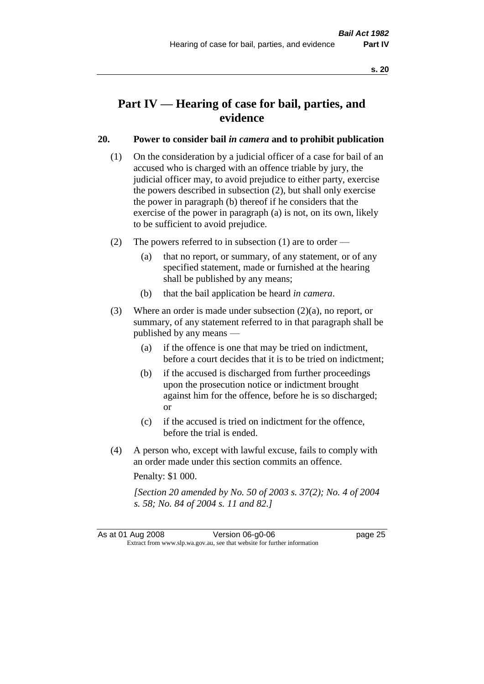# **Part IV — Hearing of case for bail, parties, and evidence**

#### **20. Power to consider bail** *in camera* **and to prohibit publication**

- (1) On the consideration by a judicial officer of a case for bail of an accused who is charged with an offence triable by jury, the judicial officer may, to avoid prejudice to either party, exercise the powers described in subsection (2), but shall only exercise the power in paragraph (b) thereof if he considers that the exercise of the power in paragraph (a) is not, on its own, likely to be sufficient to avoid prejudice.
- (2) The powers referred to in subsection (1) are to order
	- (a) that no report, or summary, of any statement, or of any specified statement, made or furnished at the hearing shall be published by any means;
	- (b) that the bail application be heard *in camera*.
- (3) Where an order is made under subsection (2)(a), no report, or summary, of any statement referred to in that paragraph shall be published by any means —
	- (a) if the offence is one that may be tried on indictment, before a court decides that it is to be tried on indictment;
	- (b) if the accused is discharged from further proceedings upon the prosecution notice or indictment brought against him for the offence, before he is so discharged; or
	- (c) if the accused is tried on indictment for the offence, before the trial is ended.
- (4) A person who, except with lawful excuse, fails to comply with an order made under this section commits an offence.

Penalty: \$1 000.

*[Section 20 amended by No. 50 of 2003 s. 37(2); No. 4 of 2004 s. 58; No. 84 of 2004 s. 11 and 82.]*

As at 01 Aug 2008 Version 06-g0-06 **Page 25** Extract from www.slp.wa.gov.au, see that website for further information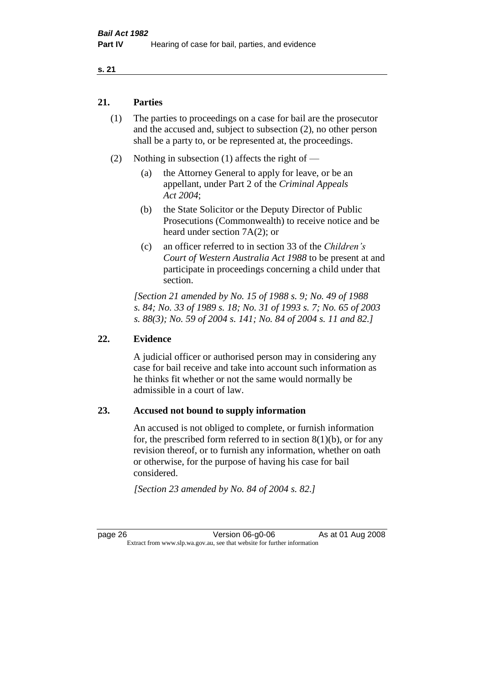#### **21. Parties**

- (1) The parties to proceedings on a case for bail are the prosecutor and the accused and, subject to subsection (2), no other person shall be a party to, or be represented at, the proceedings.
- (2) Nothing in subsection (1) affects the right of
	- (a) the Attorney General to apply for leave, or be an appellant, under Part 2 of the *Criminal Appeals Act 2004*;
	- (b) the State Solicitor or the Deputy Director of Public Prosecutions (Commonwealth) to receive notice and be heard under section 7A(2); or
	- (c) an officer referred to in section 33 of the *Children's Court of Western Australia Act 1988* to be present at and participate in proceedings concerning a child under that section.

*[Section 21 amended by No. 15 of 1988 s. 9; No. 49 of 1988 s. 84; No. 33 of 1989 s. 18; No. 31 of 1993 s. 7; No. 65 of 2003 s. 88(3); No. 59 of 2004 s. 141; No. 84 of 2004 s. 11 and 82.]* 

#### **22. Evidence**

A judicial officer or authorised person may in considering any case for bail receive and take into account such information as he thinks fit whether or not the same would normally be admissible in a court of law.

#### **23. Accused not bound to supply information**

An accused is not obliged to complete, or furnish information for, the prescribed form referred to in section  $8(1)(b)$ , or for any revision thereof, or to furnish any information, whether on oath or otherwise, for the purpose of having his case for bail considered.

*[Section 23 amended by No. 84 of 2004 s. 82.]* 

page 26 Version 06-g0-06 As at 01 Aug 2008 Extract from www.slp.wa.gov.au, see that website for further information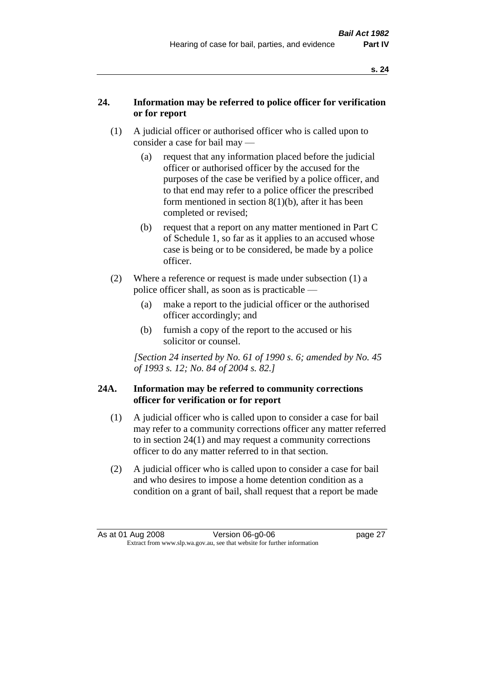### **24. Information may be referred to police officer for verification or for report**

- (1) A judicial officer or authorised officer who is called upon to consider a case for bail may —
	- (a) request that any information placed before the judicial officer or authorised officer by the accused for the purposes of the case be verified by a police officer, and to that end may refer to a police officer the prescribed form mentioned in section 8(1)(b), after it has been completed or revised;
	- (b) request that a report on any matter mentioned in Part C of Schedule 1, so far as it applies to an accused whose case is being or to be considered, be made by a police officer.
- (2) Where a reference or request is made under subsection (1) a police officer shall, as soon as is practicable —
	- (a) make a report to the judicial officer or the authorised officer accordingly; and
	- (b) furnish a copy of the report to the accused or his solicitor or counsel.

*[Section 24 inserted by No. 61 of 1990 s. 6; amended by No. 45 of 1993 s. 12; No. 84 of 2004 s. 82.]* 

#### **24A. Information may be referred to community corrections officer for verification or for report**

- (1) A judicial officer who is called upon to consider a case for bail may refer to a community corrections officer any matter referred to in section 24(1) and may request a community corrections officer to do any matter referred to in that section.
- (2) A judicial officer who is called upon to consider a case for bail and who desires to impose a home detention condition as a condition on a grant of bail, shall request that a report be made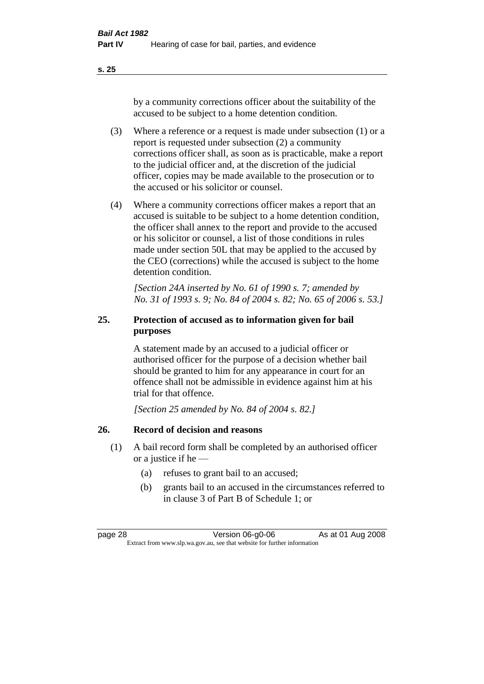by a community corrections officer about the suitability of the accused to be subject to a home detention condition.

- (3) Where a reference or a request is made under subsection (1) or a report is requested under subsection (2) a community corrections officer shall, as soon as is practicable, make a report to the judicial officer and, at the discretion of the judicial officer, copies may be made available to the prosecution or to the accused or his solicitor or counsel.
- (4) Where a community corrections officer makes a report that an accused is suitable to be subject to a home detention condition, the officer shall annex to the report and provide to the accused or his solicitor or counsel, a list of those conditions in rules made under section 50L that may be applied to the accused by the CEO (corrections) while the accused is subject to the home detention condition.

*[Section 24A inserted by No. 61 of 1990 s. 7; amended by No. 31 of 1993 s. 9; No. 84 of 2004 s. 82; No. 65 of 2006 s. 53.]* 

### **25. Protection of accused as to information given for bail purposes**

A statement made by an accused to a judicial officer or authorised officer for the purpose of a decision whether bail should be granted to him for any appearance in court for an offence shall not be admissible in evidence against him at his trial for that offence.

*[Section 25 amended by No. 84 of 2004 s. 82.]* 

### **26. Record of decision and reasons**

- (1) A bail record form shall be completed by an authorised officer or a justice if he —
	- (a) refuses to grant bail to an accused;
	- (b) grants bail to an accused in the circumstances referred to in clause 3 of Part B of Schedule 1; or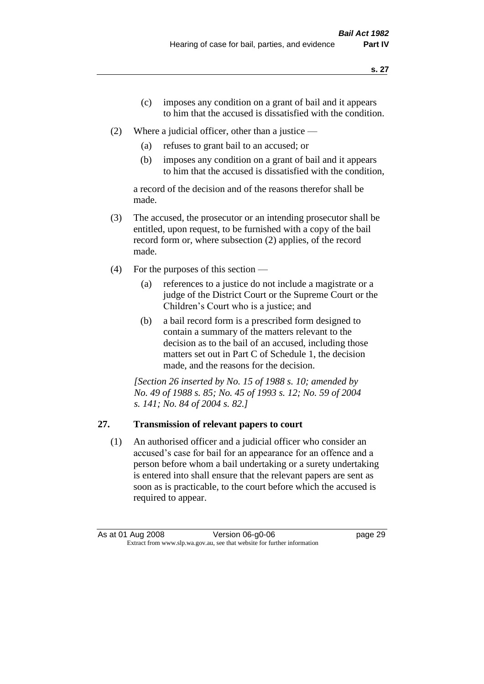- (c) imposes any condition on a grant of bail and it appears to him that the accused is dissatisfied with the condition.
- (2) Where a judicial officer, other than a justice
	- (a) refuses to grant bail to an accused; or
	- (b) imposes any condition on a grant of bail and it appears to him that the accused is dissatisfied with the condition,

a record of the decision and of the reasons therefor shall be made.

- (3) The accused, the prosecutor or an intending prosecutor shall be entitled, upon request, to be furnished with a copy of the bail record form or, where subsection (2) applies, of the record made.
- (4) For the purposes of this section
	- (a) references to a justice do not include a magistrate or a judge of the District Court or the Supreme Court or the Children's Court who is a justice; and
	- (b) a bail record form is a prescribed form designed to contain a summary of the matters relevant to the decision as to the bail of an accused, including those matters set out in Part C of Schedule 1, the decision made, and the reasons for the decision.

*[Section 26 inserted by No. 15 of 1988 s. 10; amended by No. 49 of 1988 s. 85; No. 45 of 1993 s. 12; No. 59 of 2004 s. 141; No. 84 of 2004 s. 82.]* 

# **27. Transmission of relevant papers to court**

(1) An authorised officer and a judicial officer who consider an accused's case for bail for an appearance for an offence and a person before whom a bail undertaking or a surety undertaking is entered into shall ensure that the relevant papers are sent as soon as is practicable, to the court before which the accused is required to appear.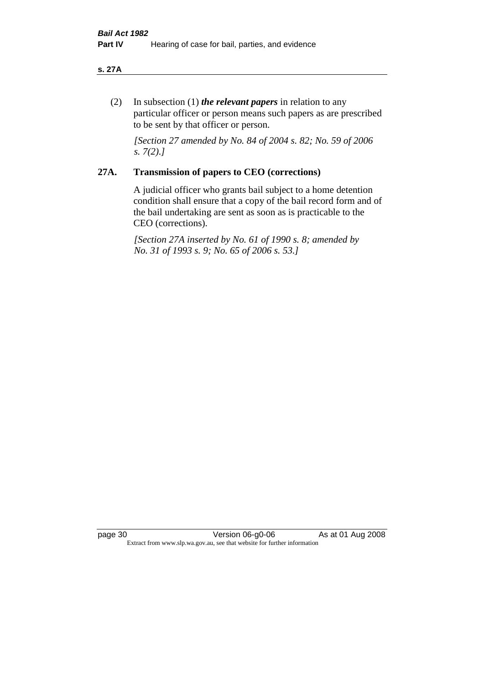#### **s. 27A**

(2) In subsection (1) *the relevant papers* in relation to any particular officer or person means such papers as are prescribed to be sent by that officer or person.

*[Section 27 amended by No. 84 of 2004 s. 82; No. 59 of 2006 s. 7(2).]* 

# **27A. Transmission of papers to CEO (corrections)**

A judicial officer who grants bail subject to a home detention condition shall ensure that a copy of the bail record form and of the bail undertaking are sent as soon as is practicable to the CEO (corrections).

*[Section 27A inserted by No. 61 of 1990 s. 8; amended by No. 31 of 1993 s. 9; No. 65 of 2006 s. 53.]* 

page 30 Version 06-g0-06 As at 01 Aug 2008 Extract from www.slp.wa.gov.au, see that website for further information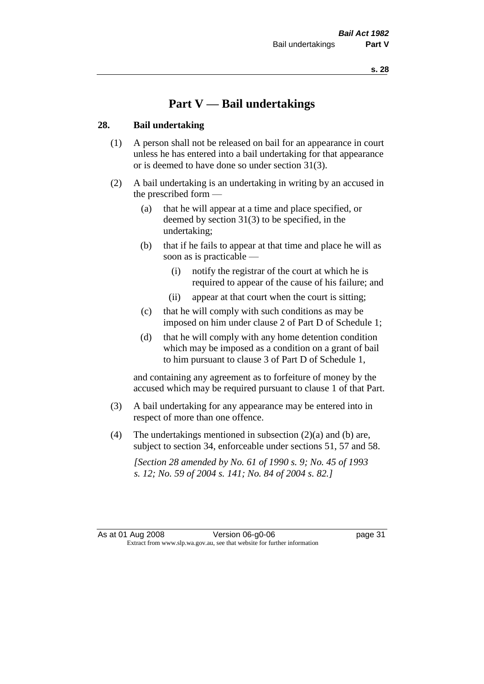# **Part V — Bail undertakings**

#### **28. Bail undertaking**

- (1) A person shall not be released on bail for an appearance in court unless he has entered into a bail undertaking for that appearance or is deemed to have done so under section 31(3).
- (2) A bail undertaking is an undertaking in writing by an accused in the prescribed form —
	- (a) that he will appear at a time and place specified, or deemed by section 31(3) to be specified, in the undertaking;
	- (b) that if he fails to appear at that time and place he will as soon as is practicable —
		- (i) notify the registrar of the court at which he is required to appear of the cause of his failure; and
		- (ii) appear at that court when the court is sitting;
	- (c) that he will comply with such conditions as may be imposed on him under clause 2 of Part D of Schedule 1;
	- (d) that he will comply with any home detention condition which may be imposed as a condition on a grant of bail to him pursuant to clause 3 of Part D of Schedule 1,

and containing any agreement as to forfeiture of money by the accused which may be required pursuant to clause 1 of that Part.

- (3) A bail undertaking for any appearance may be entered into in respect of more than one offence.
- (4) The undertakings mentioned in subsection  $(2)(a)$  and (b) are, subject to section 34, enforceable under sections 51, 57 and 58.

*[Section 28 amended by No. 61 of 1990 s. 9; No. 45 of 1993 s. 12; No. 59 of 2004 s. 141; No. 84 of 2004 s. 82.]*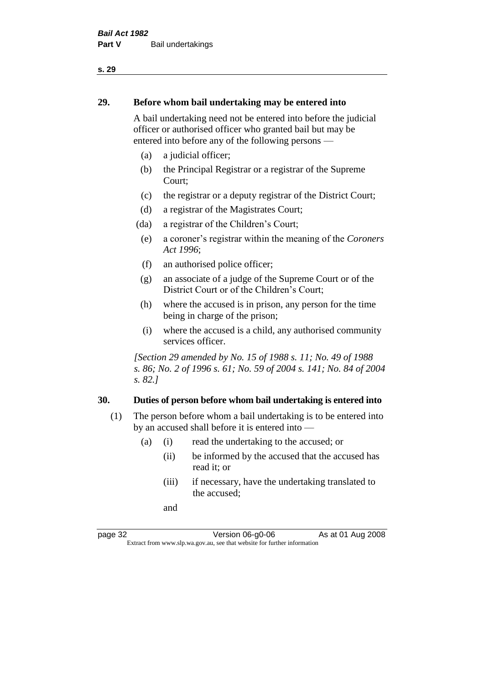#### **29. Before whom bail undertaking may be entered into**

A bail undertaking need not be entered into before the judicial officer or authorised officer who granted bail but may be entered into before any of the following persons —

- (a) a judicial officer;
- (b) the Principal Registrar or a registrar of the Supreme Court;
- (c) the registrar or a deputy registrar of the District Court;
- (d) a registrar of the Magistrates Court;
- (da) a registrar of the Children's Court;
- (e) a coroner's registrar within the meaning of the *Coroners Act 1996*;
- (f) an authorised police officer;
- (g) an associate of a judge of the Supreme Court or of the District Court or of the Children's Court;
- (h) where the accused is in prison, any person for the time being in charge of the prison;
- (i) where the accused is a child, any authorised community services officer.

*[Section 29 amended by No. 15 of 1988 s. 11; No. 49 of 1988 s. 86; No. 2 of 1996 s. 61; No. 59 of 2004 s. 141; No. 84 of 2004 s. 82.]* 

#### **30. Duties of person before whom bail undertaking is entered into**

- (1) The person before whom a bail undertaking is to be entered into by an accused shall before it is entered into —
	- (a) (i) read the undertaking to the accused; or
		- (ii) be informed by the accused that the accused has read it; or
		- (iii) if necessary, have the undertaking translated to the accused;

and

page 32 Version 06-g0-06 As at 01 Aug 2008 Extract from www.slp.wa.gov.au, see that website for further information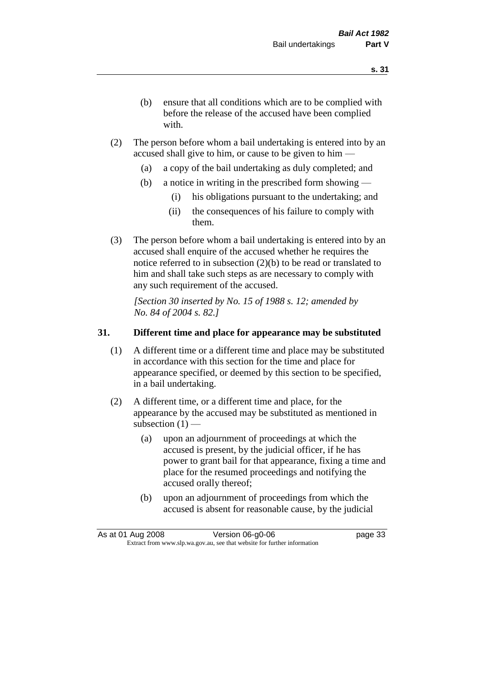- (b) ensure that all conditions which are to be complied with before the release of the accused have been complied with.
- (2) The person before whom a bail undertaking is entered into by an accused shall give to him, or cause to be given to him —
	- (a) a copy of the bail undertaking as duly completed; and
	- (b) a notice in writing in the prescribed form showing
		- (i) his obligations pursuant to the undertaking; and
		- (ii) the consequences of his failure to comply with them.
- (3) The person before whom a bail undertaking is entered into by an accused shall enquire of the accused whether he requires the notice referred to in subsection (2)(b) to be read or translated to him and shall take such steps as are necessary to comply with any such requirement of the accused.

*[Section 30 inserted by No. 15 of 1988 s. 12; amended by No. 84 of 2004 s. 82.]* 

# **31. Different time and place for appearance may be substituted**

- (1) A different time or a different time and place may be substituted in accordance with this section for the time and place for appearance specified, or deemed by this section to be specified, in a bail undertaking.
- (2) A different time, or a different time and place, for the appearance by the accused may be substituted as mentioned in subsection  $(1)$  —
	- (a) upon an adjournment of proceedings at which the accused is present, by the judicial officer, if he has power to grant bail for that appearance, fixing a time and place for the resumed proceedings and notifying the accused orally thereof;
	- (b) upon an adjournment of proceedings from which the accused is absent for reasonable cause, by the judicial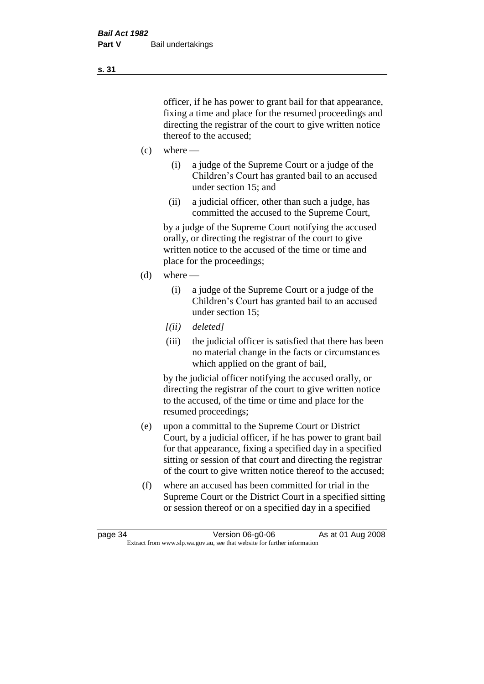officer, if he has power to grant bail for that appearance, fixing a time and place for the resumed proceedings and directing the registrar of the court to give written notice thereof to the accused;

- $(c)$  where
	- (i) a judge of the Supreme Court or a judge of the Children's Court has granted bail to an accused under section 15; and
	- (ii) a judicial officer, other than such a judge, has committed the accused to the Supreme Court,

by a judge of the Supreme Court notifying the accused orally, or directing the registrar of the court to give written notice to the accused of the time or time and place for the proceedings;

- (d) where
	- (i) a judge of the Supreme Court or a judge of the Children's Court has granted bail to an accused under section 15;
	- *[(ii) deleted]*
	- (iii) the judicial officer is satisfied that there has been no material change in the facts or circumstances which applied on the grant of bail,

by the judicial officer notifying the accused orally, or directing the registrar of the court to give written notice to the accused, of the time or time and place for the resumed proceedings;

- (e) upon a committal to the Supreme Court or District Court, by a judicial officer, if he has power to grant bail for that appearance, fixing a specified day in a specified sitting or session of that court and directing the registrar of the court to give written notice thereof to the accused;
- (f) where an accused has been committed for trial in the Supreme Court or the District Court in a specified sitting or session thereof or on a specified day in a specified

**s. 31**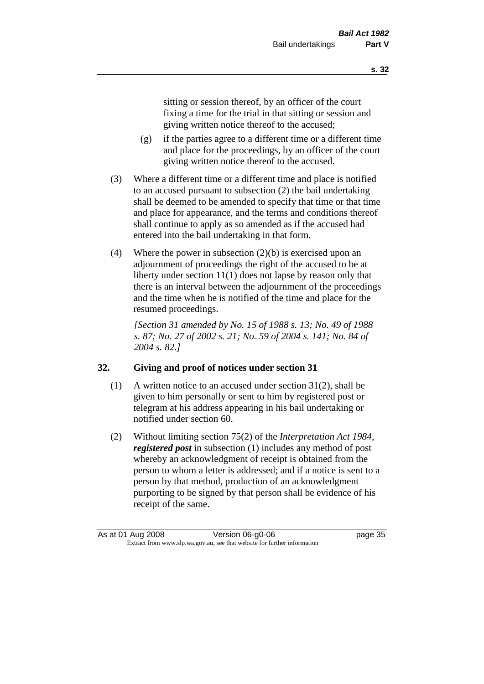sitting or session thereof, by an officer of the court fixing a time for the trial in that sitting or session and giving written notice thereof to the accused;

- (g) if the parties agree to a different time or a different time and place for the proceedings, by an officer of the court giving written notice thereof to the accused.
- (3) Where a different time or a different time and place is notified to an accused pursuant to subsection (2) the bail undertaking shall be deemed to be amended to specify that time or that time and place for appearance, and the terms and conditions thereof shall continue to apply as so amended as if the accused had entered into the bail undertaking in that form.
- (4) Where the power in subsection (2)(b) is exercised upon an adjournment of proceedings the right of the accused to be at liberty under section 11(1) does not lapse by reason only that there is an interval between the adjournment of the proceedings and the time when he is notified of the time and place for the resumed proceedings.

*[Section 31 amended by No. 15 of 1988 s. 13; No. 49 of 1988 s. 87; No. 27 of 2002 s. 21; No. 59 of 2004 s. 141; No. 84 of 2004 s. 82.]* 

# **32. Giving and proof of notices under section 31**

- (1) A written notice to an accused under section  $31(2)$ , shall be given to him personally or sent to him by registered post or telegram at his address appearing in his bail undertaking or notified under section 60.
- (2) Without limiting section 75(2) of the *Interpretation Act 1984*, *registered post* in subsection (1) includes any method of post whereby an acknowledgment of receipt is obtained from the person to whom a letter is addressed; and if a notice is sent to a person by that method, production of an acknowledgment purporting to be signed by that person shall be evidence of his receipt of the same.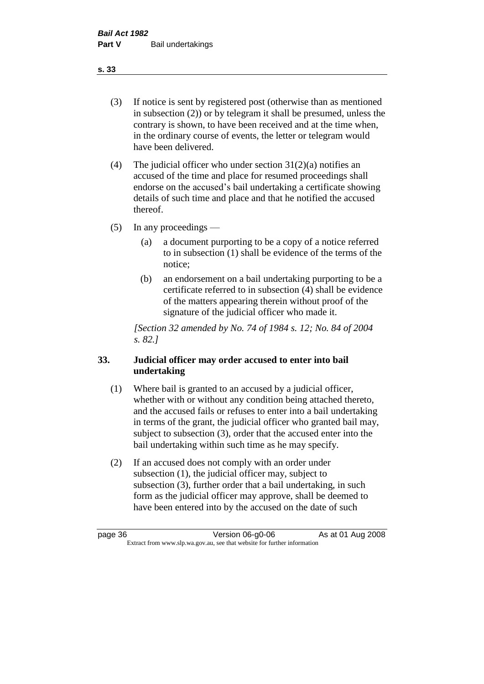(3) If notice is sent by registered post (otherwise than as mentioned in subsection (2)) or by telegram it shall be presumed, unless the contrary is shown, to have been received and at the time when, in the ordinary course of events, the letter or telegram would have been delivered.

(4) The judicial officer who under section  $31(2)(a)$  notifies an accused of the time and place for resumed proceedings shall endorse on the accused's bail undertaking a certificate showing details of such time and place and that he notified the accused thereof.

(5) In any proceedings —

- (a) a document purporting to be a copy of a notice referred to in subsection (1) shall be evidence of the terms of the notice;
- (b) an endorsement on a bail undertaking purporting to be a certificate referred to in subsection (4) shall be evidence of the matters appearing therein without proof of the signature of the judicial officer who made it.

*[Section 32 amended by No. 74 of 1984 s. 12; No. 84 of 2004 s. 82.]* 

# **33. Judicial officer may order accused to enter into bail undertaking**

- (1) Where bail is granted to an accused by a judicial officer, whether with or without any condition being attached thereto, and the accused fails or refuses to enter into a bail undertaking in terms of the grant, the judicial officer who granted bail may, subject to subsection (3), order that the accused enter into the bail undertaking within such time as he may specify.
- (2) If an accused does not comply with an order under subsection (1), the judicial officer may, subject to subsection (3), further order that a bail undertaking, in such form as the judicial officer may approve, shall be deemed to have been entered into by the accused on the date of such

**s. 33**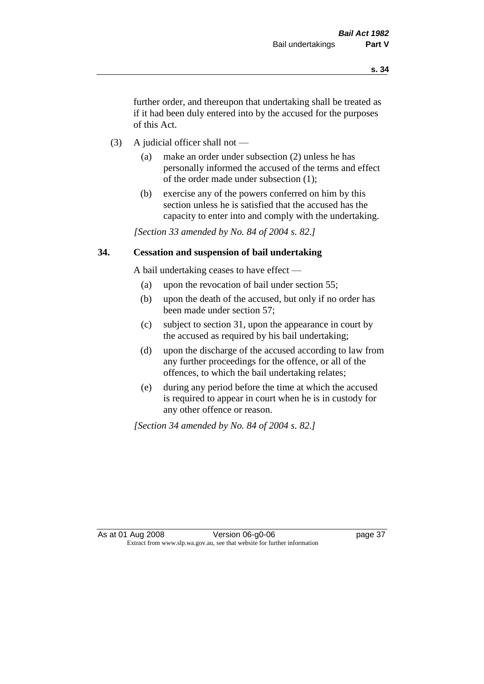further order, and thereupon that undertaking shall be treated as if it had been duly entered into by the accused for the purposes of this Act.

- (3) A judicial officer shall not
	- (a) make an order under subsection (2) unless he has personally informed the accused of the terms and effect of the order made under subsection (1);
	- (b) exercise any of the powers conferred on him by this section unless he is satisfied that the accused has the capacity to enter into and comply with the undertaking.

*[Section 33 amended by No. 84 of 2004 s. 82.]* 

## **34. Cessation and suspension of bail undertaking**

A bail undertaking ceases to have effect —

- (a) upon the revocation of bail under section 55;
- (b) upon the death of the accused, but only if no order has been made under section 57;
- (c) subject to section 31, upon the appearance in court by the accused as required by his bail undertaking;
- (d) upon the discharge of the accused according to law from any further proceedings for the offence, or all of the offences, to which the bail undertaking relates;
- (e) during any period before the time at which the accused is required to appear in court when he is in custody for any other offence or reason.

*[Section 34 amended by No. 84 of 2004 s. 82.]*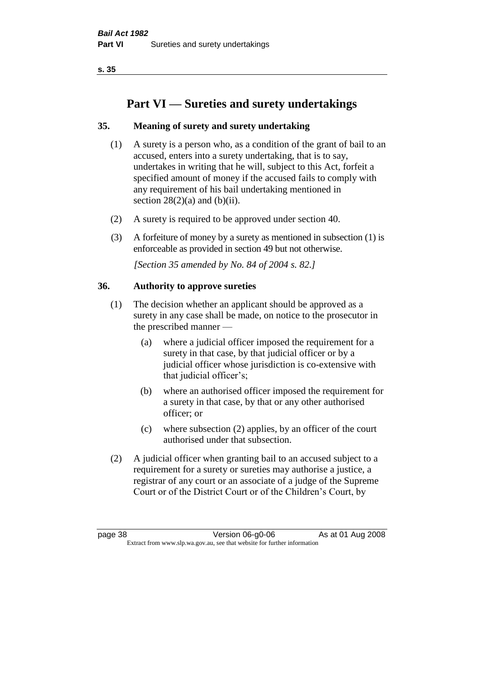# **Part VI — Sureties and surety undertakings**

# **35. Meaning of surety and surety undertaking**

- (1) A surety is a person who, as a condition of the grant of bail to an accused, enters into a surety undertaking, that is to say, undertakes in writing that he will, subject to this Act, forfeit a specified amount of money if the accused fails to comply with any requirement of his bail undertaking mentioned in section  $28(2)(a)$  and  $(b)(ii)$ .
- (2) A surety is required to be approved under section 40.
- (3) A forfeiture of money by a surety as mentioned in subsection (1) is enforceable as provided in section 49 but not otherwise.

*[Section 35 amended by No. 84 of 2004 s. 82.]* 

# **36. Authority to approve sureties**

- (1) The decision whether an applicant should be approved as a surety in any case shall be made, on notice to the prosecutor in the prescribed manner —
	- (a) where a judicial officer imposed the requirement for a surety in that case, by that judicial officer or by a judicial officer whose jurisdiction is co-extensive with that judicial officer's;
	- (b) where an authorised officer imposed the requirement for a surety in that case, by that or any other authorised officer; or
	- (c) where subsection (2) applies, by an officer of the court authorised under that subsection.
- (2) A judicial officer when granting bail to an accused subject to a requirement for a surety or sureties may authorise a justice, a registrar of any court or an associate of a judge of the Supreme Court or of the District Court or of the Children's Court, by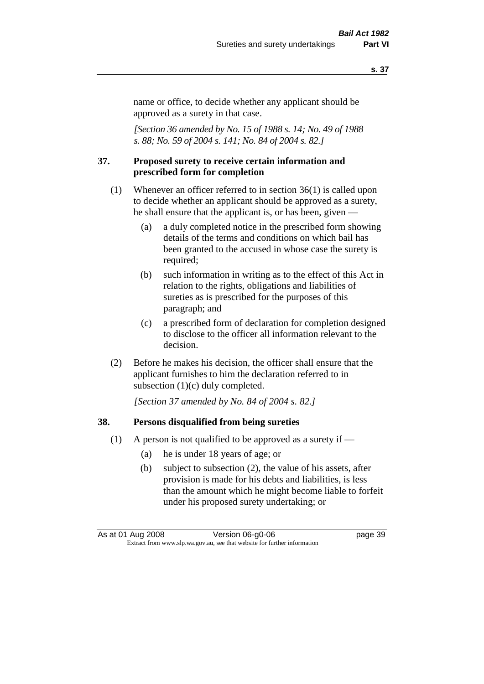name or office, to decide whether any applicant should be approved as a surety in that case.

*[Section 36 amended by No. 15 of 1988 s. 14; No. 49 of 1988 s. 88; No. 59 of 2004 s. 141; No. 84 of 2004 s. 82.]* 

#### **37. Proposed surety to receive certain information and prescribed form for completion**

- (1) Whenever an officer referred to in section 36(1) is called upon to decide whether an applicant should be approved as a surety, he shall ensure that the applicant is, or has been, given —
	- (a) a duly completed notice in the prescribed form showing details of the terms and conditions on which bail has been granted to the accused in whose case the surety is required;
	- (b) such information in writing as to the effect of this Act in relation to the rights, obligations and liabilities of sureties as is prescribed for the purposes of this paragraph; and
	- (c) a prescribed form of declaration for completion designed to disclose to the officer all information relevant to the decision.
- (2) Before he makes his decision, the officer shall ensure that the applicant furnishes to him the declaration referred to in subsection (1)(c) duly completed.

*[Section 37 amended by No. 84 of 2004 s. 82.]* 

#### **38. Persons disqualified from being sureties**

- (1) A person is not qualified to be approved as a surety if  $-$ 
	- (a) he is under 18 years of age; or
	- (b) subject to subsection (2), the value of his assets, after provision is made for his debts and liabilities, is less than the amount which he might become liable to forfeit under his proposed surety undertaking; or

As at 01 Aug 2008 Version 06-g0-06 **page 39** Extract from www.slp.wa.gov.au, see that website for further information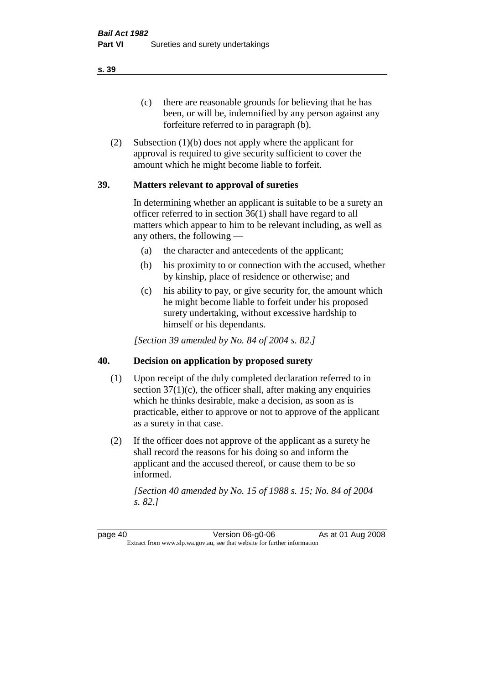(c) there are reasonable grounds for believing that he has been, or will be, indemnified by any person against any forfeiture referred to in paragraph (b).

(2) Subsection (1)(b) does not apply where the applicant for approval is required to give security sufficient to cover the amount which he might become liable to forfeit.

## **39. Matters relevant to approval of sureties**

In determining whether an applicant is suitable to be a surety an officer referred to in section 36(1) shall have regard to all matters which appear to him to be relevant including, as well as any others, the following —

- (a) the character and antecedents of the applicant;
- (b) his proximity to or connection with the accused, whether by kinship, place of residence or otherwise; and
- (c) his ability to pay, or give security for, the amount which he might become liable to forfeit under his proposed surety undertaking, without excessive hardship to himself or his dependants.

*[Section 39 amended by No. 84 of 2004 s. 82.]* 

## **40. Decision on application by proposed surety**

- (1) Upon receipt of the duly completed declaration referred to in section  $37(1)(c)$ , the officer shall, after making any enquiries which he thinks desirable, make a decision, as soon as is practicable, either to approve or not to approve of the applicant as a surety in that case.
- (2) If the officer does not approve of the applicant as a surety he shall record the reasons for his doing so and inform the applicant and the accused thereof, or cause them to be so informed.

*[Section 40 amended by No. 15 of 1988 s. 15; No. 84 of 2004 s. 82.]* 

page 40 Version 06-g0-06 As at 01 Aug 2008 Extract from www.slp.wa.gov.au, see that website for further information

**s. 39**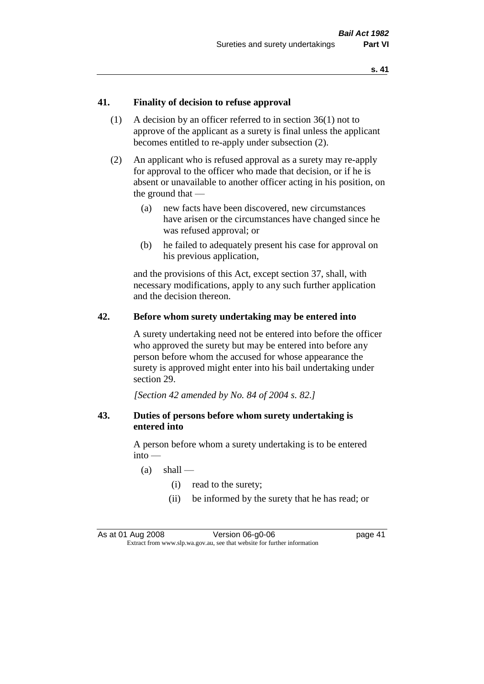## **41. Finality of decision to refuse approval**

- (1) A decision by an officer referred to in section 36(1) not to approve of the applicant as a surety is final unless the applicant becomes entitled to re-apply under subsection (2).
- (2) An applicant who is refused approval as a surety may re-apply for approval to the officer who made that decision, or if he is absent or unavailable to another officer acting in his position, on the ground that —
	- (a) new facts have been discovered, new circumstances have arisen or the circumstances have changed since he was refused approval; or
	- (b) he failed to adequately present his case for approval on his previous application,

and the provisions of this Act, except section 37, shall, with necessary modifications, apply to any such further application and the decision thereon.

#### **42. Before whom surety undertaking may be entered into**

A surety undertaking need not be entered into before the officer who approved the surety but may be entered into before any person before whom the accused for whose appearance the surety is approved might enter into his bail undertaking under section 29.

*[Section 42 amended by No. 84 of 2004 s. 82.]* 

## **43. Duties of persons before whom surety undertaking is entered into**

A person before whom a surety undertaking is to be entered into —

- $(a)$  shall
	- (i) read to the surety;
	- (ii) be informed by the surety that he has read; or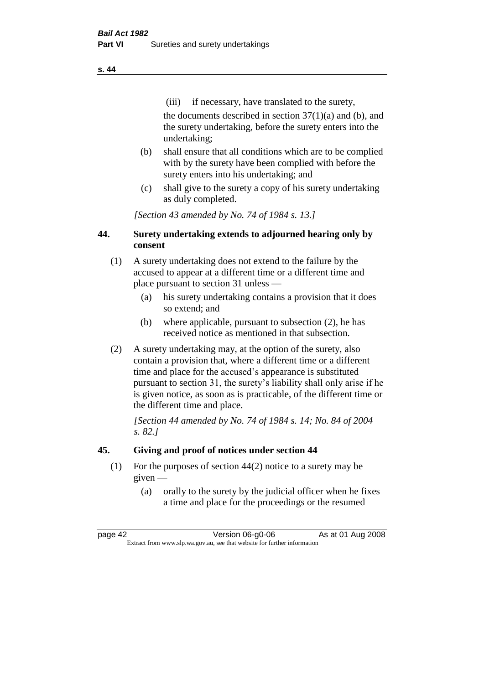(iii) if necessary, have translated to the surety, the documents described in section  $37(1)(a)$  and (b), and the surety undertaking, before the surety enters into the undertaking;

- (b) shall ensure that all conditions which are to be complied with by the surety have been complied with before the surety enters into his undertaking; and
- (c) shall give to the surety a copy of his surety undertaking as duly completed.

*[Section 43 amended by No. 74 of 1984 s. 13.]* 

# **44. Surety undertaking extends to adjourned hearing only by consent**

- (1) A surety undertaking does not extend to the failure by the accused to appear at a different time or a different time and place pursuant to section 31 unless —
	- (a) his surety undertaking contains a provision that it does so extend; and
	- (b) where applicable, pursuant to subsection (2), he has received notice as mentioned in that subsection.
- (2) A surety undertaking may, at the option of the surety, also contain a provision that, where a different time or a different time and place for the accused's appearance is substituted pursuant to section 31, the surety's liability shall only arise if he is given notice, as soon as is practicable, of the different time or the different time and place.

*[Section 44 amended by No. 74 of 1984 s. 14; No. 84 of 2004 s. 82.]* 

# **45. Giving and proof of notices under section 44**

- (1) For the purposes of section 44(2) notice to a surety may be given —
	- (a) orally to the surety by the judicial officer when he fixes a time and place for the proceedings or the resumed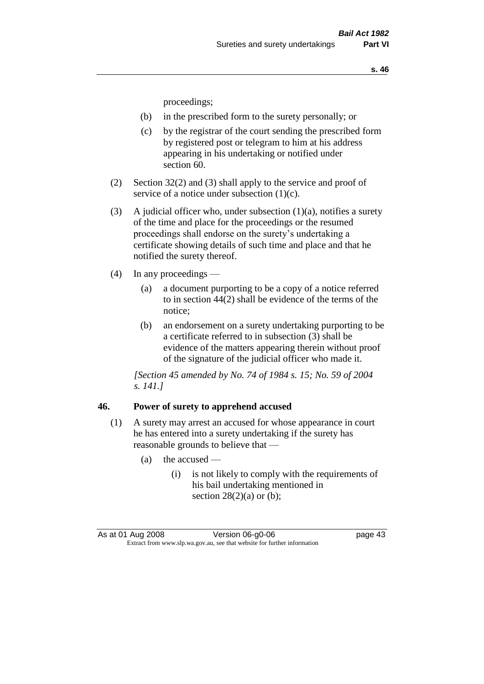proceedings;

- (b) in the prescribed form to the surety personally; or
- (c) by the registrar of the court sending the prescribed form by registered post or telegram to him at his address appearing in his undertaking or notified under section 60.
- (2) Section 32(2) and (3) shall apply to the service and proof of service of a notice under subsection (1)(c).
- (3) A judicial officer who, under subsection  $(1)(a)$ , notifies a surety of the time and place for the proceedings or the resumed proceedings shall endorse on the surety's undertaking a certificate showing details of such time and place and that he notified the surety thereof.
- (4) In any proceedings
	- (a) a document purporting to be a copy of a notice referred to in section 44(2) shall be evidence of the terms of the notice;
	- (b) an endorsement on a surety undertaking purporting to be a certificate referred to in subsection (3) shall be evidence of the matters appearing therein without proof of the signature of the judicial officer who made it.

*[Section 45 amended by No. 74 of 1984 s. 15; No. 59 of 2004 s. 141.]* 

#### **46. Power of surety to apprehend accused**

- (1) A surety may arrest an accused for whose appearance in court he has entered into a surety undertaking if the surety has reasonable grounds to believe that —
	- (a) the accused
		- (i) is not likely to comply with the requirements of his bail undertaking mentioned in section  $28(2)(a)$  or (b);

As at 01 Aug 2008 Version 06-g0-06 Page 43 Extract from www.slp.wa.gov.au, see that website for further information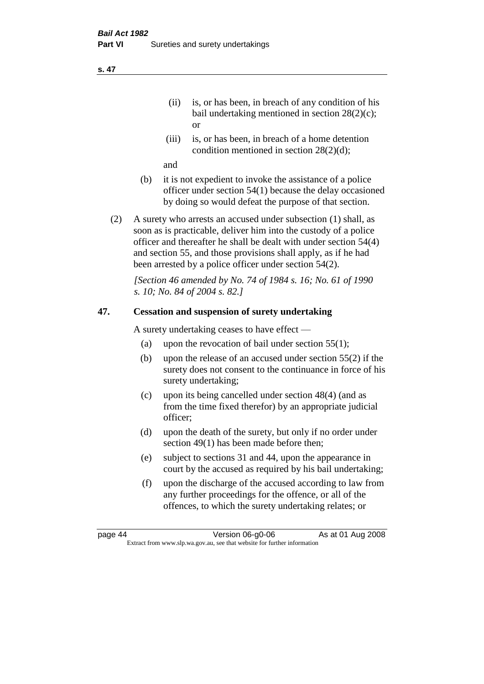- (ii) is, or has been, in breach of any condition of his bail undertaking mentioned in section 28(2)(c); or
- (iii) is, or has been, in breach of a home detention condition mentioned in section 28(2)(d);

and

- (b) it is not expedient to invoke the assistance of a police officer under section 54(1) because the delay occasioned by doing so would defeat the purpose of that section.
- (2) A surety who arrests an accused under subsection (1) shall, as soon as is practicable, deliver him into the custody of a police officer and thereafter he shall be dealt with under section 54(4) and section 55, and those provisions shall apply, as if he had been arrested by a police officer under section 54(2).

*[Section 46 amended by No. 74 of 1984 s. 16; No. 61 of 1990 s. 10; No. 84 of 2004 s. 82.]* 

# **47. Cessation and suspension of surety undertaking**

A surety undertaking ceases to have effect —

- (a) upon the revocation of bail under section  $55(1)$ ;
- (b) upon the release of an accused under section 55(2) if the surety does not consent to the continuance in force of his surety undertaking;
- (c) upon its being cancelled under section 48(4) (and as from the time fixed therefor) by an appropriate judicial officer;
- (d) upon the death of the surety, but only if no order under section 49(1) has been made before then;
- (e) subject to sections 31 and 44, upon the appearance in court by the accused as required by his bail undertaking;
- (f) upon the discharge of the accused according to law from any further proceedings for the offence, or all of the offences, to which the surety undertaking relates; or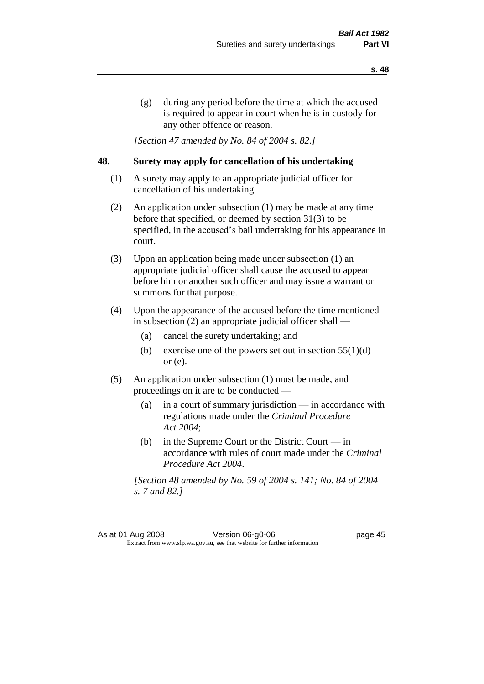(g) during any period before the time at which the accused is required to appear in court when he is in custody for any other offence or reason.

*[Section 47 amended by No. 84 of 2004 s. 82.]* 

## **48. Surety may apply for cancellation of his undertaking**

- (1) A surety may apply to an appropriate judicial officer for cancellation of his undertaking.
- (2) An application under subsection (1) may be made at any time before that specified, or deemed by section 31(3) to be specified, in the accused's bail undertaking for his appearance in court.
- (3) Upon an application being made under subsection (1) an appropriate judicial officer shall cause the accused to appear before him or another such officer and may issue a warrant or summons for that purpose.
- (4) Upon the appearance of the accused before the time mentioned in subsection (2) an appropriate judicial officer shall —
	- (a) cancel the surety undertaking; and
	- (b) exercise one of the powers set out in section  $55(1)(d)$ or (e).
- (5) An application under subsection (1) must be made, and proceedings on it are to be conducted —
	- (a) in a court of summary jurisdiction in accordance with regulations made under the *Criminal Procedure Act 2004*;
	- (b) in the Supreme Court or the District Court  $-\text{in}$ accordance with rules of court made under the *Criminal Procedure Act 2004*.

*[Section 48 amended by No. 59 of 2004 s. 141; No. 84 of 2004 s. 7 and 82.]*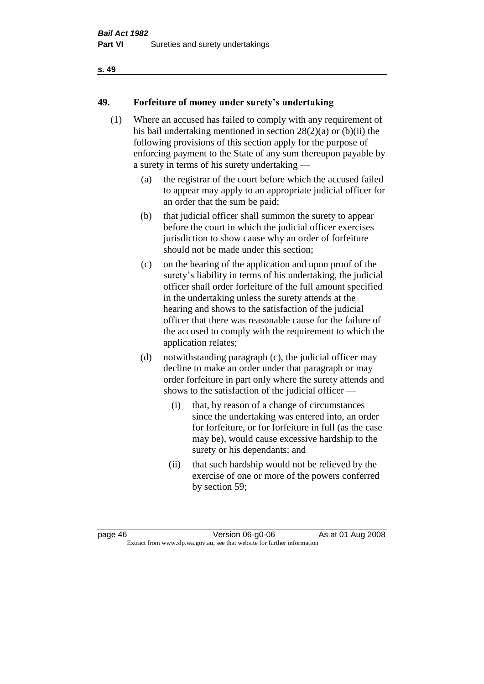# **49. Forfeiture of money under surety's undertaking**

- (1) Where an accused has failed to comply with any requirement of his bail undertaking mentioned in section 28(2)(a) or (b)(ii) the following provisions of this section apply for the purpose of enforcing payment to the State of any sum thereupon payable by a surety in terms of his surety undertaking —
	- (a) the registrar of the court before which the accused failed to appear may apply to an appropriate judicial officer for an order that the sum be paid;
	- (b) that judicial officer shall summon the surety to appear before the court in which the judicial officer exercises jurisdiction to show cause why an order of forfeiture should not be made under this section;
	- (c) on the hearing of the application and upon proof of the surety's liability in terms of his undertaking, the judicial officer shall order forfeiture of the full amount specified in the undertaking unless the surety attends at the hearing and shows to the satisfaction of the judicial officer that there was reasonable cause for the failure of the accused to comply with the requirement to which the application relates;
	- (d) notwithstanding paragraph (c), the judicial officer may decline to make an order under that paragraph or may order forfeiture in part only where the surety attends and shows to the satisfaction of the judicial officer —
		- (i) that, by reason of a change of circumstances since the undertaking was entered into, an order for forfeiture, or for forfeiture in full (as the case may be), would cause excessive hardship to the surety or his dependants; and
		- (ii) that such hardship would not be relieved by the exercise of one or more of the powers conferred by section 59;

page 46 Version 06-g0-06 As at 01 Aug 2008 Extract from www.slp.wa.gov.au, see that website for further information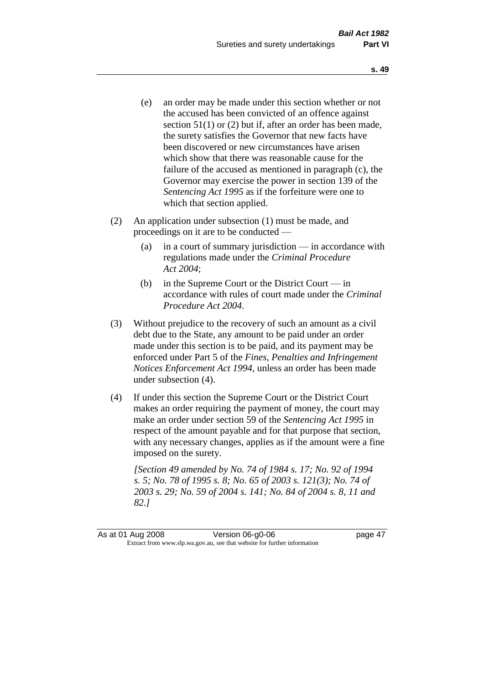- (e) an order may be made under this section whether or not the accused has been convicted of an offence against section 51(1) or (2) but if, after an order has been made, the surety satisfies the Governor that new facts have been discovered or new circumstances have arisen which show that there was reasonable cause for the failure of the accused as mentioned in paragraph (c), the Governor may exercise the power in section 139 of the *Sentencing Act 1995* as if the forfeiture were one to which that section applied.
- (2) An application under subsection (1) must be made, and proceedings on it are to be conducted —
	- (a) in a court of summary jurisdiction in accordance with regulations made under the *Criminal Procedure Act 2004*;
	- (b) in the Supreme Court or the District Court in accordance with rules of court made under the *Criminal Procedure Act 2004*.
- (3) Without prejudice to the recovery of such an amount as a civil debt due to the State, any amount to be paid under an order made under this section is to be paid, and its payment may be enforced under Part 5 of the *Fines, Penalties and Infringement Notices Enforcement Act 1994*, unless an order has been made under subsection (4).
- (4) If under this section the Supreme Court or the District Court makes an order requiring the payment of money, the court may make an order under section 59 of the *Sentencing Act 1995* in respect of the amount payable and for that purpose that section, with any necessary changes, applies as if the amount were a fine imposed on the surety.

*[Section 49 amended by No. 74 of 1984 s. 17; No. 92 of 1994 s. 5; No. 78 of 1995 s. 8; No. 65 of 2003 s. 121(3); No. 74 of 2003 s. 29; No. 59 of 2004 s. 141; No. 84 of 2004 s. 8, 11 and 82.]*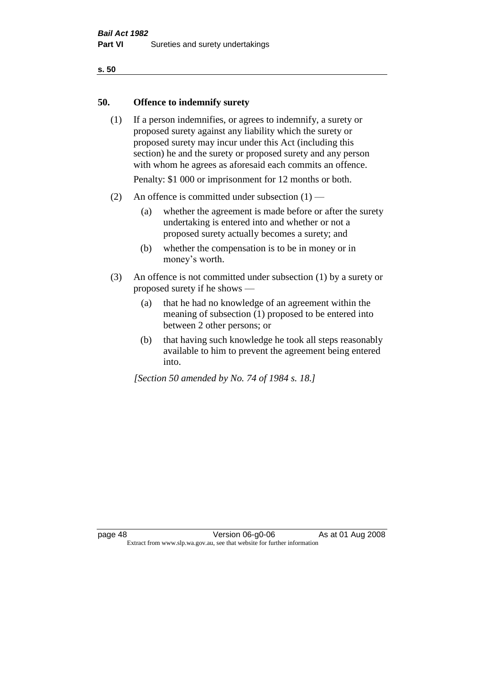#### **50. Offence to indemnify surety**

(1) If a person indemnifies, or agrees to indemnify, a surety or proposed surety against any liability which the surety or proposed surety may incur under this Act (including this section) he and the surety or proposed surety and any person with whom he agrees as aforesaid each commits an offence.

Penalty: \$1 000 or imprisonment for 12 months or both.

- (2) An offence is committed under subsection  $(1)$ 
	- (a) whether the agreement is made before or after the surety undertaking is entered into and whether or not a proposed surety actually becomes a surety; and
	- (b) whether the compensation is to be in money or in money's worth.
- (3) An offence is not committed under subsection (1) by a surety or proposed surety if he shows —
	- (a) that he had no knowledge of an agreement within the meaning of subsection (1) proposed to be entered into between 2 other persons; or
	- (b) that having such knowledge he took all steps reasonably available to him to prevent the agreement being entered into.

*[Section 50 amended by No. 74 of 1984 s. 18.]*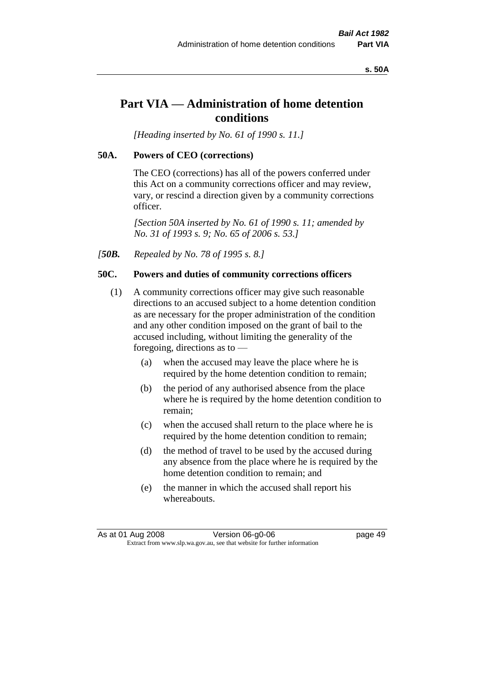#### **s. 50A**

# **Part VIA — Administration of home detention conditions**

*[Heading inserted by No. 61 of 1990 s. 11.]* 

#### **50A. Powers of CEO (corrections)**

The CEO (corrections) has all of the powers conferred under this Act on a community corrections officer and may review, vary, or rescind a direction given by a community corrections officer.

*[Section 50A inserted by No. 61 of 1990 s. 11; amended by No. 31 of 1993 s. 9; No. 65 of 2006 s. 53.]* 

*[50B. Repealed by No. 78 of 1995 s. 8.]* 

#### **50C. Powers and duties of community corrections officers**

- (1) A community corrections officer may give such reasonable directions to an accused subject to a home detention condition as are necessary for the proper administration of the condition and any other condition imposed on the grant of bail to the accused including, without limiting the generality of the foregoing, directions as to —
	- (a) when the accused may leave the place where he is required by the home detention condition to remain;
	- (b) the period of any authorised absence from the place where he is required by the home detention condition to remain;
	- (c) when the accused shall return to the place where he is required by the home detention condition to remain;
	- (d) the method of travel to be used by the accused during any absence from the place where he is required by the home detention condition to remain; and
	- (e) the manner in which the accused shall report his whereabouts.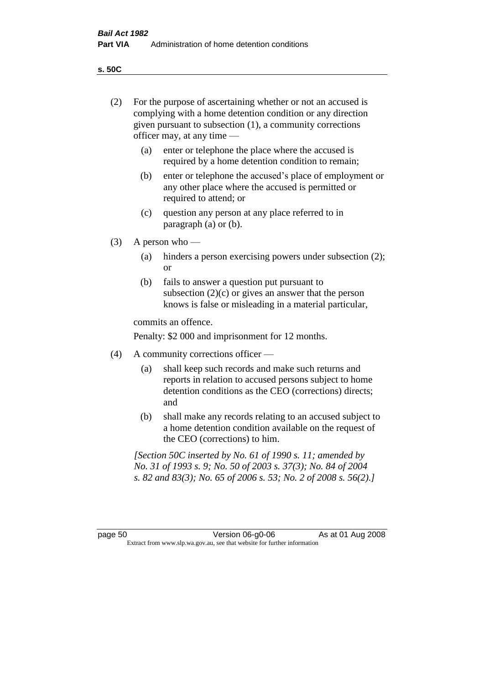**s. 50C**

| (2)     | For the purpose of ascertaining whether or not an accused is<br>complying with a home detention condition or any direction<br>given pursuant to subsection (1), a community corrections<br>officer may, at any time — |                                                                                                                                                                                              |  |
|---------|-----------------------------------------------------------------------------------------------------------------------------------------------------------------------------------------------------------------------|----------------------------------------------------------------------------------------------------------------------------------------------------------------------------------------------|--|
|         | (a)                                                                                                                                                                                                                   | enter or telephone the place where the accused is<br>required by a home detention condition to remain;                                                                                       |  |
|         | (b)                                                                                                                                                                                                                   | enter or telephone the accused's place of employment or<br>any other place where the accused is permitted or<br>required to attend; or                                                       |  |
|         | (c)                                                                                                                                                                                                                   | question any person at any place referred to in<br>paragraph $(a)$ or $(b)$ .                                                                                                                |  |
| (3)     | A person who $-$                                                                                                                                                                                                      |                                                                                                                                                                                              |  |
|         | (a)                                                                                                                                                                                                                   | hinders a person exercising powers under subsection (2);<br><sub>or</sub>                                                                                                                    |  |
|         | (b)                                                                                                                                                                                                                   | fails to answer a question put pursuant to<br>subsection $(2)(c)$ or gives an answer that the person<br>knows is false or misleading in a material particular,                               |  |
|         | commits an offence.                                                                                                                                                                                                   |                                                                                                                                                                                              |  |
|         |                                                                                                                                                                                                                       | Penalty: \$2 000 and imprisonment for 12 months.                                                                                                                                             |  |
| (4)     | A community corrections officer -                                                                                                                                                                                     |                                                                                                                                                                                              |  |
|         | (a)                                                                                                                                                                                                                   | shall keep such records and make such returns and<br>reports in relation to accused persons subject to home<br>detention conditions as the CEO (corrections) directs;<br>and                 |  |
|         | (b)                                                                                                                                                                                                                   | shall make any records relating to an accused subject to<br>a home detention condition available on the request of<br>the CEO (corrections) to him.                                          |  |
|         |                                                                                                                                                                                                                       | [Section 50C inserted by No. 61 of 1990 s. 11; amended by<br>No. 31 of 1993 s. 9; No. 50 of 2003 s. 37(3); No. 84 of 2004<br>s. 82 and 83(3); No. 65 of 2006 s. 53; No. 2 of 2008 s. 56(2).] |  |
|         |                                                                                                                                                                                                                       |                                                                                                                                                                                              |  |
| page 50 |                                                                                                                                                                                                                       | Version 06-g0-06<br>As at 01 Aug 2008<br>Extract from www.slp.wa.gov.au, see that website for further information                                                                            |  |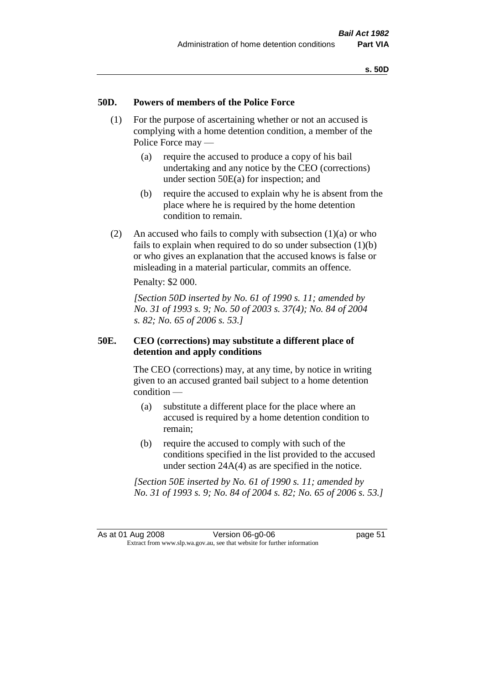### **50D. Powers of members of the Police Force**

- (1) For the purpose of ascertaining whether or not an accused is complying with a home detention condition, a member of the Police Force may —
	- (a) require the accused to produce a copy of his bail undertaking and any notice by the CEO (corrections) under section 50E(a) for inspection; and
	- (b) require the accused to explain why he is absent from the place where he is required by the home detention condition to remain.
- (2) An accused who fails to comply with subsection  $(1)(a)$  or who fails to explain when required to do so under subsection  $(1)(b)$ or who gives an explanation that the accused knows is false or misleading in a material particular, commits an offence.

Penalty: \$2 000.

*[Section 50D inserted by No. 61 of 1990 s. 11; amended by No. 31 of 1993 s. 9; No. 50 of 2003 s. 37(4); No. 84 of 2004 s. 82; No. 65 of 2006 s. 53.]* 

## **50E. CEO (corrections) may substitute a different place of detention and apply conditions**

The CEO (corrections) may, at any time, by notice in writing given to an accused granted bail subject to a home detention condition —

- (a) substitute a different place for the place where an accused is required by a home detention condition to remain;
- (b) require the accused to comply with such of the conditions specified in the list provided to the accused under section 24A(4) as are specified in the notice.

*[Section 50E inserted by No. 61 of 1990 s. 11; amended by No. 31 of 1993 s. 9; No. 84 of 2004 s. 82; No. 65 of 2006 s. 53.]*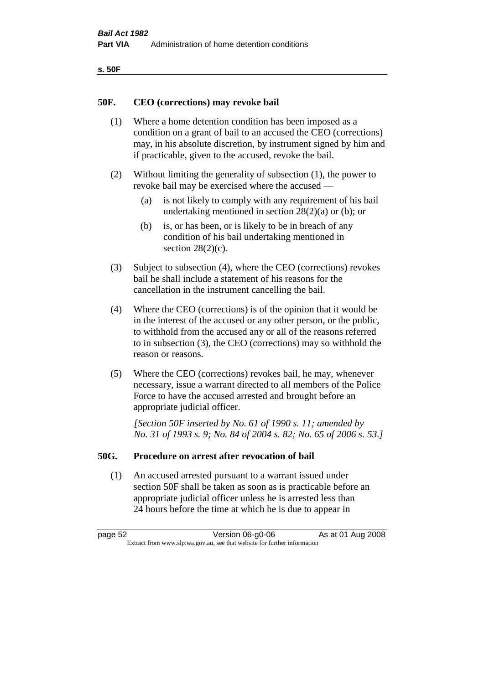| ۰.<br>×<br>-<br>۰.<br>× |  |
|-------------------------|--|
|-------------------------|--|

#### **50F. CEO (corrections) may revoke bail**

- (1) Where a home detention condition has been imposed as a condition on a grant of bail to an accused the CEO (corrections) may, in his absolute discretion, by instrument signed by him and if practicable, given to the accused, revoke the bail.
- (2) Without limiting the generality of subsection (1), the power to revoke bail may be exercised where the accused —
	- (a) is not likely to comply with any requirement of his bail undertaking mentioned in section  $28(2)(a)$  or (b); or
	- (b) is, or has been, or is likely to be in breach of any condition of his bail undertaking mentioned in section  $28(2)(c)$ .
- (3) Subject to subsection (4), where the CEO (corrections) revokes bail he shall include a statement of his reasons for the cancellation in the instrument cancelling the bail.
- (4) Where the CEO (corrections) is of the opinion that it would be in the interest of the accused or any other person, or the public, to withhold from the accused any or all of the reasons referred to in subsection (3), the CEO (corrections) may so withhold the reason or reasons.
- (5) Where the CEO (corrections) revokes bail, he may, whenever necessary, issue a warrant directed to all members of the Police Force to have the accused arrested and brought before an appropriate judicial officer.

*[Section 50F inserted by No. 61 of 1990 s. 11; amended by No. 31 of 1993 s. 9; No. 84 of 2004 s. 82; No. 65 of 2006 s. 53.]* 

#### **50G. Procedure on arrest after revocation of bail**

(1) An accused arrested pursuant to a warrant issued under section 50F shall be taken as soon as is practicable before an appropriate judicial officer unless he is arrested less than 24 hours before the time at which he is due to appear in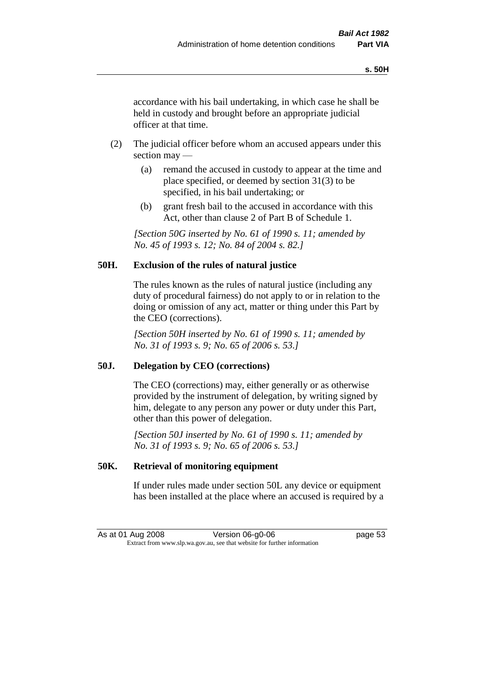accordance with his bail undertaking, in which case he shall be held in custody and brought before an appropriate judicial officer at that time.

- (2) The judicial officer before whom an accused appears under this section may —
	- (a) remand the accused in custody to appear at the time and place specified, or deemed by section 31(3) to be specified, in his bail undertaking; or
	- (b) grant fresh bail to the accused in accordance with this Act, other than clause 2 of Part B of Schedule 1.

*[Section 50G inserted by No. 61 of 1990 s. 11; amended by No. 45 of 1993 s. 12; No. 84 of 2004 s. 82.]* 

# **50H. Exclusion of the rules of natural justice**

The rules known as the rules of natural justice (including any duty of procedural fairness) do not apply to or in relation to the doing or omission of any act, matter or thing under this Part by the CEO (corrections).

*[Section 50H inserted by No. 61 of 1990 s. 11; amended by No. 31 of 1993 s. 9; No. 65 of 2006 s. 53.]* 

## **50J. Delegation by CEO (corrections)**

The CEO (corrections) may, either generally or as otherwise provided by the instrument of delegation, by writing signed by him, delegate to any person any power or duty under this Part, other than this power of delegation.

*[Section 50J inserted by No. 61 of 1990 s. 11; amended by No. 31 of 1993 s. 9; No. 65 of 2006 s. 53.]* 

## **50K. Retrieval of monitoring equipment**

If under rules made under section 50L any device or equipment has been installed at the place where an accused is required by a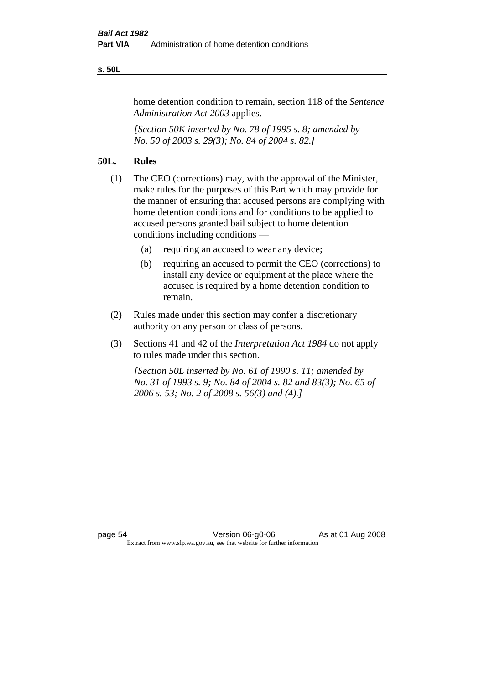#### **s. 50L**

home detention condition to remain, section 118 of the *Sentence Administration Act 2003* applies.

*[Section 50K inserted by No. 78 of 1995 s. 8; amended by No. 50 of 2003 s. 29(3); No. 84 of 2004 s. 82.]* 

# **50L. Rules**

- (1) The CEO (corrections) may, with the approval of the Minister, make rules for the purposes of this Part which may provide for the manner of ensuring that accused persons are complying with home detention conditions and for conditions to be applied to accused persons granted bail subject to home detention conditions including conditions —
	- (a) requiring an accused to wear any device;
	- (b) requiring an accused to permit the CEO (corrections) to install any device or equipment at the place where the accused is required by a home detention condition to remain.
- (2) Rules made under this section may confer a discretionary authority on any person or class of persons.
- (3) Sections 41 and 42 of the *Interpretation Act 1984* do not apply to rules made under this section.

*[Section 50L inserted by No. 61 of 1990 s. 11; amended by No. 31 of 1993 s. 9; No. 84 of 2004 s. 82 and 83(3); No. 65 of 2006 s. 53; No. 2 of 2008 s. 56(3) and (4).]*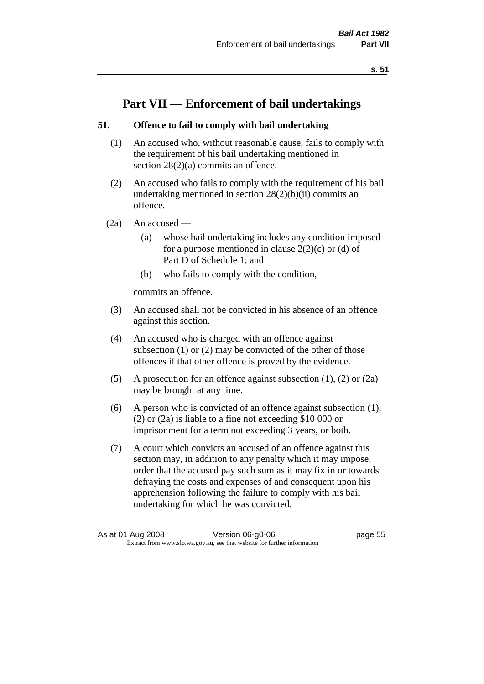# **Part VII — Enforcement of bail undertakings**

# **51. Offence to fail to comply with bail undertaking**

- (1) An accused who, without reasonable cause, fails to comply with the requirement of his bail undertaking mentioned in section  $28(2)(a)$  commits an offence.
- (2) An accused who fails to comply with the requirement of his bail undertaking mentioned in section  $28(2)(b)(ii)$  commits an offence.
- $(2a)$  An accused
	- (a) whose bail undertaking includes any condition imposed for a purpose mentioned in clause  $2(2)(c)$  or (d) of Part D of Schedule 1; and
	- (b) who fails to comply with the condition,

commits an offence.

- (3) An accused shall not be convicted in his absence of an offence against this section.
- (4) An accused who is charged with an offence against subsection (1) or (2) may be convicted of the other of those offences if that other offence is proved by the evidence.
- (5) A prosecution for an offence against subsection (1), (2) or (2a) may be brought at any time.
- (6) A person who is convicted of an offence against subsection (1), (2) or (2a) is liable to a fine not exceeding \$10 000 or imprisonment for a term not exceeding 3 years, or both.
- (7) A court which convicts an accused of an offence against this section may, in addition to any penalty which it may impose, order that the accused pay such sum as it may fix in or towards defraying the costs and expenses of and consequent upon his apprehension following the failure to comply with his bail undertaking for which he was convicted.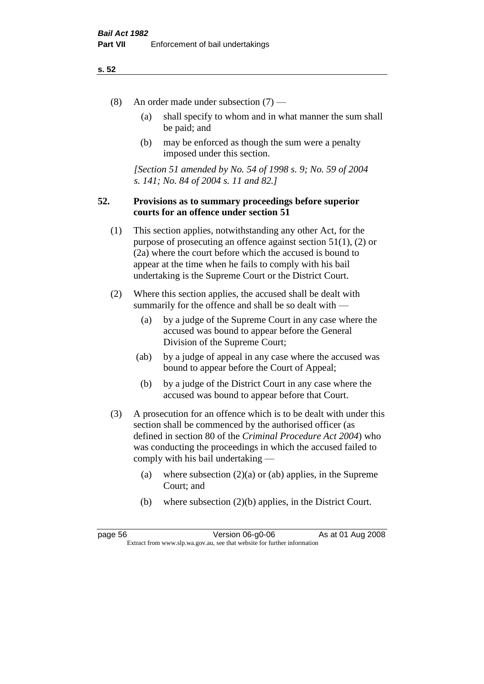- (8) An order made under subsection (7)
	- (a) shall specify to whom and in what manner the sum shall be paid; and
	- (b) may be enforced as though the sum were a penalty imposed under this section.

*[Section 51 amended by No. 54 of 1998 s. 9; No. 59 of 2004 s. 141; No. 84 of 2004 s. 11 and 82.]*

## **52. Provisions as to summary proceedings before superior courts for an offence under section 51**

- (1) This section applies, notwithstanding any other Act, for the purpose of prosecuting an offence against section 51(1), (2) or (2a) where the court before which the accused is bound to appear at the time when he fails to comply with his bail undertaking is the Supreme Court or the District Court.
- (2) Where this section applies, the accused shall be dealt with summarily for the offence and shall be so dealt with —
	- (a) by a judge of the Supreme Court in any case where the accused was bound to appear before the General Division of the Supreme Court;
	- (ab) by a judge of appeal in any case where the accused was bound to appear before the Court of Appeal;
	- (b) by a judge of the District Court in any case where the accused was bound to appear before that Court.
- (3) A prosecution for an offence which is to be dealt with under this section shall be commenced by the authorised officer (as defined in section 80 of the *Criminal Procedure Act 2004*) who was conducting the proceedings in which the accused failed to comply with his bail undertaking —
	- (a) where subsection  $(2)(a)$  or (ab) applies, in the Supreme Court; and
	- (b) where subsection (2)(b) applies, in the District Court.

page 56 Version 06-g0-06 As at 01 Aug 2008 Extract from www.slp.wa.gov.au, see that website for further information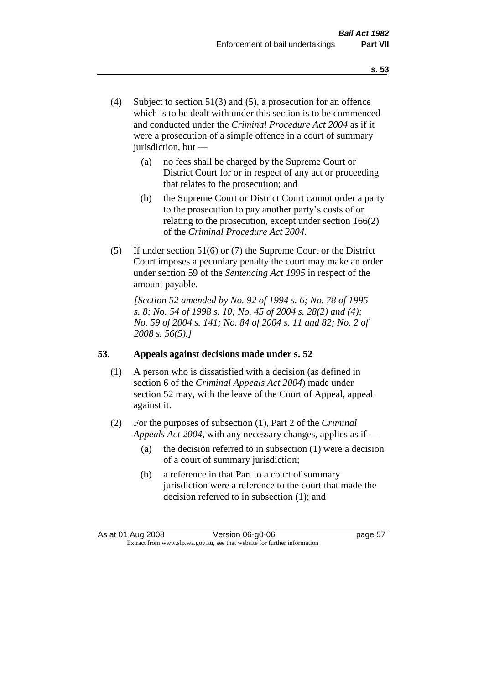- (4) Subject to section 51(3) and (5), a prosecution for an offence which is to be dealt with under this section is to be commenced and conducted under the *Criminal Procedure Act 2004* as if it were a prosecution of a simple offence in a court of summary jurisdiction, but —
	- (a) no fees shall be charged by the Supreme Court or District Court for or in respect of any act or proceeding that relates to the prosecution; and
	- (b) the Supreme Court or District Court cannot order a party to the prosecution to pay another party's costs of or relating to the prosecution, except under section 166(2) of the *Criminal Procedure Act 2004*.
- (5) If under section 51(6) or (7) the Supreme Court or the District Court imposes a pecuniary penalty the court may make an order under section 59 of the *Sentencing Act 1995* in respect of the amount payable.

*[Section 52 amended by No. 92 of 1994 s. 6; No. 78 of 1995 s. 8; No. 54 of 1998 s. 10; No. 45 of 2004 s. 28(2) and (4); No. 59 of 2004 s. 141; No. 84 of 2004 s. 11 and 82; No. 2 of 2008 s. 56(5).]* 

# **53. Appeals against decisions made under s. 52**

- (1) A person who is dissatisfied with a decision (as defined in section 6 of the *Criminal Appeals Act 2004*) made under section 52 may, with the leave of the Court of Appeal, appeal against it.
- (2) For the purposes of subsection (1), Part 2 of the *Criminal Appeals Act 2004*, with any necessary changes, applies as if —
	- (a) the decision referred to in subsection (1) were a decision of a court of summary jurisdiction;
	- (b) a reference in that Part to a court of summary jurisdiction were a reference to the court that made the decision referred to in subsection (1); and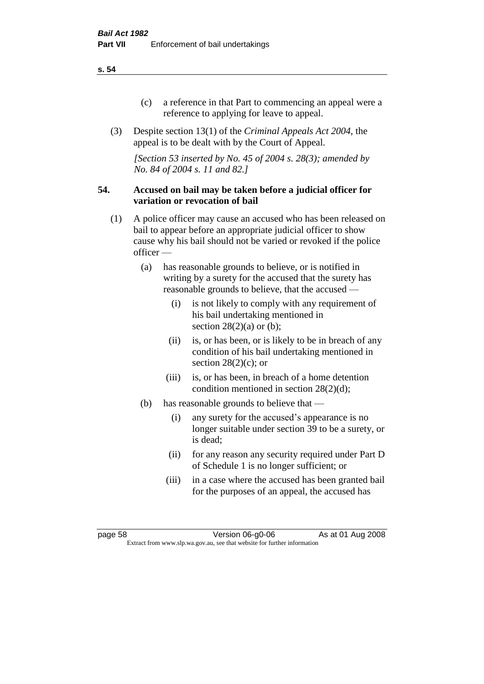- (c) a reference in that Part to commencing an appeal were a reference to applying for leave to appeal.
- (3) Despite section 13(1) of the *Criminal Appeals Act 2004*, the appeal is to be dealt with by the Court of Appeal.

*[Section 53 inserted by No. 45 of 2004 s. 28(3); amended by No. 84 of 2004 s. 11 and 82.]*

#### **54. Accused on bail may be taken before a judicial officer for variation or revocation of bail**

- (1) A police officer may cause an accused who has been released on bail to appear before an appropriate judicial officer to show cause why his bail should not be varied or revoked if the police officer —
	- (a) has reasonable grounds to believe, or is notified in writing by a surety for the accused that the surety has reasonable grounds to believe, that the accused —
		- (i) is not likely to comply with any requirement of his bail undertaking mentioned in section  $28(2)(a)$  or (b);
		- (ii) is, or has been, or is likely to be in breach of any condition of his bail undertaking mentioned in section  $28(2)(c)$ ; or
		- (iii) is, or has been, in breach of a home detention condition mentioned in section 28(2)(d);
	- (b) has reasonable grounds to believe that
		- (i) any surety for the accused's appearance is no longer suitable under section 39 to be a surety, or is dead;
		- (ii) for any reason any security required under Part D of Schedule 1 is no longer sufficient; or
		- (iii) in a case where the accused has been granted bail for the purposes of an appeal, the accused has

page 58 Version 06-g0-06 As at 01 Aug 2008 Extract from www.slp.wa.gov.au, see that website for further information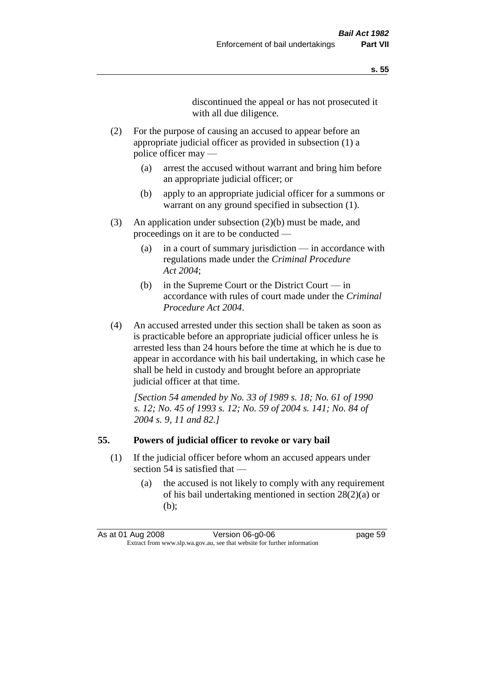discontinued the appeal or has not prosecuted it with all due diligence.

- (2) For the purpose of causing an accused to appear before an appropriate judicial officer as provided in subsection (1) a police officer may —
	- (a) arrest the accused without warrant and bring him before an appropriate judicial officer; or
	- (b) apply to an appropriate judicial officer for a summons or warrant on any ground specified in subsection  $(1)$ .
- (3) An application under subsection (2)(b) must be made, and proceedings on it are to be conducted —
	- (a) in a court of summary jurisdiction in accordance with regulations made under the *Criminal Procedure Act 2004*;
	- (b) in the Supreme Court or the District Court in accordance with rules of court made under the *Criminal Procedure Act 2004*.
- (4) An accused arrested under this section shall be taken as soon as is practicable before an appropriate judicial officer unless he is arrested less than 24 hours before the time at which he is due to appear in accordance with his bail undertaking, in which case he shall be held in custody and brought before an appropriate judicial officer at that time.

*[Section 54 amended by No. 33 of 1989 s. 18; No. 61 of 1990 s. 12; No. 45 of 1993 s. 12; No. 59 of 2004 s. 141; No. 84 of 2004 s. 9, 11 and 82.]* 

#### **55. Powers of judicial officer to revoke or vary bail**

- (1) If the judicial officer before whom an accused appears under section 54 is satisfied that —
	- (a) the accused is not likely to comply with any requirement of his bail undertaking mentioned in section 28(2)(a) or (b);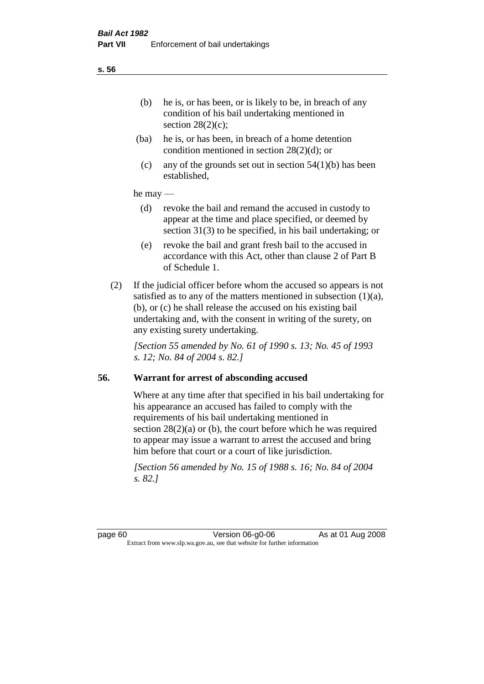- (ba) he is, or has been, in breach of a home detention condition mentioned in section 28(2)(d); or
- (c) any of the grounds set out in section  $54(1)(b)$  has been established,

## he may —

- (d) revoke the bail and remand the accused in custody to appear at the time and place specified, or deemed by section 31(3) to be specified, in his bail undertaking; or
- (e) revoke the bail and grant fresh bail to the accused in accordance with this Act, other than clause 2 of Part B of Schedule 1.
- (2) If the judicial officer before whom the accused so appears is not satisfied as to any of the matters mentioned in subsection (1)(a), (b), or (c) he shall release the accused on his existing bail undertaking and, with the consent in writing of the surety, on any existing surety undertaking.

*[Section 55 amended by No. 61 of 1990 s. 13; No. 45 of 1993 s. 12; No. 84 of 2004 s. 82.]*

# **56. Warrant for arrest of absconding accused**

Where at any time after that specified in his bail undertaking for his appearance an accused has failed to comply with the requirements of his bail undertaking mentioned in section  $28(2)(a)$  or (b), the court before which he was required to appear may issue a warrant to arrest the accused and bring him before that court or a court of like jurisdiction.

*[Section 56 amended by No. 15 of 1988 s. 16; No. 84 of 2004 s. 82.]*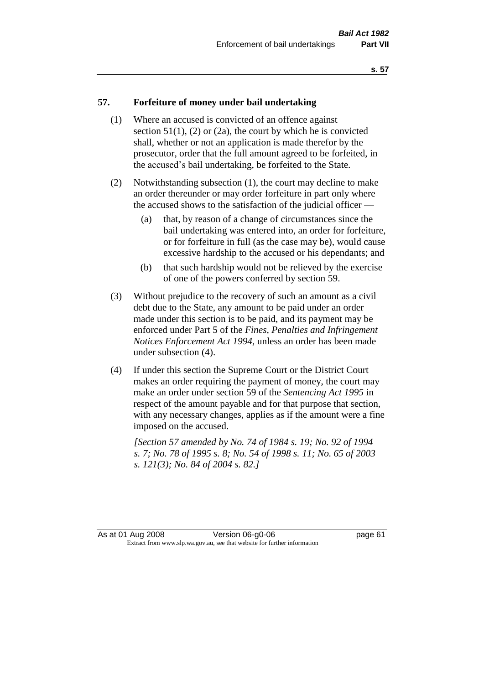#### **57. Forfeiture of money under bail undertaking**

- (1) Where an accused is convicted of an offence against section  $51(1)$ ,  $(2)$  or  $(2a)$ , the court by which he is convicted shall, whether or not an application is made therefor by the prosecutor, order that the full amount agreed to be forfeited, in the accused's bail undertaking, be forfeited to the State.
- (2) Notwithstanding subsection (1), the court may decline to make an order thereunder or may order forfeiture in part only where the accused shows to the satisfaction of the judicial officer —
	- (a) that, by reason of a change of circumstances since the bail undertaking was entered into, an order for forfeiture, or for forfeiture in full (as the case may be), would cause excessive hardship to the accused or his dependants; and
	- (b) that such hardship would not be relieved by the exercise of one of the powers conferred by section 59.
- (3) Without prejudice to the recovery of such an amount as a civil debt due to the State, any amount to be paid under an order made under this section is to be paid, and its payment may be enforced under Part 5 of the *Fines, Penalties and Infringement Notices Enforcement Act 1994*, unless an order has been made under subsection (4).
- (4) If under this section the Supreme Court or the District Court makes an order requiring the payment of money, the court may make an order under section 59 of the *Sentencing Act 1995* in respect of the amount payable and for that purpose that section, with any necessary changes, applies as if the amount were a fine imposed on the accused.

*[Section 57 amended by No. 74 of 1984 s. 19; No. 92 of 1994 s. 7; No. 78 of 1995 s. 8; No. 54 of 1998 s. 11; No. 65 of 2003 s. 121(3); No. 84 of 2004 s. 82.]*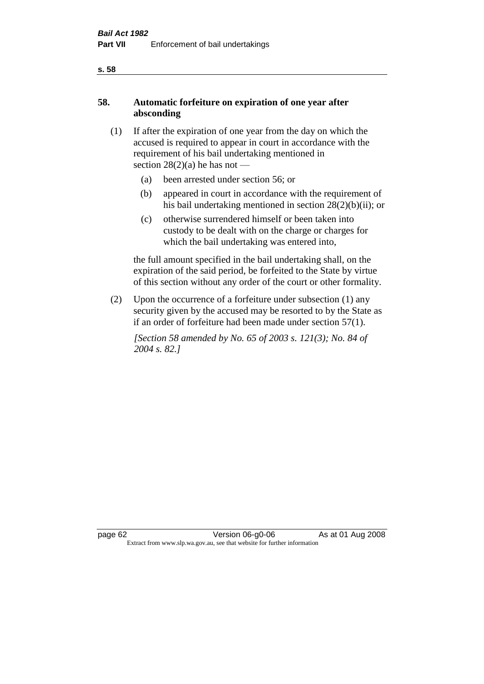# **58. Automatic forfeiture on expiration of one year after absconding**

- (1) If after the expiration of one year from the day on which the accused is required to appear in court in accordance with the requirement of his bail undertaking mentioned in section  $28(2)(a)$  he has not —
	- (a) been arrested under section 56; or
	- (b) appeared in court in accordance with the requirement of his bail undertaking mentioned in section 28(2)(b)(ii); or
	- (c) otherwise surrendered himself or been taken into custody to be dealt with on the charge or charges for which the bail undertaking was entered into,

the full amount specified in the bail undertaking shall, on the expiration of the said period, be forfeited to the State by virtue of this section without any order of the court or other formality.

(2) Upon the occurrence of a forfeiture under subsection (1) any security given by the accused may be resorted to by the State as if an order of forfeiture had been made under section 57(1).

*[Section 58 amended by No. 65 of 2003 s. 121(3); No. 84 of 2004 s. 82.]*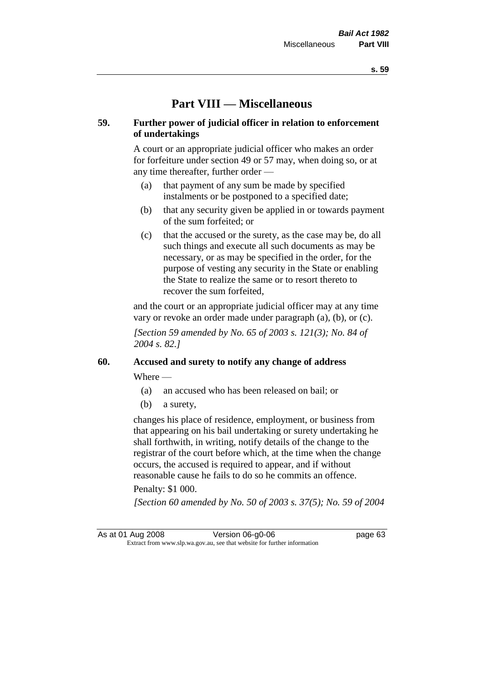# **Part VIII — Miscellaneous**

# **59. Further power of judicial officer in relation to enforcement of undertakings**

A court or an appropriate judicial officer who makes an order for forfeiture under section 49 or 57 may, when doing so, or at any time thereafter, further order —

- (a) that payment of any sum be made by specified instalments or be postponed to a specified date;
- (b) that any security given be applied in or towards payment of the sum forfeited; or
- (c) that the accused or the surety, as the case may be, do all such things and execute all such documents as may be necessary, or as may be specified in the order, for the purpose of vesting any security in the State or enabling the State to realize the same or to resort thereto to recover the sum forfeited,

and the court or an appropriate judicial officer may at any time vary or revoke an order made under paragraph (a), (b), or (c).

*[Section 59 amended by No. 65 of 2003 s. 121(3); No. 84 of 2004 s. 82.]*

# **60. Accused and surety to notify any change of address**

Where —

- (a) an accused who has been released on bail; or
- (b) a surety,

changes his place of residence, employment, or business from that appearing on his bail undertaking or surety undertaking he shall forthwith, in writing, notify details of the change to the registrar of the court before which, at the time when the change occurs, the accused is required to appear, and if without reasonable cause he fails to do so he commits an offence.

#### Penalty: \$1 000.

*[Section 60 amended by No. 50 of 2003 s. 37(5); No. 59 of 2004* 

As at 01 Aug 2008 Version 06-g0-06 Page 63 Extract from www.slp.wa.gov.au, see that website for further information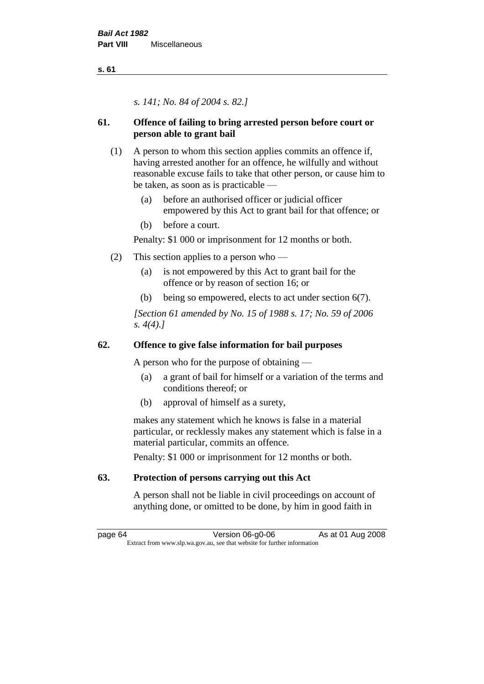*s. 141; No. 84 of 2004 s. 82.]*

# **61. Offence of failing to bring arrested person before court or person able to grant bail**

- (1) A person to whom this section applies commits an offence if, having arrested another for an offence, he wilfully and without reasonable excuse fails to take that other person, or cause him to be taken, as soon as is practicable —
	- (a) before an authorised officer or judicial officer empowered by this Act to grant bail for that offence; or
	- (b) before a court.

Penalty: \$1 000 or imprisonment for 12 months or both.

- (2) This section applies to a person who
	- (a) is not empowered by this Act to grant bail for the offence or by reason of section 16; or
	- (b) being so empowered, elects to act under section 6(7).

*[Section 61 amended by No. 15 of 1988 s. 17; No. 59 of 2006 s. 4(4).]* 

# **62. Offence to give false information for bail purposes**

A person who for the purpose of obtaining —

- (a) a grant of bail for himself or a variation of the terms and conditions thereof; or
- (b) approval of himself as a surety,

makes any statement which he knows is false in a material particular, or recklessly makes any statement which is false in a material particular, commits an offence.

Penalty: \$1 000 or imprisonment for 12 months or both.

# **63. Protection of persons carrying out this Act**

A person shall not be liable in civil proceedings on account of anything done, or omitted to be done, by him in good faith in

page 64 **Version 06-g0-06** As at 01 Aug 2008 Extract from www.slp.wa.gov.au, see that website for further information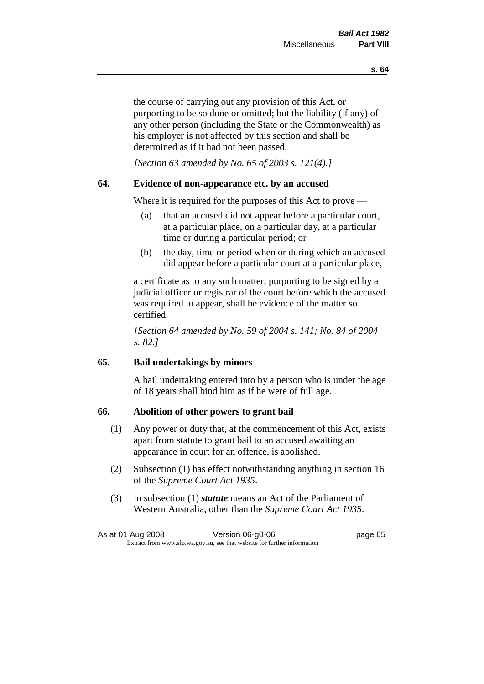the course of carrying out any provision of this Act, or purporting to be so done or omitted; but the liability (if any) of any other person (including the State or the Commonwealth) as his employer is not affected by this section and shall be determined as if it had not been passed.

*[Section 63 amended by No. 65 of 2003 s. 121(4).]*

# **64. Evidence of non-appearance etc. by an accused**

Where it is required for the purposes of this Act to prove —

- (a) that an accused did not appear before a particular court, at a particular place, on a particular day, at a particular time or during a particular period; or
- (b) the day, time or period when or during which an accused did appear before a particular court at a particular place,

a certificate as to any such matter, purporting to be signed by a judicial officer or registrar of the court before which the accused was required to appear, shall be evidence of the matter so certified.

*[Section 64 amended by No. 59 of 2004 s. 141; No. 84 of 2004 s. 82.]* 

# **65. Bail undertakings by minors**

A bail undertaking entered into by a person who is under the age of 18 years shall bind him as if he were of full age.

# **66. Abolition of other powers to grant bail**

- (1) Any power or duty that, at the commencement of this Act, exists apart from statute to grant bail to an accused awaiting an appearance in court for an offence, is abolished.
- (2) Subsection (1) has effect notwithstanding anything in section 16 of the *Supreme Court Act 1935*.
- (3) In subsection (1) *statute* means an Act of the Parliament of Western Australia, other than the *Supreme Court Act 1935*.

|                                                                          | As at 01 Aug 2008 | Version 06-g0-06 | page 65 |
|--------------------------------------------------------------------------|-------------------|------------------|---------|
| Extract from www.slp.wa.gov.au, see that website for further information |                   |                  |         |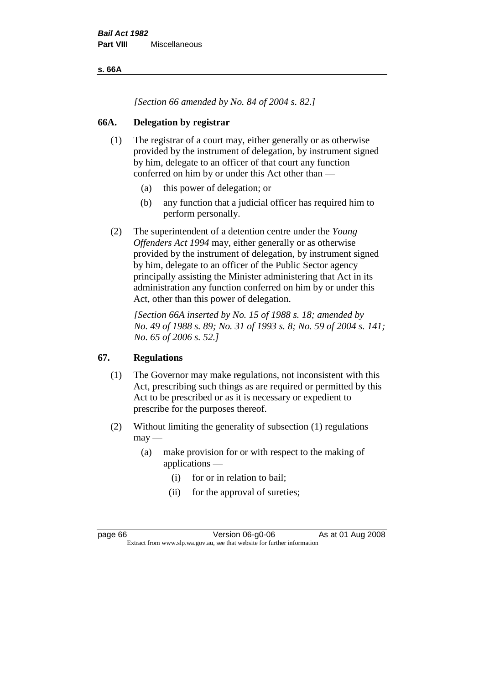**s. 66A**

*[Section 66 amended by No. 84 of 2004 s. 82.]*

# **66A. Delegation by registrar**

- (1) The registrar of a court may, either generally or as otherwise provided by the instrument of delegation, by instrument signed by him, delegate to an officer of that court any function conferred on him by or under this Act other than —
	- (a) this power of delegation; or
	- (b) any function that a judicial officer has required him to perform personally.
- (2) The superintendent of a detention centre under the *Young Offenders Act 1994* may, either generally or as otherwise provided by the instrument of delegation, by instrument signed by him, delegate to an officer of the Public Sector agency principally assisting the Minister administering that Act in its administration any function conferred on him by or under this Act, other than this power of delegation.

*[Section 66A inserted by No. 15 of 1988 s. 18; amended by No. 49 of 1988 s. 89; No. 31 of 1993 s. 8; No. 59 of 2004 s. 141; No. 65 of 2006 s. 52.]* 

# **67. Regulations**

- (1) The Governor may make regulations, not inconsistent with this Act, prescribing such things as are required or permitted by this Act to be prescribed or as it is necessary or expedient to prescribe for the purposes thereof.
- (2) Without limiting the generality of subsection (1) regulations  $may -$ 
	- (a) make provision for or with respect to the making of applications —
		- (i) for or in relation to bail;
		- (ii) for the approval of sureties;

page 66 **Version 06-g0-06** As at 01 Aug 2008 Extract from www.slp.wa.gov.au, see that website for further information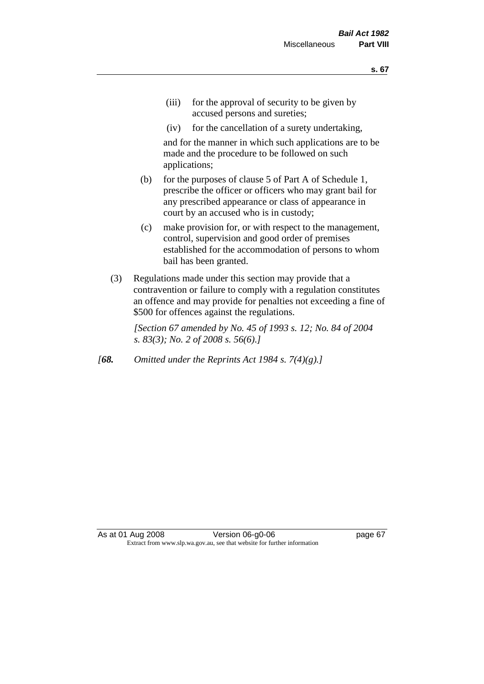- (iii) for the approval of security to be given by accused persons and sureties;
- (iv) for the cancellation of a surety undertaking,

and for the manner in which such applications are to be made and the procedure to be followed on such applications;

- (b) for the purposes of clause 5 of Part A of Schedule 1, prescribe the officer or officers who may grant bail for any prescribed appearance or class of appearance in court by an accused who is in custody;
- (c) make provision for, or with respect to the management, control, supervision and good order of premises established for the accommodation of persons to whom bail has been granted.
- (3) Regulations made under this section may provide that a contravention or failure to comply with a regulation constitutes an offence and may provide for penalties not exceeding a fine of \$500 for offences against the regulations.

*[Section 67 amended by No. 45 of 1993 s. 12; No. 84 of 2004 s. 83(3); No. 2 of 2008 s. 56(6).]* 

*[68. Omitted under the Reprints Act 1984 s. 7(4)(g).]*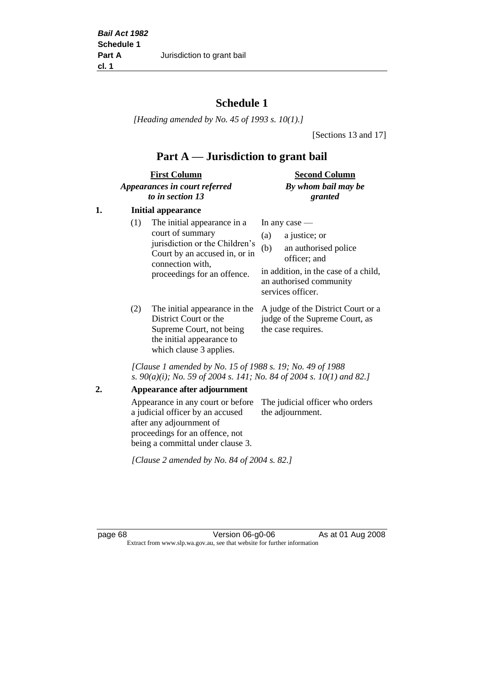# **Schedule 1**

*[Heading amended by No. 45 of 1993 s. 10(1).]*

[Sections 13 and 17]

# **Part A — Jurisdiction to grant bail**

| <b>First Column</b>           | <b>Second Column</b> |
|-------------------------------|----------------------|
| Appearances in court referred | By whom bail may be  |
| to in section 13              | granted              |

# **1. Initial appearance**

| (1) | The initial appearance in a<br>court of summary<br>jurisdiction or the Children's<br>Court by an accused in, or in<br>connection with,<br>proceedings for an offence. | In any case $-$<br>a justice; or<br>(a)<br>an authorised police<br>(b)<br>officer; and<br>in addition, in the case of a child,<br>an authorised community |
|-----|-----------------------------------------------------------------------------------------------------------------------------------------------------------------------|-----------------------------------------------------------------------------------------------------------------------------------------------------------|
|     |                                                                                                                                                                       | services officer.                                                                                                                                         |
|     |                                                                                                                                                                       |                                                                                                                                                           |

District Court or the Supreme Court, not being the initial appearance to which clause 3 applies.

(2) The initial appearance in the A judge of the District Court or a judge of the Supreme Court, as the case requires.

*[Clause 1 amended by No. 15 of 1988 s. 19; No. 49 of 1988 s. 90(a)(i); No. 59 of 2004 s. 141; No. 84 of 2004 s. 10(1) and 82.]*

## **2. Appearance after adjournment**

Appearance in any court or before The judicial officer who orders a judicial officer by an accused after any adjournment of proceedings for an offence, not being a committal under clause 3. the adjournment.

*[Clause 2 amended by No. 84 of 2004 s. 82.]*

page 68 Version 06-g0-06 As at 01 Aug 2008 Extract from www.slp.wa.gov.au, see that website for further information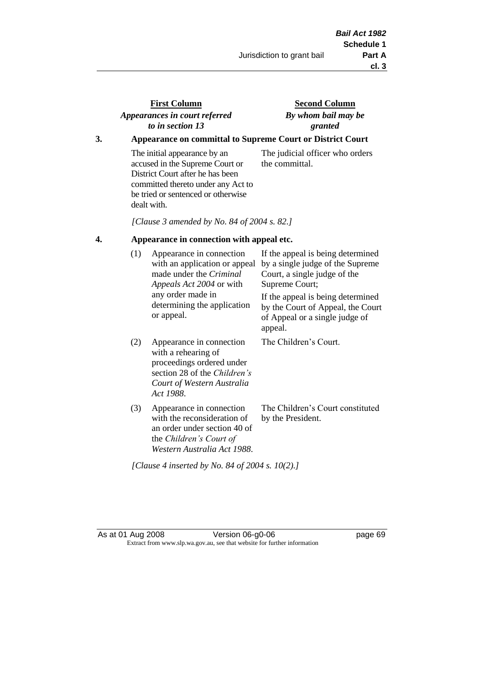# **First Column** *Appearances in court referred to in section 13*

**Second Column** *By whom bail may be granted*

# **3. Appearance on committal to Supreme Court or District Court**

The initial appearance by an accused in the Supreme Court or District Court after he has been committed thereto under any Act to be tried or sentenced or otherwise dealt with.

The judicial officer who orders the committal.

*[Clause 3 amended by No. 84 of 2004 s. 82.]*

## **4. Appearance in connection with appeal etc.**

| (1) | Appearance in connection<br>with an application or appeal<br>made under the <i>Criminal</i><br><i>Appeals Act 2004</i> or with<br>any order made in<br>determining the application<br>or appeal. | If the appeal is being determined<br>by a single judge of the Supreme<br>Court, a single judge of the<br>Supreme Court;<br>If the appeal is being determined<br>by the Court of Appeal, the Court<br>of Appeal or a single judge of<br>appeal. |
|-----|--------------------------------------------------------------------------------------------------------------------------------------------------------------------------------------------------|------------------------------------------------------------------------------------------------------------------------------------------------------------------------------------------------------------------------------------------------|
| (2) | Appearance in connection<br>with a rehearing of<br>proceedings ordered under<br>section 28 of the Children's<br>Court of Western Australia<br>Act 1988.                                          | The Children's Court.                                                                                                                                                                                                                          |
| (3) | Appearance in connection<br>with the reconsideration of<br>an order under section 40 of<br>the Children's Court of<br>Western Australia Act 1988.                                                | The Children's Court constituted<br>by the President.                                                                                                                                                                                          |

*[Clause 4 inserted by No. 84 of 2004 s. 10(2).]*

As at 01 Aug 2008 Version 06-g0-06 **Page 69** page 69 Extract from www.slp.wa.gov.au, see that website for further information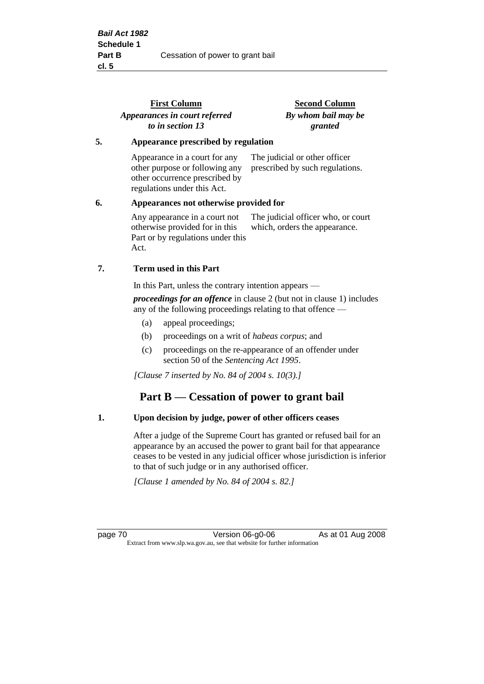|    | <b>First Column</b><br>Appearances in court referred<br>to in section 13                                                         | <b>Second Column</b><br>By whom bail may be<br>granted              |
|----|----------------------------------------------------------------------------------------------------------------------------------|---------------------------------------------------------------------|
| 5. | Appearance prescribed by regulation                                                                                              |                                                                     |
|    | Appearance in a court for any<br>other purpose or following any<br>other occurrence prescribed by<br>regulations under this Act. | The judicial or other officer<br>prescribed by such regulations.    |
| 6. | Appearances not otherwise provided for                                                                                           |                                                                     |
|    | Any appearance in a court not<br>otherwise provided for in this<br>Part or by regulations under this<br>Act.                     | The judicial officer who, or court<br>which, orders the appearance. |
| 7. | Term used in this Part                                                                                                           |                                                                     |
|    | In this Part, unless the contrary intention appears —                                                                            |                                                                     |
|    |                                                                                                                                  |                                                                     |

*proceedings for an offence* in clause 2 (but not in clause 1) includes any of the following proceedings relating to that offence —

- (a) appeal proceedings;
- (b) proceedings on a writ of *habeas corpus*; and
- (c) proceedings on the re-appearance of an offender under section 50 of the *Sentencing Act 1995*.

*[Clause 7 inserted by No. 84 of 2004 s. 10(3).]*

# **Part B — Cessation of power to grant bail**

## **1. Upon decision by judge, power of other officers ceases**

After a judge of the Supreme Court has granted or refused bail for an appearance by an accused the power to grant bail for that appearance ceases to be vested in any judicial officer whose jurisdiction is inferior to that of such judge or in any authorised officer.

*[Clause 1 amended by No. 84 of 2004 s. 82.]*

page 70 **Version 06-g0-06** As at 01 Aug 2008 Extract from www.slp.wa.gov.au, see that website for further information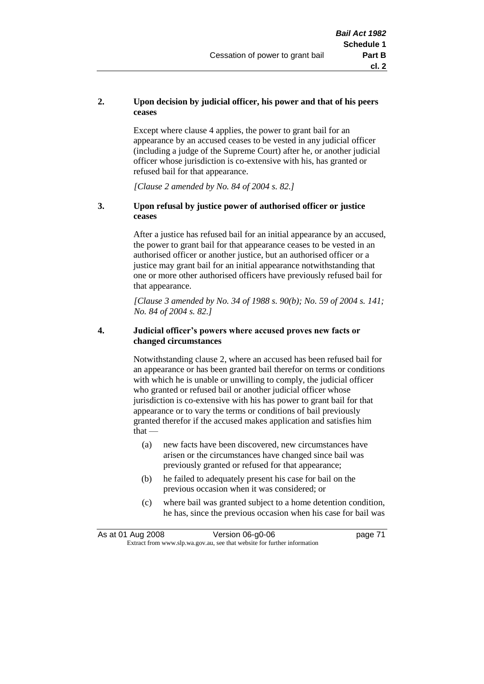## **2. Upon decision by judicial officer, his power and that of his peers ceases**

Except where clause 4 applies, the power to grant bail for an appearance by an accused ceases to be vested in any judicial officer (including a judge of the Supreme Court) after he, or another judicial officer whose jurisdiction is co-extensive with his, has granted or refused bail for that appearance.

*[Clause 2 amended by No. 84 of 2004 s. 82.]*

## **3. Upon refusal by justice power of authorised officer or justice ceases**

After a justice has refused bail for an initial appearance by an accused, the power to grant bail for that appearance ceases to be vested in an authorised officer or another justice, but an authorised officer or a justice may grant bail for an initial appearance notwithstanding that one or more other authorised officers have previously refused bail for that appearance.

*[Clause 3 amended by No. 34 of 1988 s. 90(b); No. 59 of 2004 s. 141; No. 84 of 2004 s. 82.]*

### **4. Judicial officer's powers where accused proves new facts or changed circumstances**

Notwithstanding clause 2, where an accused has been refused bail for an appearance or has been granted bail therefor on terms or conditions with which he is unable or unwilling to comply, the judicial officer who granted or refused bail or another judicial officer whose jurisdiction is co-extensive with his has power to grant bail for that appearance or to vary the terms or conditions of bail previously granted therefor if the accused makes application and satisfies him  $that -$ 

- (a) new facts have been discovered, new circumstances have arisen or the circumstances have changed since bail was previously granted or refused for that appearance;
- (b) he failed to adequately present his case for bail on the previous occasion when it was considered; or
- (c) where bail was granted subject to a home detention condition, he has, since the previous occasion when his case for bail was

| As at 01 Aug 2008 | Version 06-g0-06                                                         | page 71 |
|-------------------|--------------------------------------------------------------------------|---------|
|                   | Extract from www.slp.wa.gov.au, see that website for further information |         |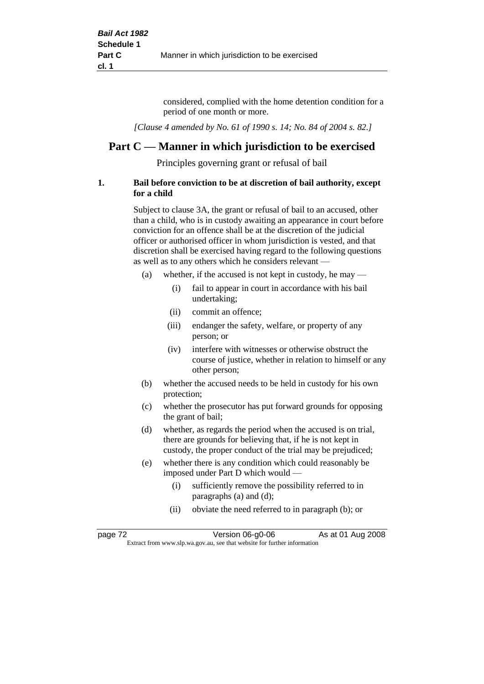considered, complied with the home detention condition for a period of one month or more.

*[Clause 4 amended by No. 61 of 1990 s. 14; No. 84 of 2004 s. 82.]*

# **Part C — Manner in which jurisdiction to be exercised**

Principles governing grant or refusal of bail

## **1. Bail before conviction to be at discretion of bail authority, except for a child**

Subject to clause 3A, the grant or refusal of bail to an accused, other than a child, who is in custody awaiting an appearance in court before conviction for an offence shall be at the discretion of the judicial officer or authorised officer in whom jurisdiction is vested, and that discretion shall be exercised having regard to the following questions as well as to any others which he considers relevant —

- (a) whether, if the accused is not kept in custody, he may
	- (i) fail to appear in court in accordance with his bail undertaking;
	- (ii) commit an offence;
	- (iii) endanger the safety, welfare, or property of any person; or
	- (iv) interfere with witnesses or otherwise obstruct the course of justice, whether in relation to himself or any other person;
- (b) whether the accused needs to be held in custody for his own protection;
- (c) whether the prosecutor has put forward grounds for opposing the grant of bail;
- (d) whether, as regards the period when the accused is on trial, there are grounds for believing that, if he is not kept in custody, the proper conduct of the trial may be prejudiced;
- (e) whether there is any condition which could reasonably be imposed under Part D which would —
	- (i) sufficiently remove the possibility referred to in paragraphs (a) and (d);
	- (ii) obviate the need referred to in paragraph (b); or

| page 72 | Version 06-g0-06                                                         | As at 01 Aug 2008 |  |
|---------|--------------------------------------------------------------------------|-------------------|--|
|         | Extract from www.slp.wa.gov.au, see that website for further information |                   |  |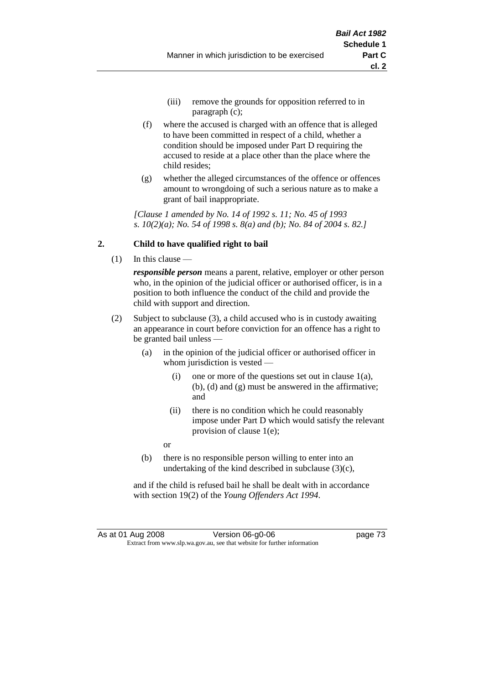- (iii) remove the grounds for opposition referred to in paragraph (c);
- (f) where the accused is charged with an offence that is alleged to have been committed in respect of a child, whether a condition should be imposed under Part D requiring the accused to reside at a place other than the place where the child resides;
- (g) whether the alleged circumstances of the offence or offences amount to wrongdoing of such a serious nature as to make a grant of bail inappropriate.

*[Clause 1 amended by No. 14 of 1992 s. 11; No. 45 of 1993 s. 10(2)(a); No. 54 of 1998 s. 8(a) and (b); No. 84 of 2004 s. 82.]*

# **2. Child to have qualified right to bail**

(1) In this clause —

*responsible person* means a parent, relative, employer or other person who, in the opinion of the judicial officer or authorised officer, is in a position to both influence the conduct of the child and provide the child with support and direction.

- (2) Subject to subclause (3), a child accused who is in custody awaiting an appearance in court before conviction for an offence has a right to be granted bail unless —
	- (a) in the opinion of the judicial officer or authorised officer in whom jurisdiction is vested —
		- (i) one or more of the questions set out in clause  $1(a)$ , (b), (d) and (g) must be answered in the affirmative; and
		- (ii) there is no condition which he could reasonably impose under Part D which would satisfy the relevant provision of clause 1(e);
		- or
	- (b) there is no responsible person willing to enter into an undertaking of the kind described in subclause (3)(c),

and if the child is refused bail he shall be dealt with in accordance with section 19(2) of the *Young Offenders Act 1994*.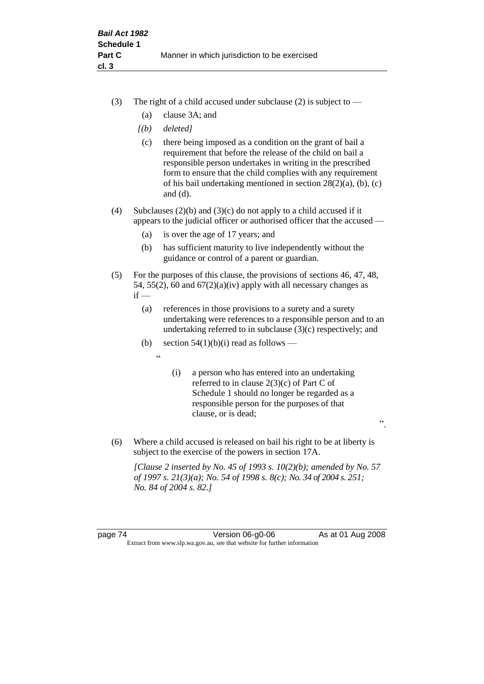- (3) The right of a child accused under subclause (2) is subject to  $-$ 
	- (a) clause 3A; and
	- *[(b) deleted]*
	- (c) there being imposed as a condition on the grant of bail a requirement that before the release of the child on bail a responsible person undertakes in writing in the prescribed form to ensure that the child complies with any requirement of his bail undertaking mentioned in section 28(2)(a), (b), (c) and (d).
- (4) Subclauses (2)(b) and (3)(c) do not apply to a child accused if it appears to the judicial officer or authorised officer that the accused —
	- (a) is over the age of 17 years; and
	- (b) has sufficient maturity to live independently without the guidance or control of a parent or guardian.
- (5) For the purposes of this clause, the provisions of sections 46, 47, 48, 54, 55(2), 60 and  $67(2)(a)(iv)$  apply with all necessary changes as  $if -$ 
	- (a) references in those provisions to a surety and a surety undertaking were references to a responsible person and to an undertaking referred to in subclause (3)(c) respectively; and
	- (b) section  $54(1)(b)(i)$  read as follows
		- $\epsilon$
- (i) a person who has entered into an undertaking referred to in clause 2(3)(c) of Part C of Schedule 1 should no longer be regarded as a responsible person for the purposes of that clause, or is dead;

".

(6) Where a child accused is released on bail his right to be at liberty is subject to the exercise of the powers in section 17A.

*[Clause 2 inserted by No. 45 of 1993 s. 10(2)(b); amended by No. 57 of 1997 s. 21(3)(a); No. 54 of 1998 s. 8(c); No. 34 of 2004 s. 251; No. 84 of 2004 s. 82.]*

page 74 Version 06-g0-06 As at 01 Aug 2008 Extract from www.slp.wa.gov.au, see that website for further information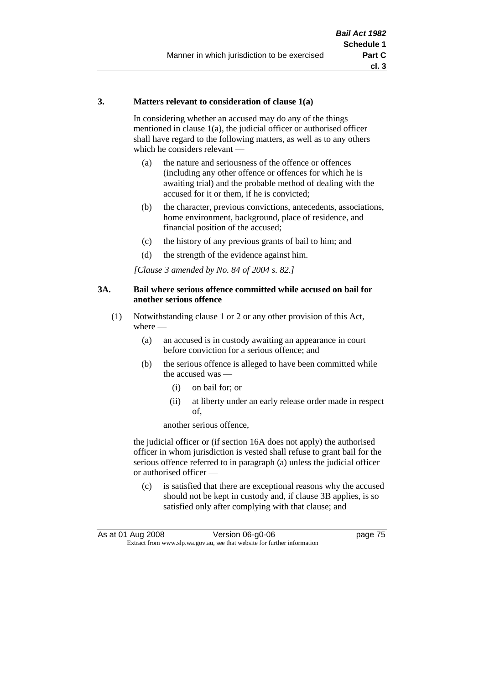### **3. Matters relevant to consideration of clause 1(a)**

In considering whether an accused may do any of the things mentioned in clause 1(a), the judicial officer or authorised officer shall have regard to the following matters, as well as to any others which he considers relevant —

- (a) the nature and seriousness of the offence or offences (including any other offence or offences for which he is awaiting trial) and the probable method of dealing with the accused for it or them, if he is convicted;
- (b) the character, previous convictions, antecedents, associations, home environment, background, place of residence, and financial position of the accused;
- (c) the history of any previous grants of bail to him; and
- (d) the strength of the evidence against him.

*[Clause 3 amended by No. 84 of 2004 s. 82.]*

### **3A. Bail where serious offence committed while accused on bail for another serious offence**

- (1) Notwithstanding clause 1 or 2 or any other provision of this Act, where —
	- (a) an accused is in custody awaiting an appearance in court before conviction for a serious offence; and
	- (b) the serious offence is alleged to have been committed while the accused was —
		- (i) on bail for; or
		- (ii) at liberty under an early release order made in respect of,

another serious offence,

the judicial officer or (if section 16A does not apply) the authorised officer in whom jurisdiction is vested shall refuse to grant bail for the serious offence referred to in paragraph (a) unless the judicial officer or authorised officer —

(c) is satisfied that there are exceptional reasons why the accused should not be kept in custody and, if clause 3B applies, is so satisfied only after complying with that clause; and

| As at 01 Aug 2008 | Version 06-g0-06                                                         | page 75 |
|-------------------|--------------------------------------------------------------------------|---------|
|                   | Extract from www.slp.wa.gov.au, see that website for further information |         |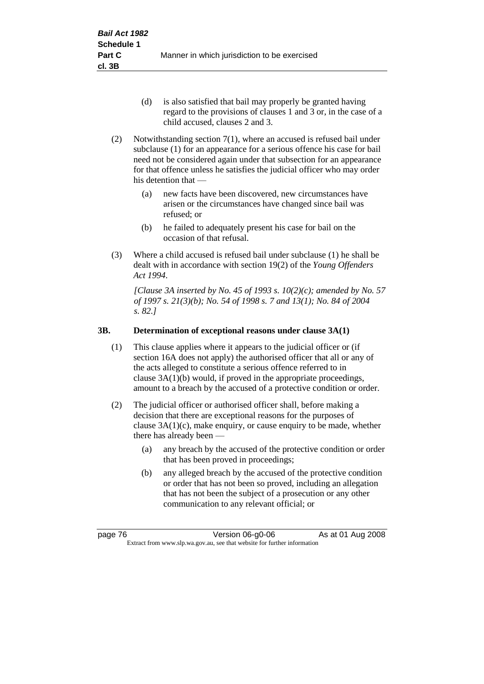- (d) is also satisfied that bail may properly be granted having regard to the provisions of clauses 1 and 3 or, in the case of a child accused, clauses 2 and 3.
- (2) Notwithstanding section 7(1), where an accused is refused bail under subclause (1) for an appearance for a serious offence his case for bail need not be considered again under that subsection for an appearance for that offence unless he satisfies the judicial officer who may order his detention that —
	- (a) new facts have been discovered, new circumstances have arisen or the circumstances have changed since bail was refused; or
	- (b) he failed to adequately present his case for bail on the occasion of that refusal.
- (3) Where a child accused is refused bail under subclause (1) he shall be dealt with in accordance with section 19(2) of the *Young Offenders Act 1994*.

*[Clause 3A inserted by No. 45 of 1993 s. 10(2)(c); amended by No. 57 of 1997 s. 21(3)(b); No. 54 of 1998 s. 7 and 13(1); No. 84 of 2004 s. 82.]*

# **3B. Determination of exceptional reasons under clause 3A(1)**

- (1) This clause applies where it appears to the judicial officer or (if section 16A does not apply) the authorised officer that all or any of the acts alleged to constitute a serious offence referred to in clause 3A(1)(b) would, if proved in the appropriate proceedings, amount to a breach by the accused of a protective condition or order.
- (2) The judicial officer or authorised officer shall, before making a decision that there are exceptional reasons for the purposes of clause  $3A(1)(c)$ , make enquiry, or cause enquiry to be made, whether there has already been -
	- (a) any breach by the accused of the protective condition or order that has been proved in proceedings;
	- (b) any alleged breach by the accused of the protective condition or order that has not been so proved, including an allegation that has not been the subject of a prosecution or any other communication to any relevant official; or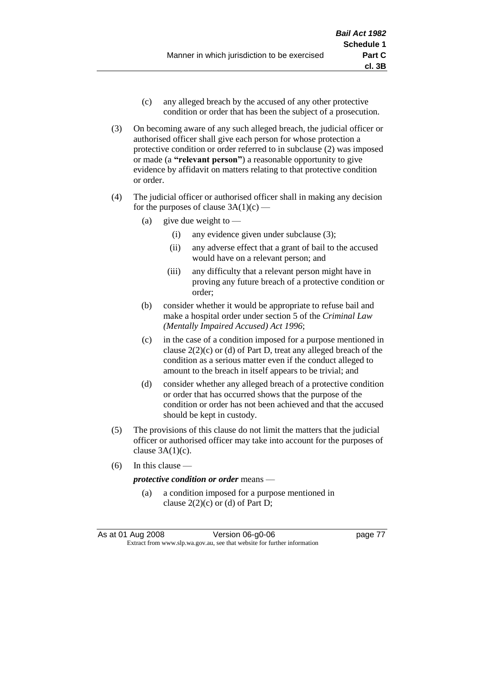- (c) any alleged breach by the accused of any other protective condition or order that has been the subject of a prosecution.
- (3) On becoming aware of any such alleged breach, the judicial officer or authorised officer shall give each person for whose protection a protective condition or order referred to in subclause (2) was imposed or made (a **"relevant person"**) a reasonable opportunity to give evidence by affidavit on matters relating to that protective condition or order.
- (4) The judicial officer or authorised officer shall in making any decision for the purposes of clause  $3A(1)(c)$  —
	- (a) give due weight to  $-$ 
		- (i) any evidence given under subclause (3);
		- (ii) any adverse effect that a grant of bail to the accused would have on a relevant person; and
		- (iii) any difficulty that a relevant person might have in proving any future breach of a protective condition or order;
	- (b) consider whether it would be appropriate to refuse bail and make a hospital order under section 5 of the *Criminal Law (Mentally Impaired Accused) Act 1996*;
	- (c) in the case of a condition imposed for a purpose mentioned in clause  $2(2)(c)$  or (d) of Part D, treat any alleged breach of the condition as a serious matter even if the conduct alleged to amount to the breach in itself appears to be trivial; and
	- (d) consider whether any alleged breach of a protective condition or order that has occurred shows that the purpose of the condition or order has not been achieved and that the accused should be kept in custody.
- (5) The provisions of this clause do not limit the matters that the judicial officer or authorised officer may take into account for the purposes of clause  $3A(1)(c)$ .
- (6) In this clause —

*protective condition or order* means —

(a) a condition imposed for a purpose mentioned in clause  $2(2)(c)$  or (d) of Part D;

As at 01 Aug 2008 Version 06-g0-06 **page 77** Extract from www.slp.wa.gov.au, see that website for further information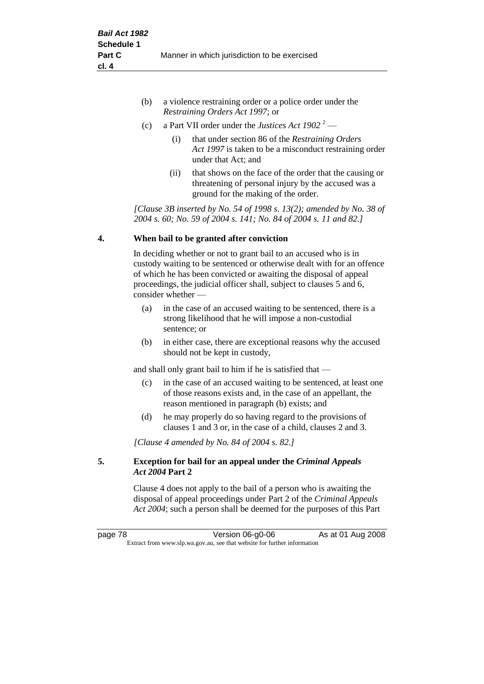- (b) a violence restraining order or a police order under the *Restraining Orders Act 1997*; or
- (c) a Part VII order under the *Justices Act 1902* <sup>2</sup>
	- (i) that under section 86 of the *Restraining Orders Act 1997* is taken to be a misconduct restraining order under that Act; and
	- (ii) that shows on the face of the order that the causing or threatening of personal injury by the accused was a ground for the making of the order.

*[Clause 3B inserted by No. 54 of 1998 s. 13(2); amended by No. 38 of 2004 s. 60; No. 59 of 2004 s. 141; No. 84 of 2004 s. 11 and 82.]*

# **4. When bail to be granted after conviction**

In deciding whether or not to grant bail to an accused who is in custody waiting to be sentenced or otherwise dealt with for an offence of which he has been convicted or awaiting the disposal of appeal proceedings, the judicial officer shall, subject to clauses 5 and 6, consider whether —

- (a) in the case of an accused waiting to be sentenced, there is a strong likelihood that he will impose a non-custodial sentence; or
- (b) in either case, there are exceptional reasons why the accused should not be kept in custody,

and shall only grant bail to him if he is satisfied that —

- (c) in the case of an accused waiting to be sentenced, at least one of those reasons exists and, in the case of an appellant, the reason mentioned in paragraph (b) exists; and
- (d) he may properly do so having regard to the provisions of clauses 1 and 3 or, in the case of a child, clauses 2 and 3.

*[Clause 4 amended by No. 84 of 2004 s. 82.]*

# **5. Exception for bail for an appeal under the** *Criminal Appeals Act 2004* **Part 2**

Clause 4 does not apply to the bail of a person who is awaiting the disposal of appeal proceedings under Part 2 of the *Criminal Appeals Act 2004*; such a person shall be deemed for the purposes of this Part

page 78 **Version 06-g0-06** As at 01 Aug 2008 Extract from www.slp.wa.gov.au, see that website for further information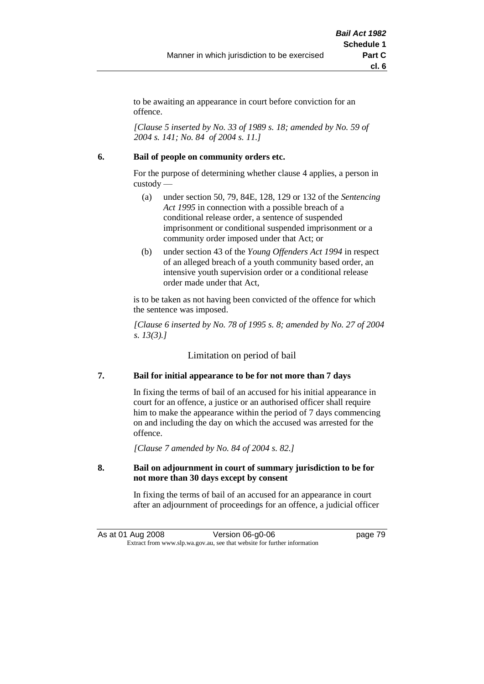to be awaiting an appearance in court before conviction for an offence.

*[Clause 5 inserted by No. 33 of 1989 s. 18; amended by No. 59 of 2004 s. 141; No. 84 of 2004 s. 11.]*

## **6. Bail of people on community orders etc.**

For the purpose of determining whether clause 4 applies, a person in custody —

- (a) under section 50, 79, 84E, 128, 129 or 132 of the *Sentencing Act 1995* in connection with a possible breach of a conditional release order, a sentence of suspended imprisonment or conditional suspended imprisonment or a community order imposed under that Act; or
- (b) under section 43 of the *Young Offenders Act 1994* in respect of an alleged breach of a youth community based order, an intensive youth supervision order or a conditional release order made under that Act,

is to be taken as not having been convicted of the offence for which the sentence was imposed.

*[Clause 6 inserted by No. 78 of 1995 s. 8; amended by No. 27 of 2004 s. 13(3).]*

Limitation on period of bail

# **7. Bail for initial appearance to be for not more than 7 days**

In fixing the terms of bail of an accused for his initial appearance in court for an offence, a justice or an authorised officer shall require him to make the appearance within the period of 7 days commencing on and including the day on which the accused was arrested for the offence.

*[Clause 7 amended by No. 84 of 2004 s. 82.]*

## **8. Bail on adjournment in court of summary jurisdiction to be for not more than 30 days except by consent**

In fixing the terms of bail of an accused for an appearance in court after an adjournment of proceedings for an offence, a judicial officer

As at 01 Aug 2008 Version 06-g0-06 Page 79 Extract from www.slp.wa.gov.au, see that website for further information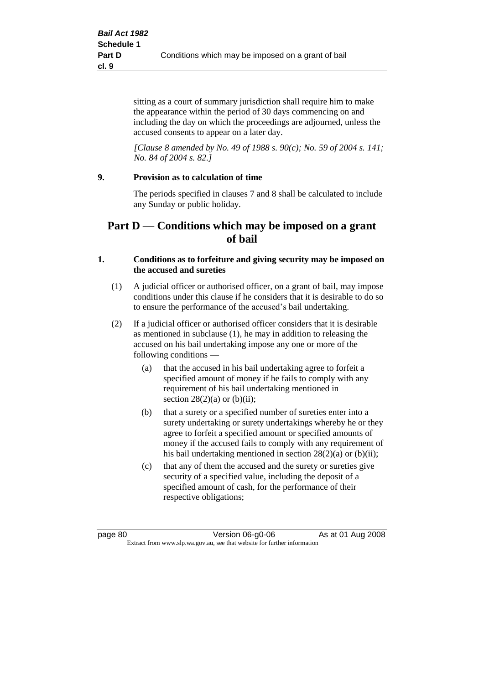sitting as a court of summary jurisdiction shall require him to make the appearance within the period of 30 days commencing on and including the day on which the proceedings are adjourned, unless the accused consents to appear on a later day.

*[Clause 8 amended by No. 49 of 1988 s. 90(c); No. 59 of 2004 s. 141; No. 84 of 2004 s. 82.]*

# **9. Provision as to calculation of time**

The periods specified in clauses 7 and 8 shall be calculated to include any Sunday or public holiday.

# **Part D — Conditions which may be imposed on a grant of bail**

## **1. Conditions as to forfeiture and giving security may be imposed on the accused and sureties**

- (1) A judicial officer or authorised officer, on a grant of bail, may impose conditions under this clause if he considers that it is desirable to do so to ensure the performance of the accused's bail undertaking.
- (2) If a judicial officer or authorised officer considers that it is desirable as mentioned in subclause (1), he may in addition to releasing the accused on his bail undertaking impose any one or more of the following conditions —
	- (a) that the accused in his bail undertaking agree to forfeit a specified amount of money if he fails to comply with any requirement of his bail undertaking mentioned in section  $28(2)(a)$  or  $(b)(ii)$ ;
	- (b) that a surety or a specified number of sureties enter into a surety undertaking or surety undertakings whereby he or they agree to forfeit a specified amount or specified amounts of money if the accused fails to comply with any requirement of his bail undertaking mentioned in section 28(2)(a) or (b)(ii);
	- (c) that any of them the accused and the surety or sureties give security of a specified value, including the deposit of a specified amount of cash, for the performance of their respective obligations;

page 80 Version 06-g0-06 As at 01 Aug 2008 Extract from www.slp.wa.gov.au, see that website for further information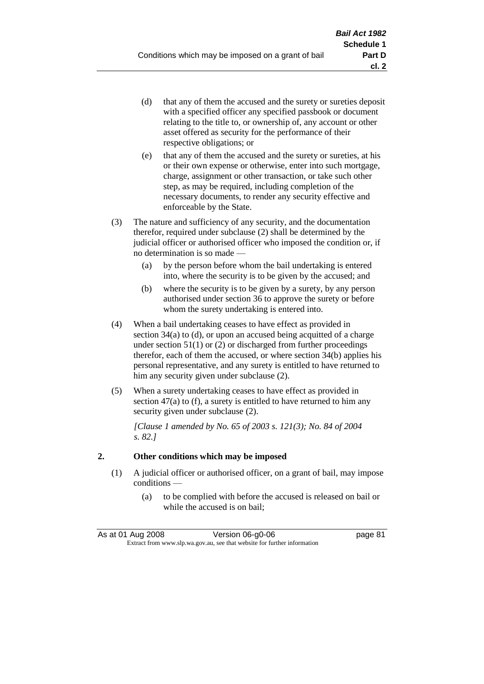- (d) that any of them the accused and the surety or sureties deposit with a specified officer any specified passbook or document relating to the title to, or ownership of, any account or other asset offered as security for the performance of their respective obligations; or
- (e) that any of them the accused and the surety or sureties, at his or their own expense or otherwise, enter into such mortgage, charge, assignment or other transaction, or take such other step, as may be required, including completion of the necessary documents, to render any security effective and enforceable by the State.
- (3) The nature and sufficiency of any security, and the documentation therefor, required under subclause (2) shall be determined by the judicial officer or authorised officer who imposed the condition or, if no determination is so made —
	- (a) by the person before whom the bail undertaking is entered into, where the security is to be given by the accused; and
	- (b) where the security is to be given by a surety, by any person authorised under section 36 to approve the surety or before whom the surety undertaking is entered into.
- (4) When a bail undertaking ceases to have effect as provided in section 34(a) to (d), or upon an accused being acquitted of a charge under section  $51(1)$  or (2) or discharged from further proceedings therefor, each of them the accused, or where section 34(b) applies his personal representative, and any surety is entitled to have returned to him any security given under subclause (2).
- (5) When a surety undertaking ceases to have effect as provided in section 47(a) to (f), a surety is entitled to have returned to him any security given under subclause  $(2)$ .

*[Clause 1 amended by No. 65 of 2003 s. 121(3); No. 84 of 2004 s. 82.]*

# **2. Other conditions which may be imposed**

- (1) A judicial officer or authorised officer, on a grant of bail, may impose conditions —
	- (a) to be complied with before the accused is released on bail or while the accused is on bail;

| As at 01 Aug 2008                                                        | Version 06-g0-06 | page 81 |
|--------------------------------------------------------------------------|------------------|---------|
| Extract from www.slp.wa.gov.au, see that website for further information |                  |         |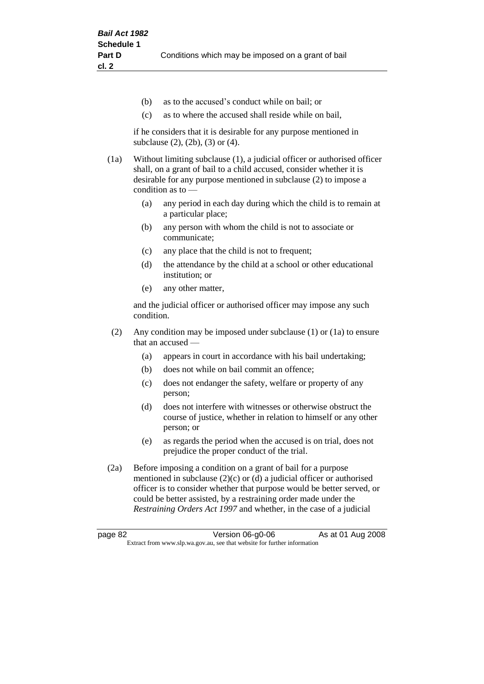- (b) as to the accused's conduct while on bail; or
- (c) as to where the accused shall reside while on bail,

if he considers that it is desirable for any purpose mentioned in subclause (2), (2b), (3) or (4).

(1a) Without limiting subclause (1), a judicial officer or authorised officer shall, on a grant of bail to a child accused, consider whether it is desirable for any purpose mentioned in subclause (2) to impose a condition as to —

- (a) any period in each day during which the child is to remain at a particular place;
- (b) any person with whom the child is not to associate or communicate;
- (c) any place that the child is not to frequent;
- (d) the attendance by the child at a school or other educational institution; or
- (e) any other matter,

and the judicial officer or authorised officer may impose any such condition.

- (2) Any condition may be imposed under subclause (1) or (1a) to ensure that an accused —
	- (a) appears in court in accordance with his bail undertaking;
	- (b) does not while on bail commit an offence;
	- (c) does not endanger the safety, welfare or property of any person;
	- (d) does not interfere with witnesses or otherwise obstruct the course of justice, whether in relation to himself or any other person; or
	- (e) as regards the period when the accused is on trial, does not prejudice the proper conduct of the trial.
- (2a) Before imposing a condition on a grant of bail for a purpose mentioned in subclause (2)(c) or (d) a judicial officer or authorised officer is to consider whether that purpose would be better served, or could be better assisted, by a restraining order made under the *Restraining Orders Act 1997* and whether, in the case of a judicial

page 82 Version 06-g0-06 As at 01 Aug 2008 Extract from www.slp.wa.gov.au, see that website for further information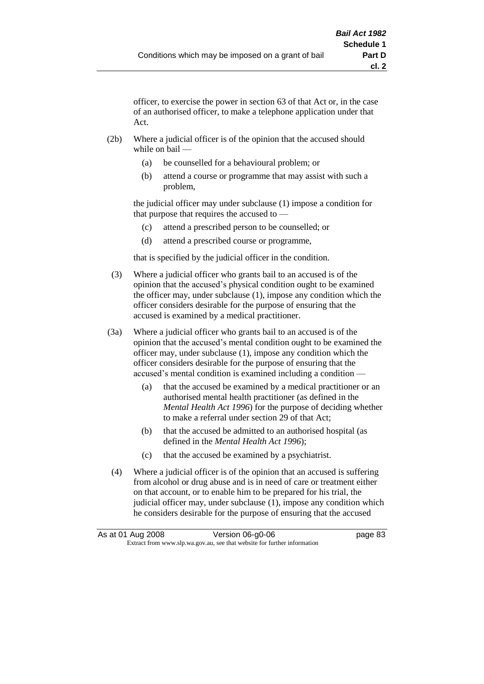officer, to exercise the power in section 63 of that Act or, in the case of an authorised officer, to make a telephone application under that Act.

- (2b) Where a judicial officer is of the opinion that the accused should while on bail —
	- (a) be counselled for a behavioural problem; or
	- (b) attend a course or programme that may assist with such a problem,

the judicial officer may under subclause (1) impose a condition for that purpose that requires the accused to —

- (c) attend a prescribed person to be counselled; or
- (d) attend a prescribed course or programme,

that is specified by the judicial officer in the condition.

- (3) Where a judicial officer who grants bail to an accused is of the opinion that the accused's physical condition ought to be examined the officer may, under subclause (1), impose any condition which the officer considers desirable for the purpose of ensuring that the accused is examined by a medical practitioner.
- (3a) Where a judicial officer who grants bail to an accused is of the opinion that the accused's mental condition ought to be examined the officer may, under subclause (1), impose any condition which the officer considers desirable for the purpose of ensuring that the accused's mental condition is examined including a condition —
	- (a) that the accused be examined by a medical practitioner or an authorised mental health practitioner (as defined in the *Mental Health Act 1996*) for the purpose of deciding whether to make a referral under section 29 of that Act;
	- (b) that the accused be admitted to an authorised hospital (as defined in the *Mental Health Act 1996*);
	- (c) that the accused be examined by a psychiatrist.
- (4) Where a judicial officer is of the opinion that an accused is suffering from alcohol or drug abuse and is in need of care or treatment either on that account, or to enable him to be prepared for his trial, the judicial officer may, under subclause (1), impose any condition which he considers desirable for the purpose of ensuring that the accused

| As at 01 Aug 2008 | Version 06-g0-06                                                         | page 83 |
|-------------------|--------------------------------------------------------------------------|---------|
|                   | Extract from www.slp.wa.gov.au, see that website for further information |         |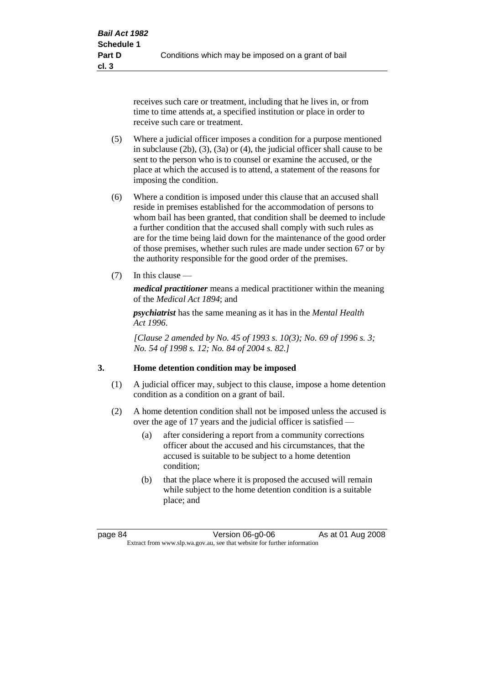receives such care or treatment, including that he lives in, or from time to time attends at, a specified institution or place in order to receive such care or treatment.

- (5) Where a judicial officer imposes a condition for a purpose mentioned in subclause (2b), (3), (3a) or (4), the judicial officer shall cause to be sent to the person who is to counsel or examine the accused, or the place at which the accused is to attend, a statement of the reasons for imposing the condition.
- (6) Where a condition is imposed under this clause that an accused shall reside in premises established for the accommodation of persons to whom bail has been granted, that condition shall be deemed to include a further condition that the accused shall comply with such rules as are for the time being laid down for the maintenance of the good order of those premises, whether such rules are made under section 67 or by the authority responsible for the good order of the premises.
- (7) In this clause —

*medical practitioner* means a medical practitioner within the meaning of the *Medical Act 1894*; and

*psychiatrist* has the same meaning as it has in the *Mental Health Act 1996*.

*[Clause 2 amended by No. 45 of 1993 s. 10(3); No. 69 of 1996 s. 3; No. 54 of 1998 s. 12; No. 84 of 2004 s. 82.]*

### **3. Home detention condition may be imposed**

- (1) A judicial officer may, subject to this clause, impose a home detention condition as a condition on a grant of bail.
- (2) A home detention condition shall not be imposed unless the accused is over the age of 17 years and the judicial officer is satisfied —
	- (a) after considering a report from a community corrections officer about the accused and his circumstances, that the accused is suitable to be subject to a home detention condition;
	- (b) that the place where it is proposed the accused will remain while subject to the home detention condition is a suitable place; and

page 84 Version 06-g0-06 As at 01 Aug 2008 Extract from www.slp.wa.gov.au, see that website for further information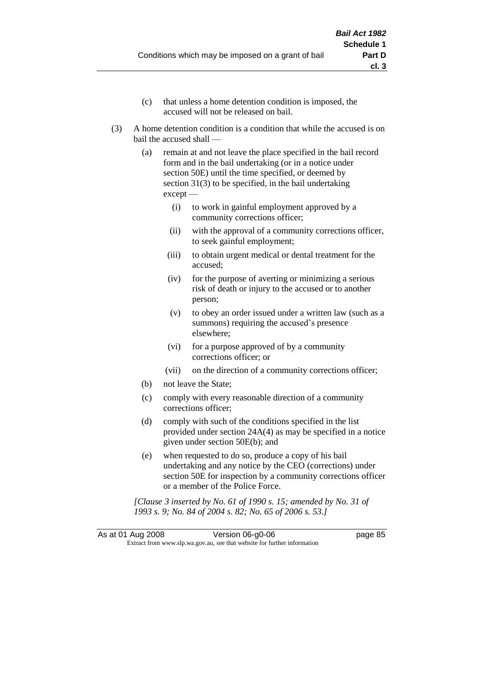- (c) that unless a home detention condition is imposed, the accused will not be released on bail.
- (3) A home detention condition is a condition that while the accused is on bail the accused shall —
	- (a) remain at and not leave the place specified in the bail record form and in the bail undertaking (or in a notice under section 50E) until the time specified, or deemed by section 31(3) to be specified, in the bail undertaking except —
		- (i) to work in gainful employment approved by a community corrections officer;
		- (ii) with the approval of a community corrections officer, to seek gainful employment;
		- (iii) to obtain urgent medical or dental treatment for the accused;
		- (iv) for the purpose of averting or minimizing a serious risk of death or injury to the accused or to another person;
		- (v) to obey an order issued under a written law (such as a summons) requiring the accused's presence elsewhere;
		- (vi) for a purpose approved of by a community corrections officer; or
		- (vii) on the direction of a community corrections officer;
	- (b) not leave the State;
	- (c) comply with every reasonable direction of a community corrections officer;
	- (d) comply with such of the conditions specified in the list provided under section 24A(4) as may be specified in a notice given under section 50E(b); and
	- (e) when requested to do so, produce a copy of his bail undertaking and any notice by the CEO (corrections) under section 50E for inspection by a community corrections officer or a member of the Police Force.

*[Clause 3 inserted by No. 61 of 1990 s. 15; amended by No. 31 of 1993 s. 9; No. 84 of 2004 s. 82; No. 65 of 2006 s. 53.]*

As at 01 Aug 2008 Version 06-g0-06 Page 85 Extract from www.slp.wa.gov.au, see that website for further information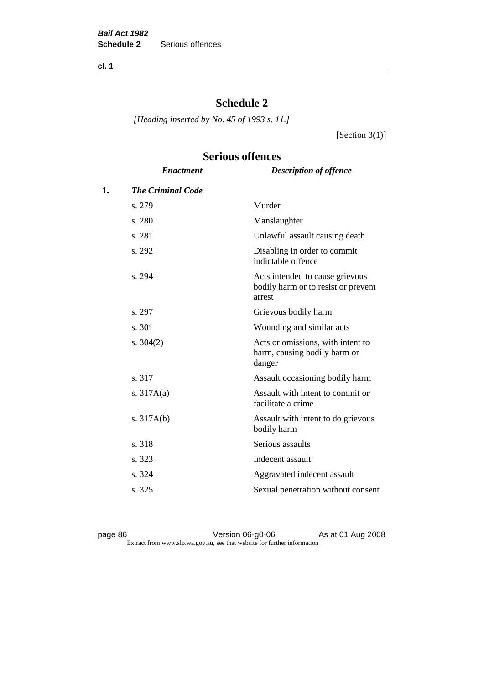**cl. 1**

# **Schedule 2**

*[Heading inserted by No. 45 of 1993 s. 11.]*

[Section 3(1)]

# **Serious offences**

|    | <b>Enactment</b>         | <b>Description of offence</b>                                                    |
|----|--------------------------|----------------------------------------------------------------------------------|
| 1. | <b>The Criminal Code</b> |                                                                                  |
|    | s. 279                   | Murder                                                                           |
|    | s. 280                   | Manslaughter                                                                     |
|    | s. 281                   | Unlawful assault causing death                                                   |
|    | s. 292                   | Disabling in order to commit<br>indictable offence                               |
|    | s. 294                   | Acts intended to cause grievous<br>bodily harm or to resist or prevent<br>arrest |
|    | s. 297                   | Grievous bodily harm                                                             |
|    | s. 301                   | Wounding and similar acts                                                        |
|    | s. $304(2)$              | Acts or omissions, with intent to<br>harm, causing bodily harm or<br>danger      |
|    | s. 317                   | Assault occasioning bodily harm                                                  |
|    | s. $317A(a)$             | Assault with intent to commit or<br>facilitate a crime                           |
|    | s. $317A(b)$             | Assault with intent to do grievous<br>bodily harm                                |
|    | s. 318                   | Serious assaults                                                                 |
|    | s. 323                   | Indecent assault                                                                 |
|    | s. 324                   | Aggravated indecent assault                                                      |
|    | s. 325                   | Sexual penetration without consent                                               |
|    |                          |                                                                                  |

page 86 **Arrival Contract Contract Version 06-g0-06** As at 01 Aug 2008 Extract from www.slp.wa.gov.au, see that website for further information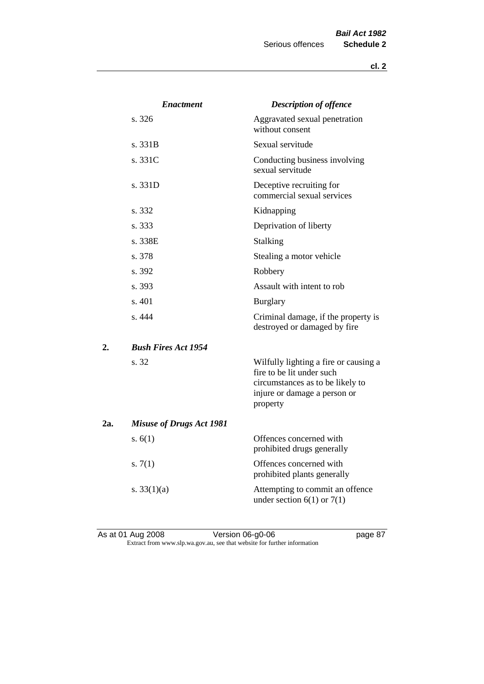|     | <b>Enactment</b>                | <b>Description of offence</b>                                                                                                                      |
|-----|---------------------------------|----------------------------------------------------------------------------------------------------------------------------------------------------|
|     | s. 326                          | Aggravated sexual penetration<br>without consent                                                                                                   |
|     | s. 331B                         | Sexual servitude                                                                                                                                   |
|     | s. 331C                         | Conducting business involving<br>sexual servitude                                                                                                  |
|     | s. 331D                         | Deceptive recruiting for<br>commercial sexual services                                                                                             |
|     | s. 332                          | Kidnapping                                                                                                                                         |
|     | s. 333                          | Deprivation of liberty                                                                                                                             |
|     | s. 338E                         | Stalking                                                                                                                                           |
|     | s. 378                          | Stealing a motor vehicle                                                                                                                           |
|     | s. 392                          | Robbery                                                                                                                                            |
|     | s. 393                          | Assault with intent to rob                                                                                                                         |
|     | s. 401                          | <b>Burglary</b>                                                                                                                                    |
|     | s. 444                          | Criminal damage, if the property is<br>destroyed or damaged by fire                                                                                |
| 2.  | <b>Bush Fires Act 1954</b>      |                                                                                                                                                    |
|     | s. 32                           | Wilfully lighting a fire or causing a<br>fire to be lit under such<br>circumstances as to be likely to<br>injure or damage a person or<br>property |
| 2a. | <b>Misuse of Drugs Act 1981</b> |                                                                                                                                                    |
|     | s. $6(1)$                       | Offences concerned with<br>prohibited drugs generally                                                                                              |
|     | s. $7(1)$                       | Offences concerned with<br>prohibited plants generally                                                                                             |
|     | s. $33(1)(a)$                   | Attempting to commit an offence<br>under section $6(1)$ or $7(1)$                                                                                  |
|     |                                 |                                                                                                                                                    |

As at 01 Aug 2008 **Version 06-g0-06 page 87** Extract from www.slp.wa.gov.au, see that website for further information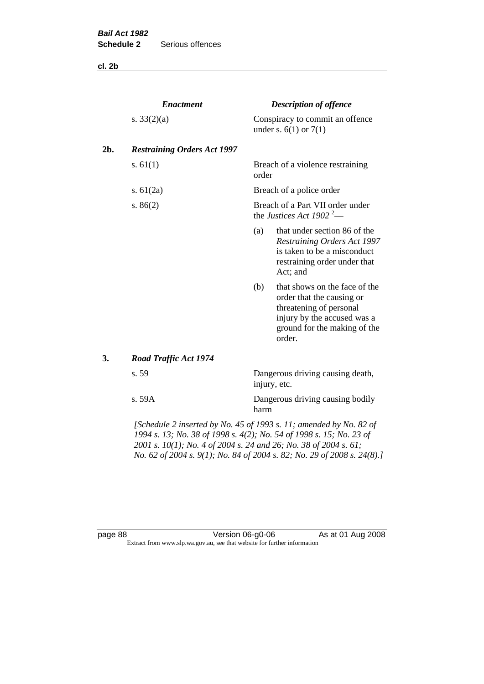**cl. 2b**

|     | <b>Enactment</b>                                                   |       | <b>Description of offence</b>                                                                                                                                  |
|-----|--------------------------------------------------------------------|-------|----------------------------------------------------------------------------------------------------------------------------------------------------------------|
|     | s. $33(2)(a)$                                                      |       | Conspiracy to commit an offence<br>under s. $6(1)$ or $7(1)$                                                                                                   |
| 2b. | <b>Restraining Orders Act 1997</b>                                 |       |                                                                                                                                                                |
|     | s. $61(1)$                                                         | order | Breach of a violence restraining                                                                                                                               |
|     | s. $61(2a)$                                                        |       | Breach of a police order                                                                                                                                       |
|     | s. $86(2)$                                                         |       | Breach of a Part VII order under<br>the Justices Act 1902 <sup>2</sup> —                                                                                       |
|     |                                                                    | (a)   | that under section 86 of the<br>Restraining Orders Act 1997<br>is taken to be a misconduct<br>restraining order under that<br>Act; and                         |
|     |                                                                    | (b)   | that shows on the face of the<br>order that the causing or<br>threatening of personal<br>injury by the accused was a<br>ground for the making of the<br>order. |
| 3.  | <b>Road Traffic Act 1974</b>                                       |       |                                                                                                                                                                |
|     | s. 59                                                              |       | Dangerous driving causing death,<br>injury, etc.                                                                                                               |
|     | s. 59A                                                             | harm  | Dangerous driving causing bodily                                                                                                                               |
|     | [Schedule 2 inserted by No. 45 of 1993 s. 11; amended by No. 82 of |       |                                                                                                                                                                |

*1994 s. 13; No. 38 of 1998 s. 4(2); No. 54 of 1998 s. 15; No. 23 of 2001 s. 10(1); No. 4 of 2004 s. 24 and 26; No. 38 of 2004 s. 61; No. 62 of 2004 s. 9(1); No. 84 of 2004 s. 82; No. 29 of 2008 s. 24(8).]* 

page 88 **Version 06-g0-06** As at 01 Aug 2008 Extract from www.slp.wa.gov.au, see that website for further information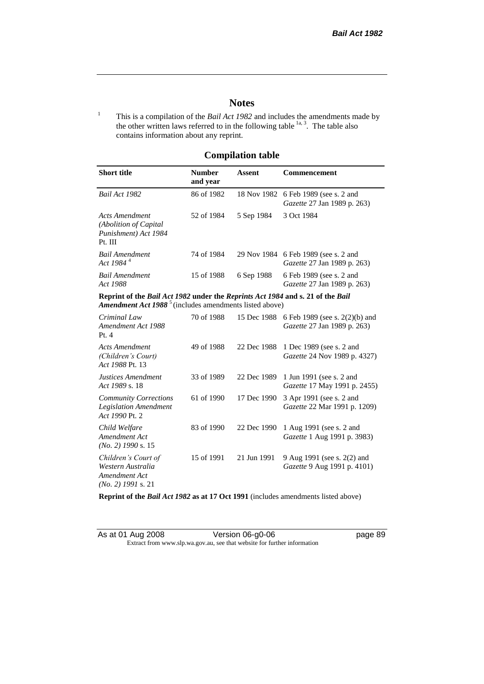# **Notes**

<sup>1</sup> This is a compilation of the *Bail Act 1982* and includes the amendments made by the other written laws referred to in the following table  $\frac{1}{a}$ , The table also contains information about any reprint.

# **Compilation table**

| <b>Short title</b>                                                                                                                                                        | <b>Number</b><br>and year | Assent     | Commencement                                                                     |
|---------------------------------------------------------------------------------------------------------------------------------------------------------------------------|---------------------------|------------|----------------------------------------------------------------------------------|
| Bail Act 1982                                                                                                                                                             | 86 of 1982                |            | 18 Nov 1982 6 Feb 1989 (see s. 2 and<br><i>Gazette</i> 27 Jan 1989 p. 263)       |
| Acts Amendment<br>(Abolition of Capital)<br>Punishment) Act 1984<br>Pt. III                                                                                               | 52 of 1984                | 5 Sep 1984 | 3 Oct 1984                                                                       |
| Bail Amendment<br>Act 1984 <sup>4</sup>                                                                                                                                   | 74 of 1984                |            | 29 Nov 1984 6 Feb 1989 (see s. 2 and<br><i>Gazette</i> 27 Jan 1989 p. 263)       |
| Bail Amendment<br>Act 1988                                                                                                                                                | 15 of 1988                | 6 Sep 1988 | 6 Feb 1989 (see s. 2 and<br><i>Gazette</i> 27 Jan 1989 p. 263)                   |
| Reprint of the <i>Bail Act 1982</i> under the <i>Reprints Act 1984</i> and s. 21 of the <i>Bail</i><br>Amendment Act 1988 <sup>5</sup> (includes amendments listed above) |                           |            |                                                                                  |
| Criminal Law<br>Amendment Act 1988                                                                                                                                        | 70 of 1988                |            | 15 Dec 1988 6 Feb 1989 (see s. 2(2)(b) and<br><i>Gazette</i> 27 Jan 1989 p. 263) |

| Chinguu Luw<br>Amendment Act 1988<br>Pt.4                                         | 10.011200  | $1.7 \mu$ DVC 1700 | $01001202$ (Sec s. $2(270)$ and<br><i>Gazette</i> 27 Jan 1989 p. 263) |
|-----------------------------------------------------------------------------------|------------|--------------------|-----------------------------------------------------------------------|
| Acts Amendment<br>(Children's Court)<br>Act 1988 Pt. 13                           | 49 of 1988 | 22 Dec 1988        | 1 Dec 1989 (see s. 2 and<br><i>Gazette</i> 24 Nov 1989 p. 4327)       |
| Justices Amendment<br>Act 1989 s. 18                                              | 33 of 1989 | 22 Dec 1989        | 1 Jun 1991 (see s. 2 and<br><i>Gazette</i> 17 May 1991 p. 2455)       |
| <b>Community Corrections</b><br><b>Legislation Amendment</b><br>Act 1990 Pt. 2    | 61 of 1990 | 17 Dec 1990        | 3 Apr 1991 (see s. 2 and<br>Gazette 22 Mar 1991 p. 1209)              |
| Child Welfare<br>Amendment Act<br>$(No. 2)$ 1990 s. 15                            | 83 of 1990 | 22 Dec 1990        | 1 Aug 1991 (see s. 2 and<br><i>Gazette</i> 1 Aug 1991 p. 3983)        |
| Children's Court of<br>Western Australia<br>Amendment Act<br>$(No. 2)$ 1991 s. 21 | 15 of 1991 | 21 Jun 1991        | 9 Aug 1991 (see s. 2(2) and<br>Gazette 9 Aug 1991 p. 4101)            |

**Reprint of the** *Bail Act 1982* **as at 17 Oct 1991** (includes amendments listed above)

| As at 01 Aug 2008 | Version 06-g0-06                                                         |
|-------------------|--------------------------------------------------------------------------|
|                   | Extract from www.slp.wa.gov.au, see that website for further information |

page 89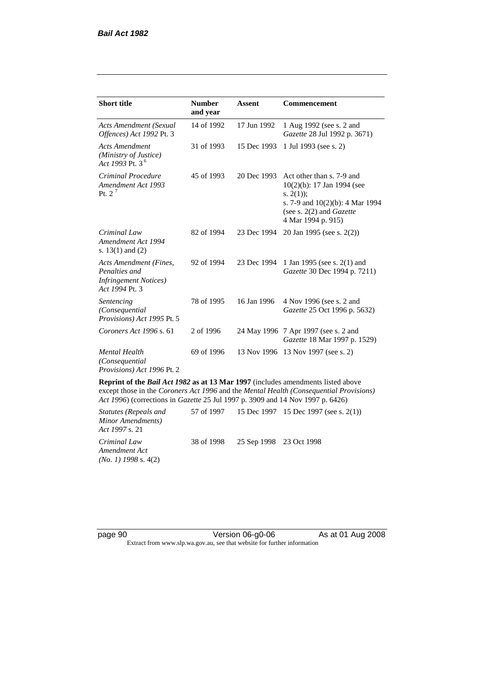| <b>Short title</b>                                                                         | <b>Number</b><br>and year | Assent      | Commencement                                                                                                                                                   |
|--------------------------------------------------------------------------------------------|---------------------------|-------------|----------------------------------------------------------------------------------------------------------------------------------------------------------------|
| Acts Amendment (Sexual<br>Offences) Act 1992 Pt. 3                                         | 14 of 1992                | 17 Jun 1992 | 1 Aug 1992 (see s. 2 and<br><i>Gazette</i> 28 Jul 1992 p. 3671)                                                                                                |
| <b>Acts Amendment</b><br>(Ministry of Justice)<br>Act 1993 Pt. 3 <sup>6</sup>              | 31 of 1993                | 15 Dec 1993 | 1 Jul 1993 (see s. 2)                                                                                                                                          |
| Criminal Procedure<br>Amendment Act 1993<br>Pt. $2^7$                                      | 45 of 1993                | 20 Dec 1993 | Act other than s. 7-9 and<br>10(2)(b): 17 Jan 1994 (see<br>s. $2(1)$ ;<br>s. 7-9 and $10(2)(b)$ : 4 Mar 1994<br>(see s. 2(2) and Gazette<br>4 Mar 1994 p. 915) |
| Criminal Law<br>Amendment Act 1994<br>s. $13(1)$ and $(2)$                                 | 82 of 1994                | 23 Dec 1994 | 20 Jan 1995 (see s. 2(2))                                                                                                                                      |
| Acts Amendment (Fines,<br>Penalties and<br><b>Infringement Notices</b> )<br>Act 1994 Pt. 3 | 92 of 1994                | 23 Dec 1994 | 1 Jan 1995 (see s. 2(1) and<br>Gazette 30 Dec 1994 p. 7211)                                                                                                    |
| Sentencing<br>(Consequential<br>Provisions) Act 1995 Pt. 5                                 | 78 of 1995                | 16 Jan 1996 | 4 Nov 1996 (see s. 2 and<br>Gazette 25 Oct 1996 p. 5632)                                                                                                       |
| Coroners Act 1996 s. 61                                                                    | 2 of 1996                 |             | 24 May 1996 7 Apr 1997 (see s. 2 and<br>Gazette 18 Mar 1997 p. 1529)                                                                                           |
| <b>Mental Health</b><br>(Consequential)<br>Provisions) Act 1996 Pt. 2                      | 69 of 1996                | 13 Nov 1996 | 13 Nov 1997 (see s. 2)                                                                                                                                         |

**Reprint of the** *Bail Act 1982* **as at 13 Mar 1997** (includes amendments listed above except those in the *Coroners Act 1996* and the *Mental Health (Consequential Provisions) Act 1996*) (corrections in *Gazette* 25 Jul 1997 p. 3909 and 14 Nov 1997 p. 6426)

*Statutes (Repeals and Minor Amendments) Act 1997* s. 21 57 of 1997 15 Dec 1997 15 Dec 1997 (see s. 2(1)) *Criminal Law Amendment Act (No. 1) 1998* s. 4(2) 38 of 1998 25 Sep 1998 23 Oct 1998

page 90 **Version 06-g0-06** As at 01 Aug 2008 Extract from www.slp.wa.gov.au, see that website for further information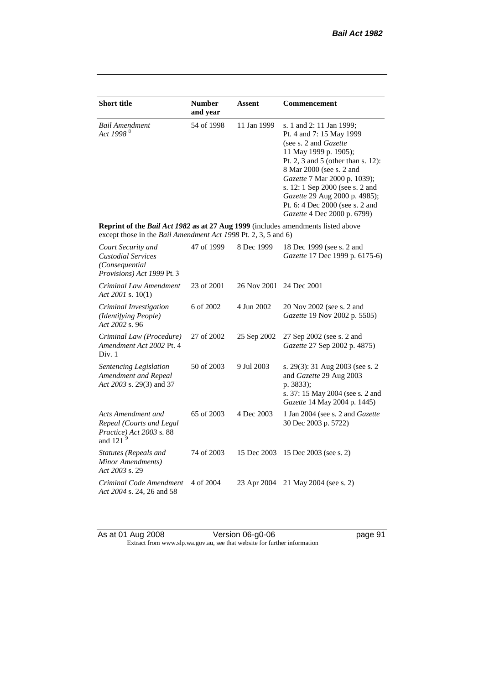| <b>Short title</b>                                                                                                                                 | <b>Number</b><br>and year | <b>Assent</b> | <b>Commencement</b>                                                                                                                                                                                                                                                                                                                                     |
|----------------------------------------------------------------------------------------------------------------------------------------------------|---------------------------|---------------|---------------------------------------------------------------------------------------------------------------------------------------------------------------------------------------------------------------------------------------------------------------------------------------------------------------------------------------------------------|
| <b>Bail Amendment</b><br>Act 1998 <sup>8</sup>                                                                                                     | 54 of 1998                | 11 Jan 1999   | s. 1 and 2: 11 Jan 1999;<br>Pt. 4 and 7: 15 May 1999<br>(see s. 2 and <i>Gazette</i> )<br>11 May 1999 p. 1905);<br>Pt. 2, 3 and 5 (other than s. 12):<br>8 Mar 2000 (see s. 2 and<br>Gazette 7 Mar 2000 p. 1039);<br>s. 12: 1 Sep 2000 (see s. 2 and<br>Gazette 29 Aug 2000 p. 4985);<br>Pt. 6: 4 Dec 2000 (see s. 2 and<br>Gazette 4 Dec 2000 p. 6799) |
| Reprint of the Bail Act 1982 as at 27 Aug 1999 (includes amendments listed above<br>except those in the Bail Amendment Act 1998 Pt. 2, 3, 5 and 6) |                           |               |                                                                                                                                                                                                                                                                                                                                                         |
| Court Security and<br><b>Custodial Services</b><br>(Consequential)<br>Provisions) Act 1999 Pt. 3                                                   | 47 of 1999                | 8 Dec 1999    | 18 Dec 1999 (see s. 2 and<br>Gazette 17 Dec 1999 p. 6175-6)                                                                                                                                                                                                                                                                                             |
| Criminal Law Amendment<br>Act 2001 s. $10(1)$                                                                                                      | 23 of 2001                | 26 Nov 2001   | 24 Dec 2001                                                                                                                                                                                                                                                                                                                                             |
| Criminal Investigation<br>(Identifying People)<br>Act 2002 s. 96                                                                                   | 6 of 2002                 | 4 Jun 2002    | 20 Nov 2002 (see s. 2 and<br>Gazette 19 Nov 2002 p. 5505)                                                                                                                                                                                                                                                                                               |
| Criminal Law (Procedure)<br>Amendment Act 2002 Pt. 4<br>Div. 1                                                                                     | 27 of 2002                | 25 Sep 2002   | 27 Sep 2002 (see s. 2 and<br>Gazette 27 Sep 2002 p. 4875)                                                                                                                                                                                                                                                                                               |
| Sentencing Legislation<br>Amendment and Repeal<br>Act 2003 s. 29(3) and 37                                                                         | 50 of 2003                | 9 Jul 2003    | s. 29(3): 31 Aug 2003 (see s. 2<br>and Gazette 29 Aug 2003<br>p. 3833);<br>s. 37: 15 May 2004 (see s. 2 and<br>Gazette 14 May 2004 p. 1445)                                                                                                                                                                                                             |
| Acts Amendment and<br>Repeal (Courts and Legal<br>Practice) Act 2003 s. 88<br>and 121 $^{9}$                                                       | 65 of 2003                | 4 Dec 2003    | 1 Jan 2004 (see s. 2 and <i>Gazette</i><br>30 Dec 2003 p. 5722)                                                                                                                                                                                                                                                                                         |
| Statutes (Repeals and<br>Minor Amendments)<br>Act 2003 s. 29                                                                                       | 74 of 2003                | 15 Dec 2003   | 15 Dec 2003 (see s. 2)                                                                                                                                                                                                                                                                                                                                  |
| Criminal Code Amendment<br>Act 2004 s. 24, 26 and 58                                                                                               | 4 of 2004                 | 23 Apr 2004   | 21 May 2004 (see s. 2)                                                                                                                                                                                                                                                                                                                                  |

As at 01 Aug 2008 **Version 06-g0-06 page 91** Extract from www.slp.wa.gov.au, see that website for further information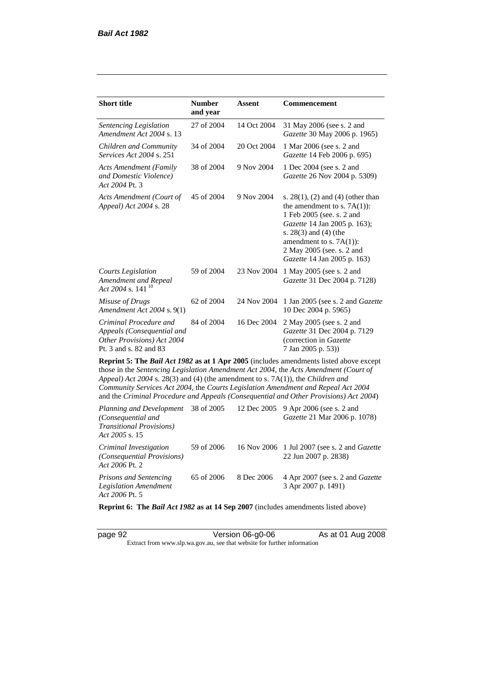| <b>Short title</b>                                                                                                                                                   | <b>Number</b><br>and year | <b>Assent</b> | Commencement                                                                                                                                                                                                                                                            |
|----------------------------------------------------------------------------------------------------------------------------------------------------------------------|---------------------------|---------------|-------------------------------------------------------------------------------------------------------------------------------------------------------------------------------------------------------------------------------------------------------------------------|
| Sentencing Legislation<br>Amendment Act 2004 s. 13                                                                                                                   | 27 of 2004                | 14 Oct 2004   | 31 May 2006 (see s. 2 and<br>Gazette 30 May 2006 p. 1965)                                                                                                                                                                                                               |
| Children and Community<br>Services Act 2004 s. 251                                                                                                                   | 34 of 2004                | 20 Oct 2004   | 1 Mar 2006 (see s. 2 and<br>Gazette 14 Feb 2006 p. 695)                                                                                                                                                                                                                 |
| <b>Acts Amendment (Family</b><br>and Domestic Violence)<br>Act 2004 Pt. 3                                                                                            | 38 of 2004                | 9 Nov 2004    | 1 Dec 2004 (see s. 2 and<br>Gazette 26 Nov 2004 p. 5309)                                                                                                                                                                                                                |
| Acts Amendment (Court of<br>Appeal) Act 2004 s. 28                                                                                                                   | 45 of 2004                | 9 Nov 2004    | s. $28(1)$ , (2) and (4) (other than<br>the amendment to s. $7A(1)$ :<br>1 Feb 2005 (see. s. 2 and<br>Gazette 14 Jan 2005 p. 163);<br>s. $28(3)$ and $(4)$ (the<br>amendment to s. $7A(1)$ :<br>2 May 2005 (see. s. 2 and<br>Gazette 14 Jan 2005 p. 163)                |
| Courts Legislation<br>Amendment and Repeal<br>Act 2004 s. 141 <sup>10</sup>                                                                                          | 59 of 2004                | 23 Nov 2004   | 1 May 2005 (see s. 2 and<br>Gazette 31 Dec 2004 p. 7128)                                                                                                                                                                                                                |
| Misuse of Drugs<br>Amendment Act 2004 s. 9(1)                                                                                                                        | 62 of 2004                | 24 Nov 2004   | 1 Jan 2005 (see s. 2 and <i>Gazette</i><br>10 Dec 2004 p. 5965)                                                                                                                                                                                                         |
| Criminal Procedure and<br>Appeals (Consequential and<br>Other Provisions) Act 2004<br>Pt. 3 and s. 82 and 83                                                         | 84 of 2004                | 16 Dec 2004   | 2 May 2005 (see s. 2 and<br>Gazette 31 Dec 2004 p. 7129<br>(correction in Gazette<br>7 Jan 2005 p. 53))                                                                                                                                                                 |
| Appeal) Act 2004 s. 28(3) and (4) (the amendment to s. 7A(1)), the Children and<br>Community Services Act 2004, the Courts Legislation Amendment and Repeal Act 2004 |                           |               | Reprint 5: The Bail Act 1982 as at 1 Apr 2005 (includes amendments listed above except<br>those in the Sentencing Legislation Amendment Act 2004, the Acts Amendment (Court of<br>and the Criminal Procedure and Appeals (Consequential and Other Provisions) Act 2004) |
| Planning and Development<br>(Consequential and<br><b>Transitional Provisions)</b><br>Act 2005 s. 15                                                                  | 38 of 2005                | 12 Dec 2005   | 9 Apr 2006 (see s. 2 and<br>Gazette 21 Mar 2006 p. 1078)                                                                                                                                                                                                                |
| Criminal Investigation<br>(Consequential Provisions)                                                                                                                 | 59 of 2006                | 16 Nov 2006   | 1 Jul 2007 (see s. 2 and Gazette<br>22 Jun 2007 p. 2838)                                                                                                                                                                                                                |

*Act 2006* Pt. 2 *Prisons and Sentencing Legislation Amendment Act 2006* Pt. 5 65 of 2006 8 Dec 2006 4 Apr 2007 (see s. 2 and *Gazette* 3 Apr 2007 p. 1491)

**Reprint 6: The** *Bail Act 1982* **as at 14 Sep 2007** (includes amendments listed above)

page 92 Version 06-g0-06 As at 01 Aug 2008 Extract from www.slp.wa.gov.au, see that website for further information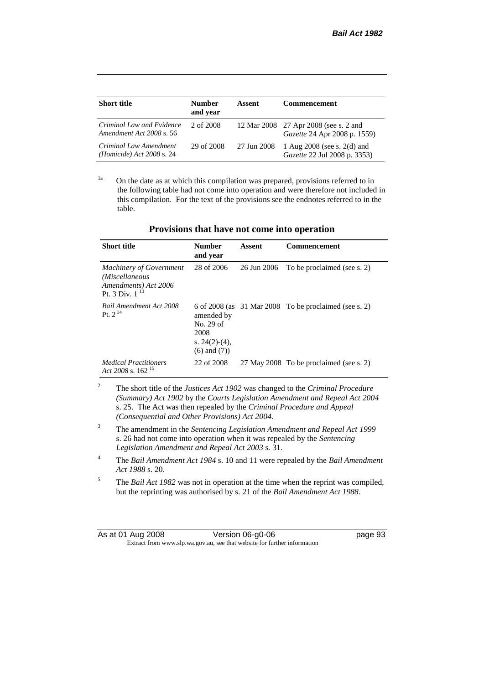| <b>Short title</b>                                             | <b>Number</b><br>and year | Assent      | <b>Commencement</b>                                                          |
|----------------------------------------------------------------|---------------------------|-------------|------------------------------------------------------------------------------|
| Criminal Law and Evidence<br>Amendment Act 2008 s. 56          | 2 of 2008                 |             | 12 Mar 2008 27 Apr 2008 (see s. 2 and<br><i>Gazette</i> 24 Apr 2008 p. 1559) |
| Criminal Law Amendment<br>( <i>Homicide</i> ) Act $2008$ s. 24 | 29 of 2008                | 27 Jun 2008 | 1 Aug $2008$ (see s. $2(d)$ and<br>Gazette 22 Jul 2008 p. 3353)              |

<sup>1a</sup> On the date as at which this compilation was prepared, provisions referred to in the following table had not come into operation and were therefore not included in this compilation. For the text of the provisions see the endnotes referred to in the table.

| <b>Short title</b>                                                                       | <b>Number</b><br>and year                                                | Assent      | <b>Commencement</b>                                     |
|------------------------------------------------------------------------------------------|--------------------------------------------------------------------------|-------------|---------------------------------------------------------|
| <b>Machinery of Government</b><br>(Miscellaneous<br>Amendments) Act 2006<br>Pt. 3 Div. 1 | 28 of 2006                                                               | 26 Jun 2006 | To be proclaimed (see s. 2)                             |
| <b>Bail Amendment Act 2008</b><br>Pt. $2^{14}$                                           | amended by<br>No. 29 of<br>2008<br>s. $24(2)-(4)$ ,<br>$(6)$ and $(7)$ ) |             | 6 of 2008 (as $31$ Mar 2008 To be proclaimed (see s. 2) |
| <b>Medical Practitioners</b><br>Act 2008 s. $162^{15}$                                   | 22 of 2008                                                               |             | 27 May 2008 To be proclaimed (see s. 2)                 |

#### **Provisions that have not come into operation**

<sup>2</sup> The short title of the *Justices Act 1902* was changed to the *Criminal Procedure (Summary) Act 1902* by the *Courts Legislation Amendment and Repeal Act 2004*  s. 25. The Act was then repealed by the *Criminal Procedure and Appeal (Consequential and Other Provisions) Act 2004.*

- <sup>3</sup> The amendment in the *Sentencing Legislation Amendment and Repeal Act 1999* s. 26 had not come into operation when it was repealed by the *Sentencing Legislation Amendment and Repeal Act 2003* s. 31.
- <sup>4</sup> The *Bail Amendment Act 1984* s. 10 and 11 were repealed by the *Bail Amendment Act 1988* s. 20.
- <sup>5</sup> The *Bail Act 1982* was not in operation at the time when the reprint was compiled, but the reprinting was authorised by s. 21 of the *Bail Amendment Act 1988*.

| As at 01 Aug 2008 | Version 06-g0-06                                                         | page 93 |
|-------------------|--------------------------------------------------------------------------|---------|
|                   | Extract from www.slp.wa.gov.au, see that website for further information |         |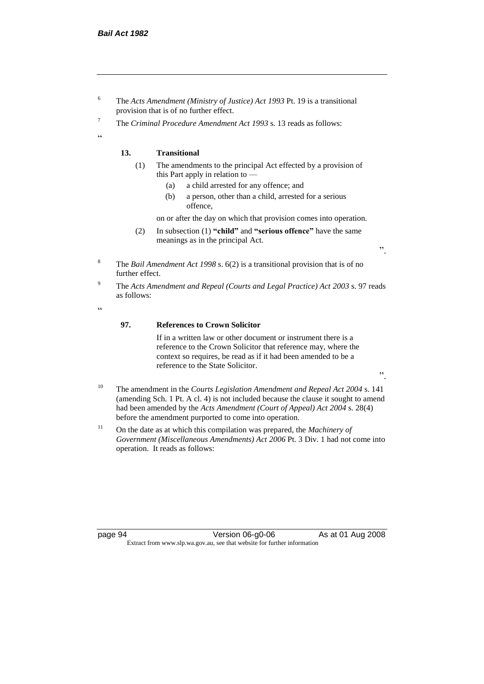- <sup>6</sup> The *Acts Amendment (Ministry of Justice) Act 1993* Pt. 19 is a transitional provision that is of no further effect.
- <sup>7</sup> The *Criminal Procedure Amendment Act 1993* s. 13 reads as follows:

#### **13. Transitional**

- (1) The amendments to the principal Act effected by a provision of this Part apply in relation to —
	- (a) a child arrested for any offence; and
	- (b) a person, other than a child, arrested for a serious offence,

on or after the day on which that provision comes into operation.

(2) In subsection (1) **"child"** and **"serious offence"** have the same meanings as in the principal Act.

".

".

- <sup>8</sup> The *Bail Amendment Act 1998* s. 6(2) is a transitional provision that is of no further effect.
- <sup>9</sup> The *Acts Amendment and Repeal (Courts and Legal Practice) Act 2003* s. 97 reads as follows:

.<br>.

.<br>cc

### **97. References to Crown Solicitor**

If in a written law or other document or instrument there is a reference to the Crown Solicitor that reference may, where the context so requires, be read as if it had been amended to be a reference to the State Solicitor.

- <sup>10</sup> The amendment in the *Courts Legislation Amendment and Repeal Act 2004* s. 141 (amending Sch. 1 Pt. A cl. 4) is not included because the clause it sought to amend had been amended by the *Acts Amendment (Court of Appeal) Act 2004* s. 28(4) before the amendment purported to come into operation.
- <sup>11</sup> On the date as at which this compilation was prepared, the *Machinery of Government (Miscellaneous Amendments) Act 2006* Pt. 3 Div. 1 had not come into operation. It reads as follows:

page 94 Version 06-g0-06 As at 01 Aug 2008 Extract from www.slp.wa.gov.au, see that website for further information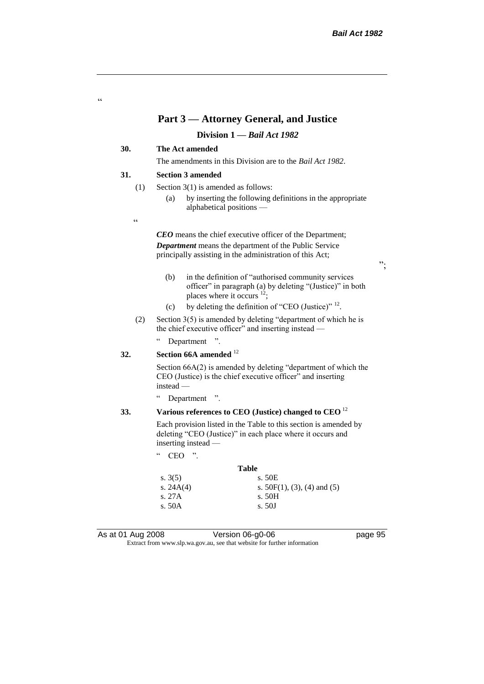### **Part 3 — Attorney General, and Justice**

#### **Division 1 —** *Bail Act 1982*

### **30. The Act amended**

The amendments in this Division are to the *Bail Act 1982*.

#### **31. Section 3 amended**

- (1) Section 3(1) is amended as follows:
	- (a) by inserting the following definitions in the appropriate alphabetical positions —
- $\epsilon$

"

*CEO* means the chief executive officer of the Department; *Department* means the department of the Public Service principally assisting in the administration of this Act;

- (b) in the definition of "authorised community services officer" in paragraph (a) by deleting "(Justice)" in both places where it occurs  $12$ ;
- (c) by deleting the definition of "CEO (Justice)"  $^{12}$ .
- (2) Section 3(5) is amended by deleting "department of which he is the chief executive officer" and inserting instead —

" Department ".

### **32. Section 66A amended** <sup>12</sup>

Section 66A(2) is amended by deleting "department of which the CEO (Justice) is the chief executive officer" and inserting instead —

" Department ".

# **33. Various references to CEO (Justice) changed to CEO** <sup>12</sup>

Each provision listed in the Table to this section is amended by deleting "CEO (Justice)" in each place where it occurs and inserting instead —

"  $CEO$  ".

|             | <b>Table</b>                   |
|-------------|--------------------------------|
| s. $3(5)$   | s. 50E                         |
| s. $24A(4)$ | s. $50F(1)$ , (3), (4) and (5) |
| s. 27A      | s. 50H                         |
| s. $50A$    | s.50J                          |
|             |                                |

As at 01 Aug 2008 Version 06-g0-06 **page 95** 

Extract from www.slp.wa.gov.au, see that website for further information

";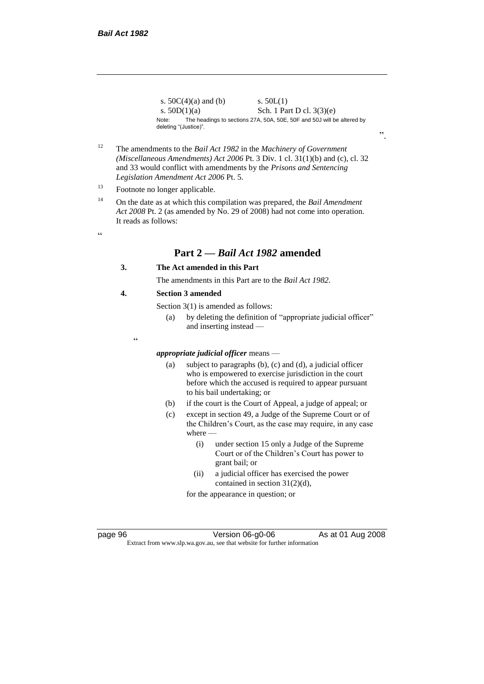$\epsilon$ 

s.  $50C(4)(a)$  and (b) s.  $50L(1)$ s.  $50D(1)(a)$  Sch. 1 Part D cl.  $3(3)(e)$ Note: The headings to sections 27A, 50A, 50E, 50F and 50J will be altered by deleting "(Justice)".

- <sup>12</sup> The amendments to the *Bail Act 1982* in the *Machinery of Government (Miscellaneous Amendments) Act 2006* Pt. 3 Div. 1 cl. 31(1)(b) and (c), cl. 32 and 33 would conflict with amendments by the *Prisons and Sentencing Legislation Amendment Act 2006* Pt. 5.
- <sup>13</sup> Footnote no longer applicable.
- <sup>14</sup> On the date as at which this compilation was prepared, the *Bail Amendment Act 2008* Pt. 2 (as amended by No. 29 of 2008) had not come into operation. It reads as follows:
	- **Part 2 —** *Bail Act 1982* **amended**

#### **3. The Act amended in this Part**

The amendments in this Part are to the *Bail Act 1982*.

#### **4. Section 3 amended**

 $\epsilon$ 

Section 3(1) is amended as follows:

(a) by deleting the definition of "appropriate judicial officer" and inserting instead —

# *appropriate judicial officer* means —

- (a) subject to paragraphs (b), (c) and (d), a judicial officer who is empowered to exercise jurisdiction in the court before which the accused is required to appear pursuant to his bail undertaking; or
- (b) if the court is the Court of Appeal, a judge of appeal; or
- (c) except in section 49, a Judge of the Supreme Court or of the Children's Court, as the case may require, in any case where —
	- (i) under section 15 only a Judge of the Supreme Court or of the Children's Court has power to grant bail; or
	- (ii) a judicial officer has exercised the power contained in section 31(2)(d),

for the appearance in question; or

page 96 **Version 06-g0-06** As at 01 Aug 2008 Extract from www.slp.wa.gov.au, see that website for further information

".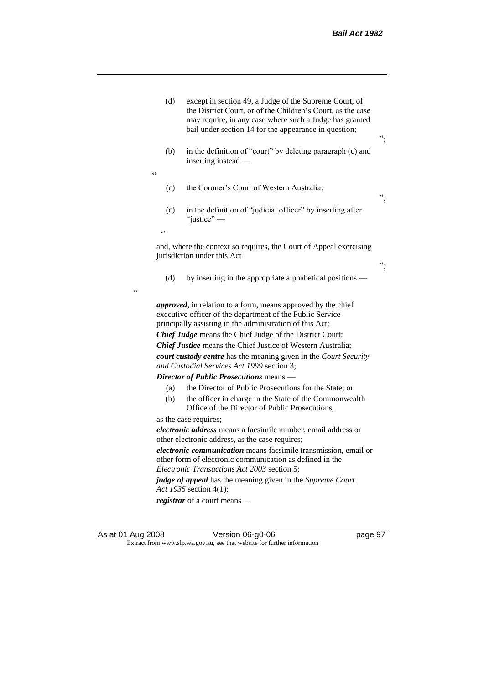| (d)              | except in section 49, a Judge of the Supreme Court, of<br>the District Court, or of the Children's Court, as the case<br>may require, in any case where such a Judge has granted<br>bail under section 14 for the appearance in question;                                                                                                                                                                                                                                                                                                                                                                                                                                                         | ᠉. |
|------------------|---------------------------------------------------------------------------------------------------------------------------------------------------------------------------------------------------------------------------------------------------------------------------------------------------------------------------------------------------------------------------------------------------------------------------------------------------------------------------------------------------------------------------------------------------------------------------------------------------------------------------------------------------------------------------------------------------|----|
| (b)<br>$\subset$ | in the definition of "court" by deleting paragraph (c) and<br>inserting instead -                                                                                                                                                                                                                                                                                                                                                                                                                                                                                                                                                                                                                 |    |
| (c)              | the Coroner's Court of Western Australia;                                                                                                                                                                                                                                                                                                                                                                                                                                                                                                                                                                                                                                                         | ". |
| (c)              | in the definition of "judicial officer" by inserting after<br>"justice" $-$                                                                                                                                                                                                                                                                                                                                                                                                                                                                                                                                                                                                                       |    |
| $\epsilon$       |                                                                                                                                                                                                                                                                                                                                                                                                                                                                                                                                                                                                                                                                                                   |    |
|                  | and, where the context so requires, the Court of Appeal exercising<br>jurisdiction under this Act                                                                                                                                                                                                                                                                                                                                                                                                                                                                                                                                                                                                 | ". |
| (d)              | by inserting in the appropriate alphabetical positions -                                                                                                                                                                                                                                                                                                                                                                                                                                                                                                                                                                                                                                          |    |
| (a)<br>(b)       | <i>approved</i> , in relation to a form, means approved by the chief<br>executive officer of the department of the Public Service<br>principally assisting in the administration of this Act;<br><b>Chief Judge</b> means the Chief Judge of the District Court;<br><b>Chief Justice</b> means the Chief Justice of Western Australia;<br>court custody centre has the meaning given in the Court Security<br>and Custodial Services Act 1999 section 3;<br>Director of Public Prosecutions means -<br>the Director of Public Prosecutions for the State; or<br>the officer in charge in the State of the Commonwealth<br>Office of the Director of Public Prosecutions,<br>as the case requires; |    |
|                  | electronic address means a facsimile number, email address or                                                                                                                                                                                                                                                                                                                                                                                                                                                                                                                                                                                                                                     |    |
|                  | other electronic address, as the case requires;                                                                                                                                                                                                                                                                                                                                                                                                                                                                                                                                                                                                                                                   |    |
|                  | electronic communication means facsimile transmission, email or<br>other form of electronic communication as defined in the<br>Electronic Transactions Act 2003 section 5;                                                                                                                                                                                                                                                                                                                                                                                                                                                                                                                        |    |
|                  | judge of appeal has the meaning given in the Supreme Court                                                                                                                                                                                                                                                                                                                                                                                                                                                                                                                                                                                                                                        |    |
|                  | Act 1935 section 4(1);                                                                                                                                                                                                                                                                                                                                                                                                                                                                                                                                                                                                                                                                            |    |
|                  | registrar of a court means —                                                                                                                                                                                                                                                                                                                                                                                                                                                                                                                                                                                                                                                                      |    |
|                  |                                                                                                                                                                                                                                                                                                                                                                                                                                                                                                                                                                                                                                                                                                   |    |

As at 01 Aug 2008 **Version 06-g0-06 page 97** Extract from www.slp.wa.gov.au, see that website for further information

 $\epsilon$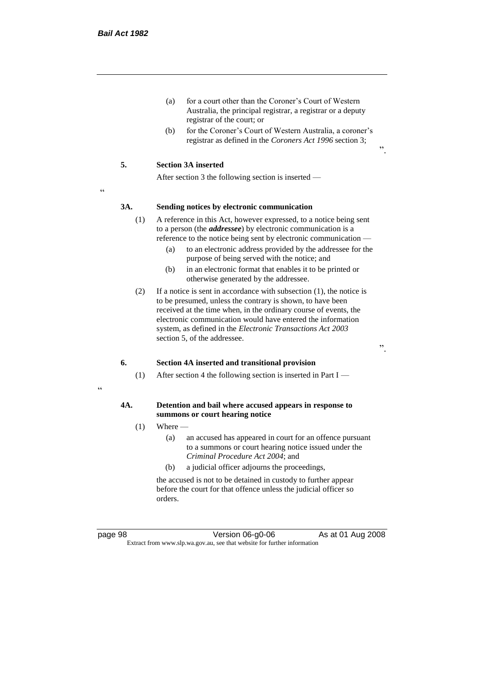- (a) for a court other than the Coroner's Court of Western Australia, the principal registrar, a registrar or a deputy registrar of the court; or
- (b) for the Coroner's Court of Western Australia, a coroner's registrar as defined in the *Coroners Act 1996* section 3;

#### **5. Section 3A inserted**

After section 3 the following section is inserted —

<u>،</u>

#### **3A. Sending notices by electronic communication**

- (1) A reference in this Act, however expressed, to a notice being sent to a person (the *addressee*) by electronic communication is a reference to the notice being sent by electronic communication —
	- (a) to an electronic address provided by the addressee for the purpose of being served with the notice; and
	- (b) in an electronic format that enables it to be printed or otherwise generated by the addressee.
- (2) If a notice is sent in accordance with subsection (1), the notice is to be presumed, unless the contrary is shown, to have been received at the time when, in the ordinary course of events, the electronic communication would have entered the information system, as defined in the *Electronic Transactions Act 2003* section 5, of the addressee.

".

".

#### **6. Section 4A inserted and transitional provision**

(1) After section 4 the following section is inserted in Part I —

#### "

#### **4A. Detention and bail where accused appears in response to summons or court hearing notice**

- $(1)$  Where
	- (a) an accused has appeared in court for an offence pursuant to a summons or court hearing notice issued under the *Criminal Procedure Act 2004*; and
	- (b) a judicial officer adjourns the proceedings,

the accused is not to be detained in custody to further appear before the court for that offence unless the judicial officer so orders.

page 98 **Version 06-g0-06** As at 01 Aug 2008 Extract from www.slp.wa.gov.au, see that website for further information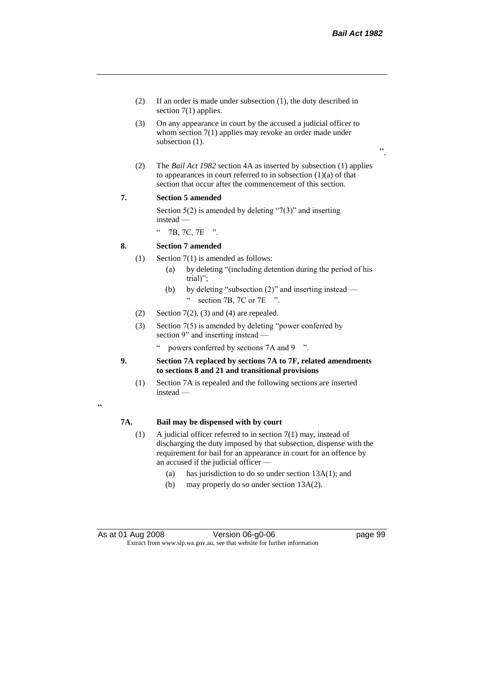".

- (2) If an order is made under subsection (1), the duty described in section 7(1) applies.
- (3) On any appearance in court by the accused a judicial officer to whom section 7(1) applies may revoke an order made under subsection (1).
- (2) The *Bail Act 1982* section 4A as inserted by subsection (1) applies to appearances in court referred to in subsection  $(1)(a)$  of that section that occur after the commencement of this section.

#### **7. Section 5 amended**

Section  $5(2)$  is amended by deleting "7(3)" and inserting instead —

" 7B, 7C, 7E ".

#### **8. Section 7 amended**

- (1) Section 7(1) is amended as follows:
	- (a) by deleting "(including detention during the period of his trial)";
	- (b) by deleting "subsection (2)" and inserting instead " section 7B, 7C or 7E ".
- (2) Section  $7(2)$ , (3) and (4) are repealed.
- (3) Section 7(5) is amended by deleting "power conferred by section 9" and inserting instead
	- powers conferred by sections 7A and 9  $\degree$ ".
- **9. Section 7A replaced by sections 7A to 7F, related amendments to sections 8 and 21 and transitional provisions**
	- (1) Section 7A is repealed and the following sections are inserted instead —

# "

#### **7A. Bail may be dispensed with by court**

- (1) A judicial officer referred to in section 7(1) may, instead of discharging the duty imposed by that subsection, dispense with the requirement for bail for an appearance in court for an offence by an accused if the judicial officer —
	- (a) has jurisdiction to do so under section 13A(1); and
	- (b) may properly do so under section 13A(2).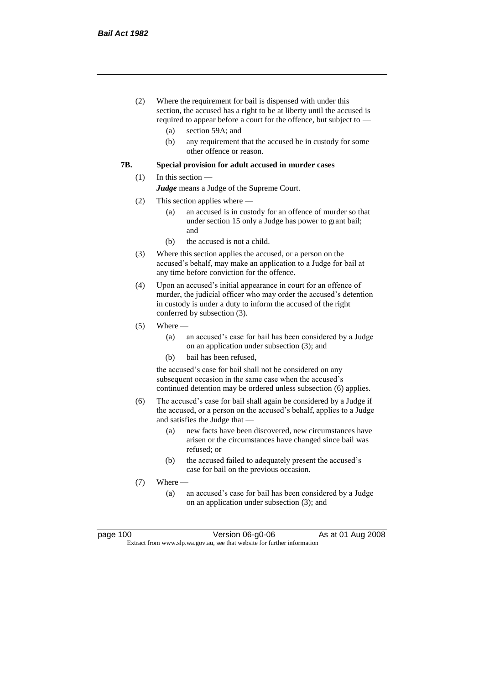- (2) Where the requirement for bail is dispensed with under this section, the accused has a right to be at liberty until the accused is required to appear before a court for the offence, but subject to —
	- (a) section 59A; and
	- (b) any requirement that the accused be in custody for some other offence or reason.

#### **7B. Special provision for adult accused in murder cases**

#### (1) In this section —

*Judge* means a Judge of the Supreme Court.

- (2) This section applies where
	- (a) an accused is in custody for an offence of murder so that under section 15 only a Judge has power to grant bail; and
	- (b) the accused is not a child.
- (3) Where this section applies the accused, or a person on the accused's behalf, may make an application to a Judge for bail at any time before conviction for the offence.
- (4) Upon an accused's initial appearance in court for an offence of murder, the judicial officer who may order the accused's detention in custody is under a duty to inform the accused of the right conferred by subsection (3).
- $(5)$  Where
	- (a) an accused's case for bail has been considered by a Judge on an application under subsection (3); and
	- (b) bail has been refused,

the accused's case for bail shall not be considered on any subsequent occasion in the same case when the accused's continued detention may be ordered unless subsection (6) applies.

- (6) The accused's case for bail shall again be considered by a Judge if the accused, or a person on the accused's behalf, applies to a Judge and satisfies the Judge that —
	- (a) new facts have been discovered, new circumstances have arisen or the circumstances have changed since bail was refused; or
	- (b) the accused failed to adequately present the accused's case for bail on the previous occasion.
- (7) Where
	- (a) an accused's case for bail has been considered by a Judge on an application under subsection (3); and

| page 100 |  |  |
|----------|--|--|
|----------|--|--|

page 100 Version 06-g0-06 As at 01 Aug 2008 Extract from www.slp.wa.gov.au, see that website for further information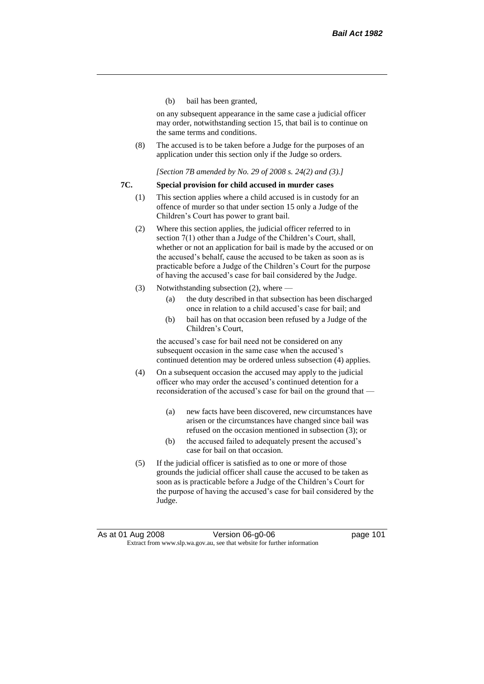(b) bail has been granted,

on any subsequent appearance in the same case a judicial officer may order, notwithstanding section 15, that bail is to continue on the same terms and conditions.

(8) The accused is to be taken before a Judge for the purposes of an application under this section only if the Judge so orders.

*[Section 7B amended by No. 29 of 2008 s. 24(2) and (3).]*

## **7C. Special provision for child accused in murder cases**

- (1) This section applies where a child accused is in custody for an offence of murder so that under section 15 only a Judge of the Children's Court has power to grant bail.
- (2) Where this section applies, the judicial officer referred to in section 7(1) other than a Judge of the Children's Court, shall, whether or not an application for bail is made by the accused or on the accused's behalf, cause the accused to be taken as soon as is practicable before a Judge of the Children's Court for the purpose of having the accused's case for bail considered by the Judge.
- (3) Notwithstanding subsection (2), where
	- (a) the duty described in that subsection has been discharged once in relation to a child accused's case for bail; and
	- (b) bail has on that occasion been refused by a Judge of the Children's Court,

the accused's case for bail need not be considered on any subsequent occasion in the same case when the accused's continued detention may be ordered unless subsection (4) applies.

- (4) On a subsequent occasion the accused may apply to the judicial officer who may order the accused's continued detention for a reconsideration of the accused's case for bail on the ground that —
	- (a) new facts have been discovered, new circumstances have arisen or the circumstances have changed since bail was refused on the occasion mentioned in subsection (3); or
	- (b) the accused failed to adequately present the accused's case for bail on that occasion.
- (5) If the judicial officer is satisfied as to one or more of those grounds the judicial officer shall cause the accused to be taken as soon as is practicable before a Judge of the Children's Court for the purpose of having the accused's case for bail considered by the Judge.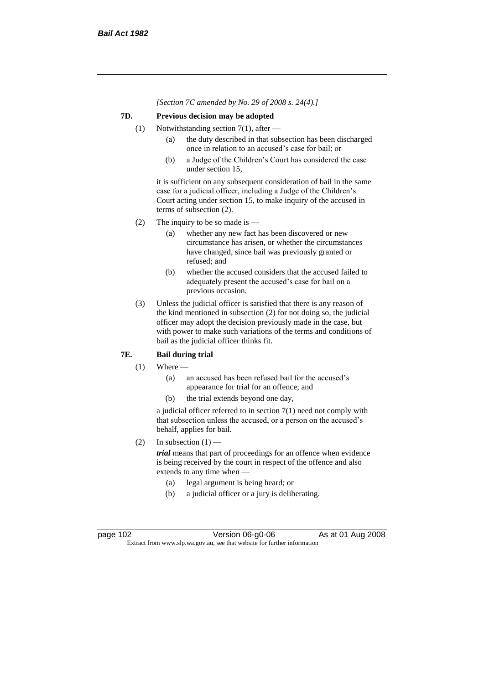*[Section 7C amended by No. 29 of 2008 s. 24(4).]*

# **7D. Previous decision may be adopted**

- (1) Notwithstanding section 7(1), after
	- (a) the duty described in that subsection has been discharged once in relation to an accused's case for bail; or
	- (b) a Judge of the Children's Court has considered the case under section 15,

it is sufficient on any subsequent consideration of bail in the same case for a judicial officer, including a Judge of the Children's Court acting under section 15, to make inquiry of the accused in terms of subsection (2).

- (2) The inquiry to be so made is  $-$ 
	- (a) whether any new fact has been discovered or new circumstance has arisen, or whether the circumstances have changed, since bail was previously granted or refused; and
	- (b) whether the accused considers that the accused failed to adequately present the accused's case for bail on a previous occasion.
- (3) Unless the judicial officer is satisfied that there is any reason of the kind mentioned in subsection (2) for not doing so, the judicial officer may adopt the decision previously made in the case, but with power to make such variations of the terms and conditions of bail as the judicial officer thinks fit.

# **7E. Bail during trial**

- $(1)$  Where
	- (a) an accused has been refused bail for the accused's appearance for trial for an offence; and
	- (b) the trial extends beyond one day,

a judicial officer referred to in section 7(1) need not comply with that subsection unless the accused, or a person on the accused's behalf, applies for bail.

(2) In subsection  $(1)$  —

*trial* means that part of proceedings for an offence when evidence is being received by the court in respect of the offence and also extends to any time when —

- (a) legal argument is being heard; or
- (b) a judicial officer or a jury is deliberating.

page 102 Version 06-g0-06 As at 01 Aug 2008 Extract from www.slp.wa.gov.au, see that website for further information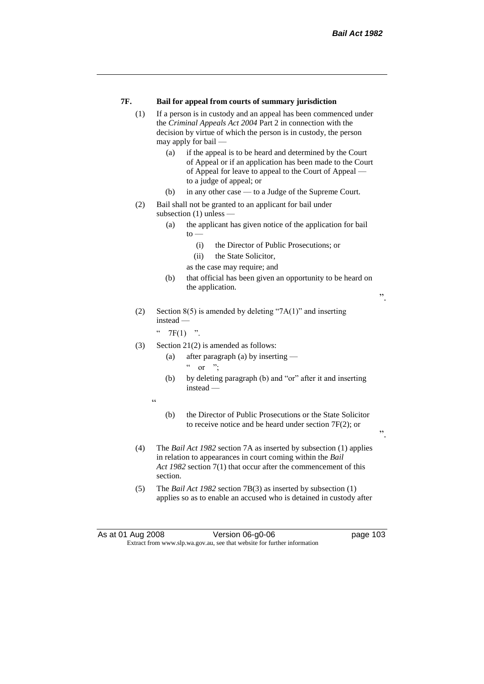## **7F. Bail for appeal from courts of summary jurisdiction**

- (1) If a person is in custody and an appeal has been commenced under the *Criminal Appeals Act 2004* Part 2 in connection with the decision by virtue of which the person is in custody, the person may apply for bail —
	- (a) if the appeal is to be heard and determined by the Court of Appeal or if an application has been made to the Court of Appeal for leave to appeal to the Court of Appeal to a judge of appeal; or
	- (b) in any other case to a Judge of the Supreme Court.
- (2) Bail shall not be granted to an applicant for bail under subsection (1) unless —
	- (a) the applicant has given notice of the application for bail  $to -$ 
		- (i) the Director of Public Prosecutions; or
		- (ii) the State Solicitor,
		- as the case may require; and
	- (b) that official has been given an opportunity to be heard on the application.

".

".

(2) Section 8(5) is amended by deleting "7A(1)" and inserting instead —

 $"$  7F(1) ".

- (3) Section 21(2) is amended as follows:
	- (a) after paragraph (a) by inserting
		- $\alpha$  or ";
	- (b) by deleting paragraph (b) and "or" after it and inserting instead —
	- "
- (b) the Director of Public Prosecutions or the State Solicitor to receive notice and be heard under section 7F(2); or
- (4) The *Bail Act 1982* section 7A as inserted by subsection (1) applies in relation to appearances in court coming within the *Bail Act 1982* section 7(1) that occur after the commencement of this section.
- (5) The *Bail Act 1982* section 7B(3) as inserted by subsection (1) applies so as to enable an accused who is detained in custody after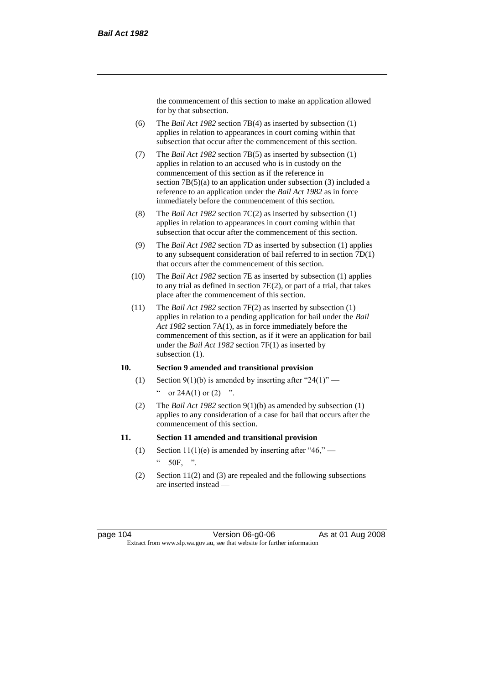the commencement of this section to make an application allowed for by that subsection.

- (6) The *Bail Act 1982* section 7B(4) as inserted by subsection (1) applies in relation to appearances in court coming within that subsection that occur after the commencement of this section.
- (7) The *Bail Act 1982* section 7B(5) as inserted by subsection (1) applies in relation to an accused who is in custody on the commencement of this section as if the reference in section 7B(5)(a) to an application under subsection (3) included a reference to an application under the *Bail Act 1982* as in force immediately before the commencement of this section.
- (8) The *Bail Act 1982* section 7C(2) as inserted by subsection (1) applies in relation to appearances in court coming within that subsection that occur after the commencement of this section.
- (9) The *Bail Act 1982* section 7D as inserted by subsection (1) applies to any subsequent consideration of bail referred to in section 7D(1) that occurs after the commencement of this section.
- (10) The *Bail Act 1982* section 7E as inserted by subsection (1) applies to any trial as defined in section 7E(2), or part of a trial, that takes place after the commencement of this section.
- (11) The *Bail Act 1982* section 7F(2) as inserted by subsection (1) applies in relation to a pending application for bail under the *Bail Act 1982* section 7A(1), as in force immediately before the commencement of this section, as if it were an application for bail under the *Bail Act 1982* section 7F(1) as inserted by subsection  $(1)$ .

# **10. Section 9 amended and transitional provision**

- (1) Section 9(1)(b) is amended by inserting after "24(1)" " or  $24A(1)$  or  $(2)$  ".
- (2) The *Bail Act 1982* section 9(1)(b) as amended by subsection (1) applies to any consideration of a case for bail that occurs after the commencement of this section.

### **11. Section 11 amended and transitional provision**

- (1) Section 11(1)(e) is amended by inserting after "46,"  $\degree$  50F, ".
- (2) Section 11(2) and (3) are repealed and the following subsections are inserted instead —

page 104 **Version 06-g0-06** As at 01 Aug 2008 Extract from www.slp.wa.gov.au, see that website for further information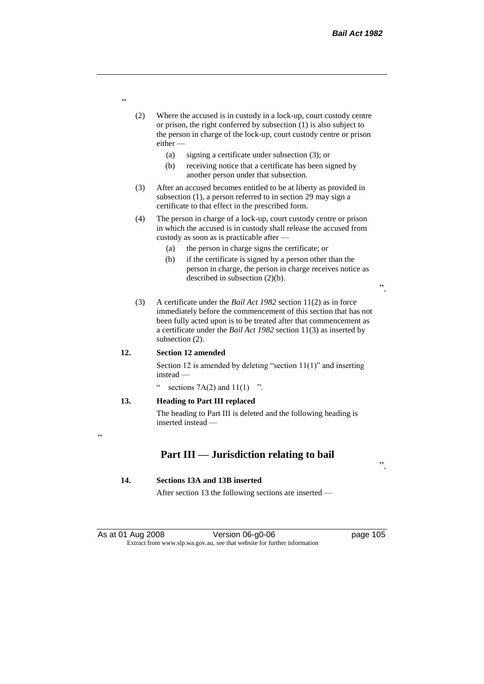- (2) Where the accused is in custody in a lock-up, court custody centre or prison, the right conferred by subsection (1) is also subject to the person in charge of the lock-up, court custody centre or prison either —
	- (a) signing a certificate under subsection (3); or
	- (b) receiving notice that a certificate has been signed by another person under that subsection.
- (3) After an accused becomes entitled to be at liberty as provided in subsection (1), a person referred to in section 29 may sign a certificate to that effect in the prescribed form.
- (4) The person in charge of a lock-up, court custody centre or prison in which the accused is in custody shall release the accused from custody as soon as is practicable after —
	- (a) the person in charge signs the certificate; or
	- (b) if the certificate is signed by a person other than the person in charge, the person in charge receives notice as described in subsection (2)(b).
- (3) A certificate under the *Bail Act 1982* section 11(2) as in force immediately before the commencement of this section that has not been fully acted upon is to be treated after that commencement as a certificate under the *Bail Act 1982* section 11(3) as inserted by subsection (2).

#### **12. Section 12 amended**

Section 12 is amended by deleting "section 11(1)" and inserting instead —

sections  $7A(2)$  and  $11(1)$  ".

## **13. Heading to Part III replaced**

The heading to Part III is deleted and the following heading is inserted instead —

 $\epsilon$ 

# **Part III — Jurisdiction relating to bail**

## **14. Sections 13A and 13B inserted**

After section 13 the following sections are inserted —

".

".

"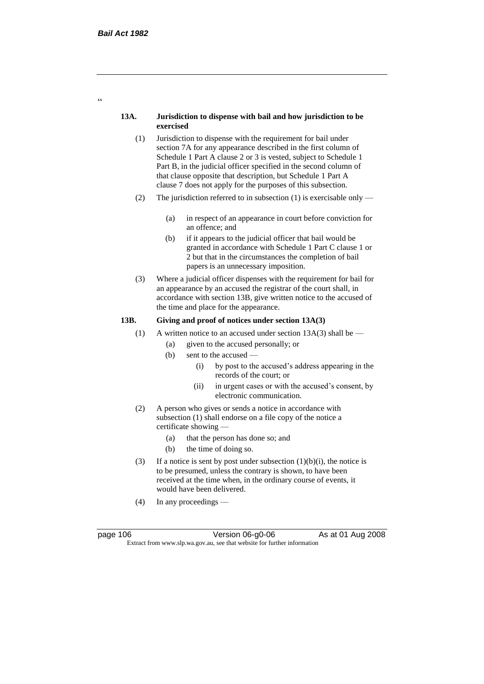## **13A. Jurisdiction to dispense with bail and how jurisdiction to be exercised**

- (1) Jurisdiction to dispense with the requirement for bail under section 7A for any appearance described in the first column of Schedule 1 Part A clause 2 or 3 is vested, subject to Schedule 1 Part B, in the judicial officer specified in the second column of that clause opposite that description, but Schedule 1 Part A clause 7 does not apply for the purposes of this subsection.
- (2) The jurisdiction referred to in subsection (1) is exercisable only
	- (a) in respect of an appearance in court before conviction for an offence; and
	- (b) if it appears to the judicial officer that bail would be granted in accordance with Schedule 1 Part C clause 1 or 2 but that in the circumstances the completion of bail papers is an unnecessary imposition.
- (3) Where a judicial officer dispenses with the requirement for bail for an appearance by an accused the registrar of the court shall, in accordance with section 13B, give written notice to the accused of the time and place for the appearance.

# **13B. Giving and proof of notices under section 13A(3)**

- (1) A written notice to an accused under section  $13A(3)$  shall be
	- (a) given to the accused personally; or
	- $(b)$  sent to the accused
		- (i) by post to the accused's address appearing in the records of the court; or
		- (ii) in urgent cases or with the accused's consent, by electronic communication.
- (2) A person who gives or sends a notice in accordance with subsection (1) shall endorse on a file copy of the notice a certificate showing —
	- (a) that the person has done so; and
	- (b) the time of doing so.
- (3) If a notice is sent by post under subsection  $(1)(b)(i)$ , the notice is to be presumed, unless the contrary is shown, to have been received at the time when, in the ordinary course of events, it would have been delivered.
- (4) In any proceedings —

page 106 **Version 06-g0-06** As at 01 Aug 2008 Extract from www.slp.wa.gov.au, see that website for further information

 $\epsilon$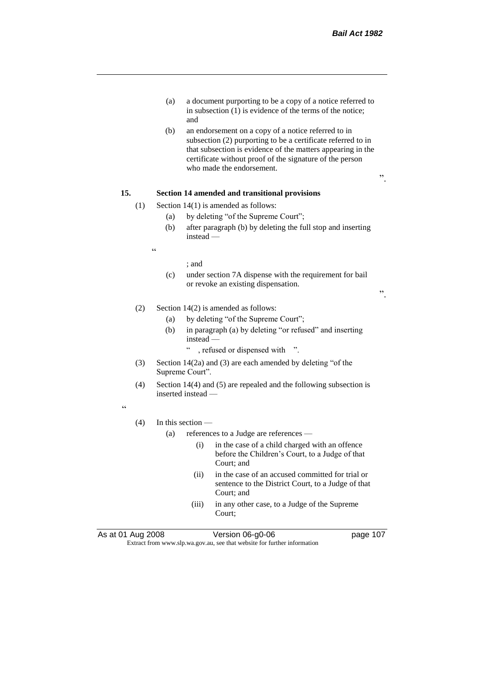- (a) a document purporting to be a copy of a notice referred to in subsection (1) is evidence of the terms of the notice; and
- (b) an endorsement on a copy of a notice referred to in subsection (2) purporting to be a certificate referred to in that subsection is evidence of the matters appearing in the certificate without proof of the signature of the person who made the endorsement.

## **15. Section 14 amended and transitional provisions**

- (1) Section 14(1) is amended as follows:
	- (a) by deleting "of the Supreme Court";
	- (b) after paragraph (b) by deleting the full stop and inserting instead —

 $\epsilon$ 

#### ; and

(c) under section 7A dispense with the requirement for bail or revoke an existing dispensation.

".

".

# (2) Section 14(2) is amended as follows:

- (a) by deleting "of the Supreme Court";
- (b) in paragraph (a) by deleting "or refused" and inserting instead —
	- " , refused or dispensed with ".
- (3) Section 14(2a) and (3) are each amended by deleting "of the Supreme Court".
- (4) Section 14(4) and (5) are repealed and the following subsection is inserted instead —

 $\epsilon$ 

#### (4) In this section —

- (a) references to a Judge are references
	- (i) in the case of a child charged with an offence before the Children's Court, to a Judge of that Court; and
	- (ii) in the case of an accused committed for trial or sentence to the District Court, to a Judge of that Court; and
	- (iii) in any other case, to a Judge of the Supreme Court;

As at 01 Aug 2008 Version 06-g0-06 page 107

Extract from www.slp.wa.gov.au, see that website for further information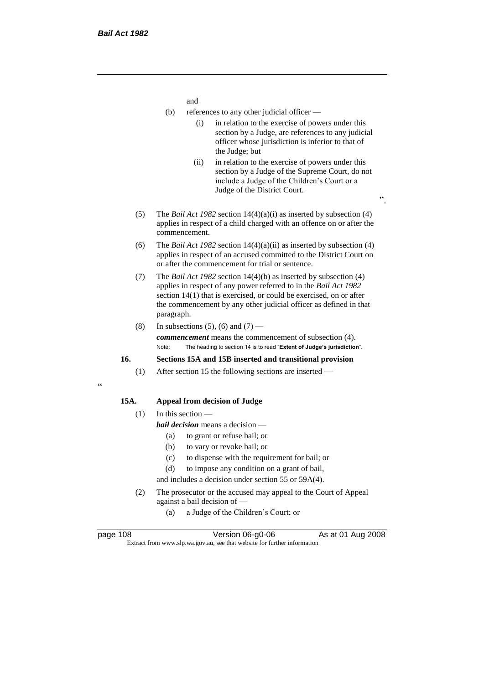and

- (b) references to any other judicial officer
	- (i) in relation to the exercise of powers under this section by a Judge, are references to any judicial officer whose jurisdiction is inferior to that of the Judge; but
	- (ii) in relation to the exercise of powers under this section by a Judge of the Supreme Court, do not include a Judge of the Children's Court or a Judge of the District Court.
- (5) The *Bail Act 1982* section 14(4)(a)(i) as inserted by subsection (4) applies in respect of a child charged with an offence on or after the commencement.
- (6) The *Bail Act 1982* section 14(4)(a)(ii) as inserted by subsection (4) applies in respect of an accused committed to the District Court on or after the commencement for trial or sentence.
- (7) The *Bail Act 1982* section 14(4)(b) as inserted by subsection (4) applies in respect of any power referred to in the *Bail Act 1982* section 14(1) that is exercised, or could be exercised, on or after the commencement by any other judicial officer as defined in that paragraph.
- (8) In subsections (5), (6) and (7) —

*commencement* means the commencement of subsection (4). Note: The heading to section 14 is to read "**Extent of Judge's jurisdiction**".

# **16. Sections 15A and 15B inserted and transitional provision**

(1) After section 15 the following sections are inserted —

#### $\epsilon$

# **15A. Appeal from decision of Judge**

# $(1)$  In this section —

- *bail decision* means a decision
	- (a) to grant or refuse bail; or
	- (b) to vary or revoke bail; or
	- (c) to dispense with the requirement for bail; or
	- (d) to impose any condition on a grant of bail,

and includes a decision under section 55 or 59A(4).

- (2) The prosecutor or the accused may appeal to the Court of Appeal against a bail decision of —
	- (a) a Judge of the Children's Court; or

| page 108 |  |
|----------|--|
|          |  |

page 108 Version 06-g0-06 As at 01 Aug 2008 Extract from www.slp.wa.gov.au, see that website for further information

 $\cdot$ ,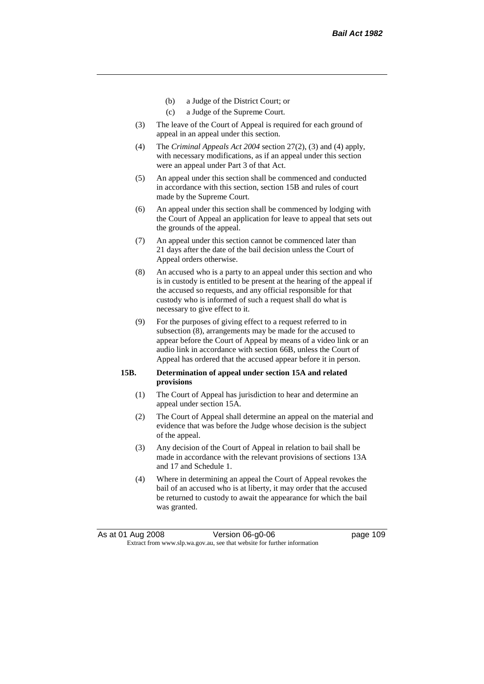- (b) a Judge of the District Court; or
- (c) a Judge of the Supreme Court.
- (3) The leave of the Court of Appeal is required for each ground of appeal in an appeal under this section.
- (4) The *Criminal Appeals Act 2004* section 27(2), (3) and (4) apply, with necessary modifications, as if an appeal under this section were an appeal under Part 3 of that Act.
- (5) An appeal under this section shall be commenced and conducted in accordance with this section, section 15B and rules of court made by the Supreme Court.
- (6) An appeal under this section shall be commenced by lodging with the Court of Appeal an application for leave to appeal that sets out the grounds of the appeal.
- (7) An appeal under this section cannot be commenced later than 21 days after the date of the bail decision unless the Court of Appeal orders otherwise.
- (8) An accused who is a party to an appeal under this section and who is in custody is entitled to be present at the hearing of the appeal if the accused so requests, and any official responsible for that custody who is informed of such a request shall do what is necessary to give effect to it.
- (9) For the purposes of giving effect to a request referred to in subsection (8), arrangements may be made for the accused to appear before the Court of Appeal by means of a video link or an audio link in accordance with section 66B, unless the Court of Appeal has ordered that the accused appear before it in person.

## **15B. Determination of appeal under section 15A and related provisions**

- (1) The Court of Appeal has jurisdiction to hear and determine an appeal under section 15A.
- (2) The Court of Appeal shall determine an appeal on the material and evidence that was before the Judge whose decision is the subject of the appeal.
- (3) Any decision of the Court of Appeal in relation to bail shall be made in accordance with the relevant provisions of sections 13A and 17 and Schedule 1.
- (4) Where in determining an appeal the Court of Appeal revokes the bail of an accused who is at liberty, it may order that the accused be returned to custody to await the appearance for which the bail was granted.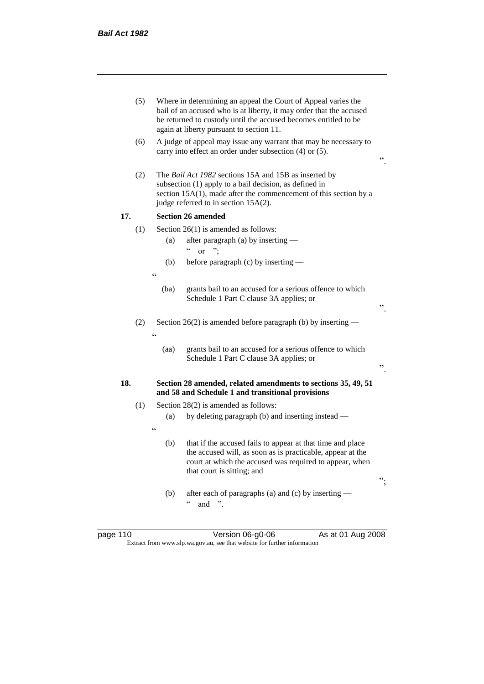|     | (5) | Where in determining an appeal the Court of Appeal varies the<br>bail of an accused who is at liberty, it may order that the accused<br>be returned to custody until the accused becomes entitled to be<br>again at liberty pursuant to section 11. |                                                                                                                                                                                                                             |    |
|-----|-----|-----------------------------------------------------------------------------------------------------------------------------------------------------------------------------------------------------------------------------------------------------|-----------------------------------------------------------------------------------------------------------------------------------------------------------------------------------------------------------------------------|----|
|     | (6) |                                                                                                                                                                                                                                                     | A judge of appeal may issue any warrant that may be necessary to<br>carry into effect an order under subsection (4) or (5).                                                                                                 | ,, |
|     | (2) |                                                                                                                                                                                                                                                     | The Bail Act 1982 sections 15A and 15B as inserted by<br>subsection (1) apply to a bail decision, as defined in<br>section 15A(1), made after the commencement of this section by a<br>judge referred to in section 15A(2). |    |
| 17. |     |                                                                                                                                                                                                                                                     | <b>Section 26 amended</b>                                                                                                                                                                                                   |    |
|     | (1) |                                                                                                                                                                                                                                                     | Section $26(1)$ is amended as follows:                                                                                                                                                                                      |    |
|     |     | (a)                                                                                                                                                                                                                                                 | after paragraph (a) by inserting —<br>$\boldsymbol{\varsigma}$ $\boldsymbol{\varsigma}$<br>$\alpha$                                                                                                                         |    |
|     |     | (b)                                                                                                                                                                                                                                                 | before paragraph (c) by inserting —                                                                                                                                                                                         |    |
|     |     | $\epsilon$                                                                                                                                                                                                                                          |                                                                                                                                                                                                                             |    |
|     |     | (ba)                                                                                                                                                                                                                                                | grants bail to an accused for a serious offence to which<br>Schedule 1 Part C clause 3A applies; or                                                                                                                         | ,, |
|     | (2) | $\epsilon$                                                                                                                                                                                                                                          | Section 26(2) is amended before paragraph (b) by inserting $-$                                                                                                                                                              |    |
|     |     | (aa)                                                                                                                                                                                                                                                | grants bail to an accused for a serious offence to which<br>Schedule 1 Part C clause 3A applies; or                                                                                                                         | ,, |
| 18. |     |                                                                                                                                                                                                                                                     | Section 28 amended, related amendments to sections 35, 49, 51<br>and 58 and Schedule 1 and transitional provisions                                                                                                          |    |
|     | (1) |                                                                                                                                                                                                                                                     | Section 28(2) is amended as follows:                                                                                                                                                                                        |    |
|     |     | (a)                                                                                                                                                                                                                                                 | by deleting paragraph (b) and inserting instead —                                                                                                                                                                           |    |
|     |     | $\epsilon$<br>(b)                                                                                                                                                                                                                                   | that if the accused fails to appear at that time and place<br>the accused will, as soon as is practicable, appear at the<br>court at which the accused was required to appear, when<br>that court is sitting; and           | ". |
|     |     | (b)                                                                                                                                                                                                                                                 | after each of paragraphs (a) and (c) by inserting —<br>$\boldsymbol{\varsigma}$ $\boldsymbol{\varsigma}$<br>".<br>and                                                                                                       |    |

page 110 **Denotive Stratege 110** Version 06-g0-06 As at 01 Aug 2008 Extract from www.slp.wa.gov.au, see that website for further information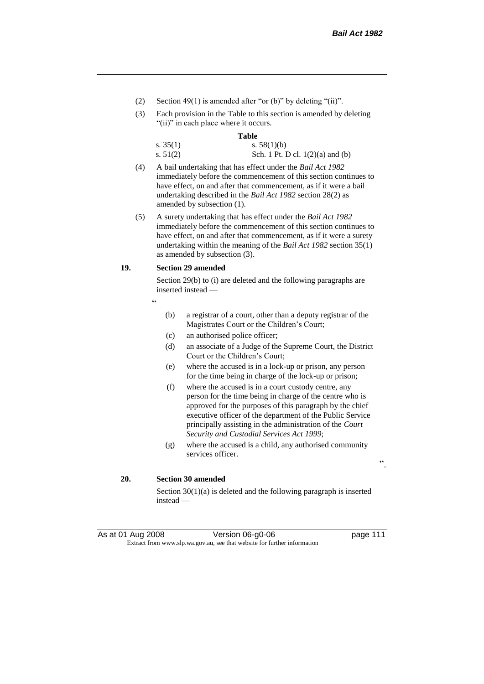- (2) Section 49(1) is amended after "or (b)" by deleting "(ii)".
- (3) Each provision in the Table to this section is amended by deleting "(ii)" in each place where it occurs.

#### **Table**

| s. $35(1)$ | s. $58(1)(b)$                      |
|------------|------------------------------------|
| s. $51(2)$ | Sch. 1 Pt. D cl. $1(2)(a)$ and (b) |

- (4) A bail undertaking that has effect under the *Bail Act 1982* immediately before the commencement of this section continues to have effect, on and after that commencement, as if it were a bail undertaking described in the *Bail Act 1982* section 28(2) as amended by subsection (1).
- (5) A surety undertaking that has effect under the *Bail Act 1982* immediately before the commencement of this section continues to have effect, on and after that commencement, as if it were a surety undertaking within the meaning of the *Bail Act 1982* section 35(1) as amended by subsection (3).

## **19. Section 29 amended**

Section 29(b) to (i) are deleted and the following paragraphs are inserted instead —

- "
- (b) a registrar of a court, other than a deputy registrar of the Magistrates Court or the Children's Court;
- (c) an authorised police officer;
- (d) an associate of a Judge of the Supreme Court, the District Court or the Children's Court;
- (e) where the accused is in a lock-up or prison, any person for the time being in charge of the lock-up or prison;
- (f) where the accused is in a court custody centre, any person for the time being in charge of the centre who is approved for the purposes of this paragraph by the chief executive officer of the department of the Public Service principally assisting in the administration of the *Court Security and Custodial Services Act 1999*;
- (g) where the accused is a child, any authorised community services officer.

".

## **20. Section 30 amended**

Section 30(1)(a) is deleted and the following paragraph is inserted instead —

As at 01 Aug 2008 Version 06-g0-06 page 111 Extract from www.slp.wa.gov.au, see that website for further information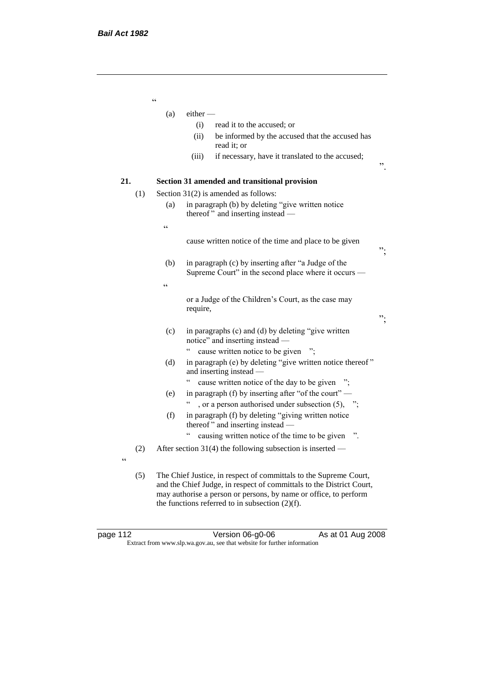"  $(a)$  either — (i) read it to the accused; or (ii) be informed by the accused that the accused has read it; or (iii) if necessary, have it translated to the accused; ". **21. Section 31 amended and transitional provision** (1) Section 31(2) is amended as follows: (a) in paragraph (b) by deleting "give written notice thereof " and inserting instead — " cause written notice of the time and place to be given "; (b) in paragraph (c) by inserting after "a Judge of the Supreme Court" in the second place where it occurs —  $\zeta\,\zeta$ or a Judge of the Children's Court, as the case may require, "; (c) in paragraphs (c) and (d) by deleting "give written notice" and inserting instead — " cause written notice to be given "; (d) in paragraph (e) by deleting "give written notice thereof " and inserting instead — " cause written notice of the day to be given "; (e) in paragraph (f) by inserting after "of the court" — ", or a person authorised under subsection  $(5)$ , "; (f) in paragraph (f) by deleting "giving written notice thereof " and inserting instead — " causing written notice of the time to be given ". (2) After section 31(4) the following subsection is inserted —  $\epsilon$ (5) The Chief Justice, in respect of committals to the Supreme Court, and the Chief Judge, in respect of committals to the District Court, may authorise a person or persons, by name or office, to perform the functions referred to in subsection  $(2)(f)$ .

page 112 **Version 06-g0-06** As at 01 Aug 2008 Extract from www.slp.wa.gov.au, see that website for further information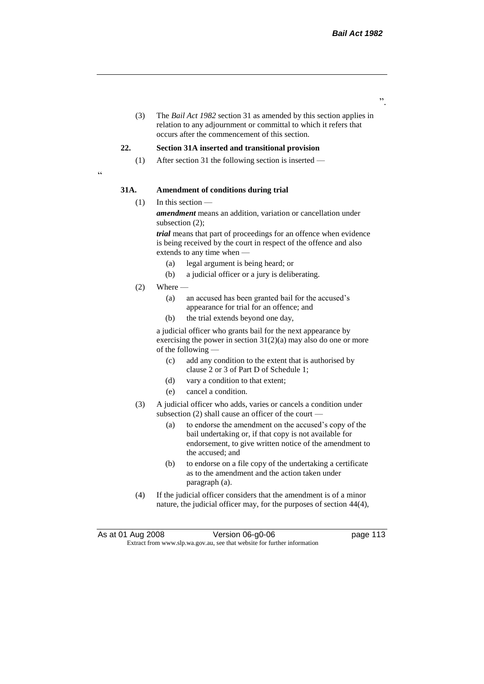".

(3) The *Bail Act 1982* section 31 as amended by this section applies in relation to any adjournment or committal to which it refers that occurs after the commencement of this section.

## **22. Section 31A inserted and transitional provision**

(1) After section 31 the following section is inserted —

.<br>"

## **31A. Amendment of conditions during trial**

(1) In this section —

*amendment* means an addition, variation or cancellation under subsection (2);

*trial* means that part of proceedings for an offence when evidence is being received by the court in respect of the offence and also extends to any time when —

- (a) legal argument is being heard; or
- (b) a judicial officer or a jury is deliberating.
- $(2)$  Where  $-$ 
	- (a) an accused has been granted bail for the accused's appearance for trial for an offence; and
	- (b) the trial extends beyond one day,

a judicial officer who grants bail for the next appearance by exercising the power in section 31(2)(a) may also do one or more of the following —

- (c) add any condition to the extent that is authorised by clause 2 or 3 of Part D of Schedule 1;
- (d) vary a condition to that extent;
- (e) cancel a condition.
- (3) A judicial officer who adds, varies or cancels a condition under subsection (2) shall cause an officer of the court —
	- (a) to endorse the amendment on the accused's copy of the bail undertaking or, if that copy is not available for endorsement, to give written notice of the amendment to the accused; and
	- (b) to endorse on a file copy of the undertaking a certificate as to the amendment and the action taken under paragraph (a).
- (4) If the judicial officer considers that the amendment is of a minor nature, the judicial officer may, for the purposes of section 44(4),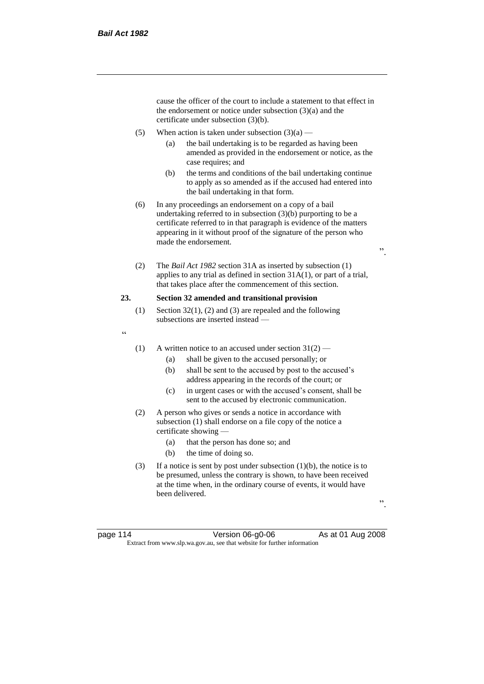cause the officer of the court to include a statement to that effect in the endorsement or notice under subsection (3)(a) and the certificate under subsection (3)(b).

- (5) When action is taken under subsection  $(3)(a)$ 
	- (a) the bail undertaking is to be regarded as having been amended as provided in the endorsement or notice, as the case requires; and
	- (b) the terms and conditions of the bail undertaking continue to apply as so amended as if the accused had entered into the bail undertaking in that form.
- (6) In any proceedings an endorsement on a copy of a bail undertaking referred to in subsection (3)(b) purporting to be a certificate referred to in that paragraph is evidence of the matters appearing in it without proof of the signature of the person who made the endorsement.
- (2) The *Bail Act 1982* section 31A as inserted by subsection (1) applies to any trial as defined in section 31A(1), or part of a trial, that takes place after the commencement of this section.

## **23. Section 32 amended and transitional provision**

- (1) Section 32(1), (2) and (3) are repealed and the following subsections are inserted instead —
- "
- (1) A written notice to an accused under section  $31(2)$ 
	- (a) shall be given to the accused personally; or
	- (b) shall be sent to the accused by post to the accused's address appearing in the records of the court; or
	- (c) in urgent cases or with the accused's consent, shall be sent to the accused by electronic communication.
- (2) A person who gives or sends a notice in accordance with subsection (1) shall endorse on a file copy of the notice a certificate showing —
	- (a) that the person has done so; and
	- (b) the time of doing so.
- (3) If a notice is sent by post under subsection  $(1)(b)$ , the notice is to be presumed, unless the contrary is shown, to have been received at the time when, in the ordinary course of events, it would have been delivered.

".

page 114 **Version 06-g0-06** As at 01 Aug 2008 Extract from www.slp.wa.gov.au, see that website for further information

".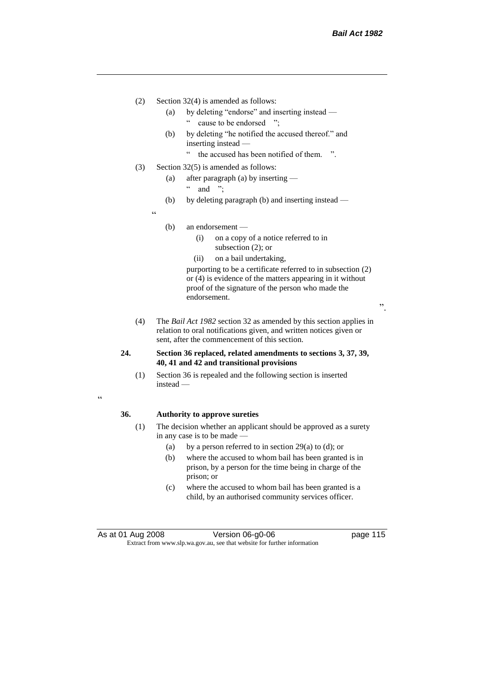- (2) Section 32(4) is amended as follows:
	- (a) by deleting "endorse" and inserting instead " cause to be endorsed ";
	- (b) by deleting "he notified the accused thereof." and inserting instead —
		- " the accused has been notified of them. ".
- (3) Section 32(5) is amended as follows:
	- (a) after paragraph (a) by inserting
		- " and ";
	- (b) by deleting paragraph (b) and inserting instead —
	- (b) an endorsement —

 $\epsilon$ 

- (i) on a copy of a notice referred to in subsection (2); or
- (ii) on a bail undertaking,

purporting to be a certificate referred to in subsection (2) or (4) is evidence of the matters appearing in it without proof of the signature of the person who made the endorsement.

".

(4) The *Bail Act 1982* section 32 as amended by this section applies in relation to oral notifications given, and written notices given or sent, after the commencement of this section.

## **24. Section 36 replaced, related amendments to sections 3, 37, 39, 40, 41 and 42 and transitional provisions**

(1) Section 36 is repealed and the following section is inserted instead —

.<br>"

## **36. Authority to approve sureties**

- (1) The decision whether an applicant should be approved as a surety in any case is to be made —
	- (a) by a person referred to in section 29(a) to (d); or
	- (b) where the accused to whom bail has been granted is in prison, by a person for the time being in charge of the prison; or
	- (c) where the accused to whom bail has been granted is a child, by an authorised community services officer.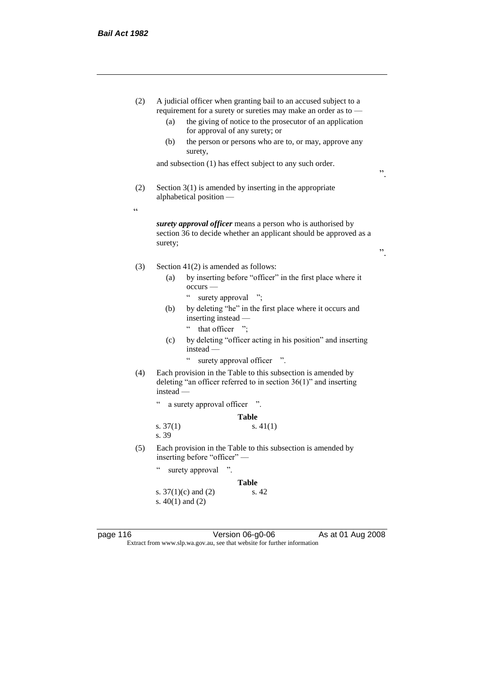| (2)        | A judicial officer when granting bail to an accused subject to a<br>requirement for a surety or sureties may make an order as to -<br>the giving of notice to the prosecutor of an application<br>(a)<br>for approval of any surety; or<br>(b)<br>the person or persons who are to, or may, approve any<br>surety,<br>and subsection (1) has effect subject to any such order. |    |
|------------|--------------------------------------------------------------------------------------------------------------------------------------------------------------------------------------------------------------------------------------------------------------------------------------------------------------------------------------------------------------------------------|----|
|            |                                                                                                                                                                                                                                                                                                                                                                                | ,, |
| (2)        | Section $3(1)$ is amended by inserting in the appropriate<br>alphabetical position -                                                                                                                                                                                                                                                                                           |    |
| $\epsilon$ |                                                                                                                                                                                                                                                                                                                                                                                |    |
|            | surety approval officer means a person who is authorised by<br>section 36 to decide whether an applicant should be approved as a<br>surety;                                                                                                                                                                                                                                    | ,, |
| (3)        | Section $41(2)$ is amended as follows:                                                                                                                                                                                                                                                                                                                                         |    |
|            | by inserting before "officer" in the first place where it<br>(a)<br>occurs -<br>$\epsilon$<br>surety approval ";                                                                                                                                                                                                                                                               |    |
|            | by deleting "he" in the first place where it occurs and<br>(b)<br>inserting instead -                                                                                                                                                                                                                                                                                          |    |
|            | that officer ";<br>by deleting "officer acting in his position" and inserting<br>(c)<br>$instead -$                                                                                                                                                                                                                                                                            |    |
|            | $\epsilon$<br>surety approval officer ".                                                                                                                                                                                                                                                                                                                                       |    |
| (4)        | Each provision in the Table to this subsection is amended by<br>deleting "an officer referred to in section $36(1)$ " and inserting<br>$instead$ —                                                                                                                                                                                                                             |    |
|            | $\boldsymbol{\varsigma}$ $\boldsymbol{\varsigma}$<br>a surety approval officer                                                                                                                                                                                                                                                                                                 |    |
|            | Table                                                                                                                                                                                                                                                                                                                                                                          |    |
|            | s. $41(1)$<br>s. $37(1)$<br>s. 39                                                                                                                                                                                                                                                                                                                                              |    |
| (5)        | Each provision in the Table to this subsection is amended by<br>inserting before "officer" -                                                                                                                                                                                                                                                                                   |    |
|            | $\epsilon$<br>surety approval<br>$\cdot$                                                                                                                                                                                                                                                                                                                                       |    |
|            | <b>Table</b>                                                                                                                                                                                                                                                                                                                                                                   |    |
|            | s. $37(1)(c)$ and $(2)$<br>s. 42<br>s. $40(1)$ and $(2)$                                                                                                                                                                                                                                                                                                                       |    |
|            |                                                                                                                                                                                                                                                                                                                                                                                |    |

Extract from www.slp.wa.gov.au, see that website for further information

page 116 **Decime 116** Version 06-g0-06 As at 01 Aug 2008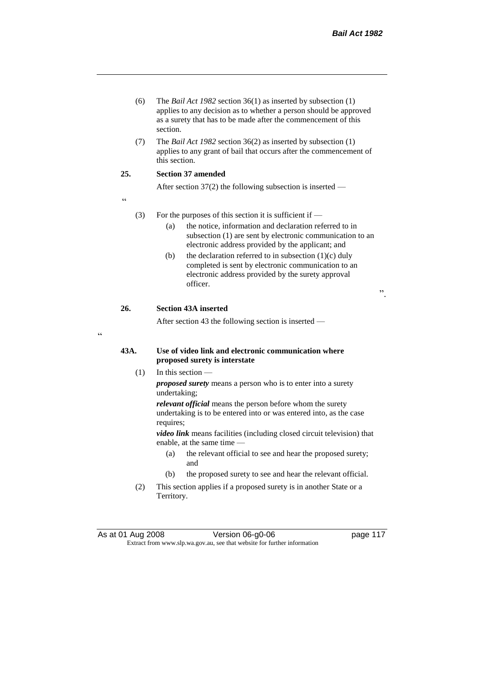- (6) The *Bail Act 1982* section 36(1) as inserted by subsection (1) applies to any decision as to whether a person should be approved as a surety that has to be made after the commencement of this section.
- (7) The *Bail Act 1982* section 36(2) as inserted by subsection (1) applies to any grant of bail that occurs after the commencement of this section.

# **25. Section 37 amended**

After section 37(2) the following subsection is inserted —

"

 $\epsilon$ 

#### (3) For the purposes of this section it is sufficient if  $-$

- (a) the notice, information and declaration referred to in subsection (1) are sent by electronic communication to an electronic address provided by the applicant; and
- (b) the declaration referred to in subsection  $(1)(c)$  duly completed is sent by electronic communication to an electronic address provided by the surety approval officer.

".

## **26. Section 43A inserted**

After section 43 the following section is inserted —

# **43A. Use of video link and electronic communication where proposed surety is interstate**

(1) In this section —

*proposed surety* means a person who is to enter into a surety undertaking;

*relevant official* means the person before whom the surety undertaking is to be entered into or was entered into, as the case requires;

*video link* means facilities (including closed circuit television) that enable, at the same time —

- (a) the relevant official to see and hear the proposed surety; and
- (b) the proposed surety to see and hear the relevant official.
- (2) This section applies if a proposed surety is in another State or a Territory.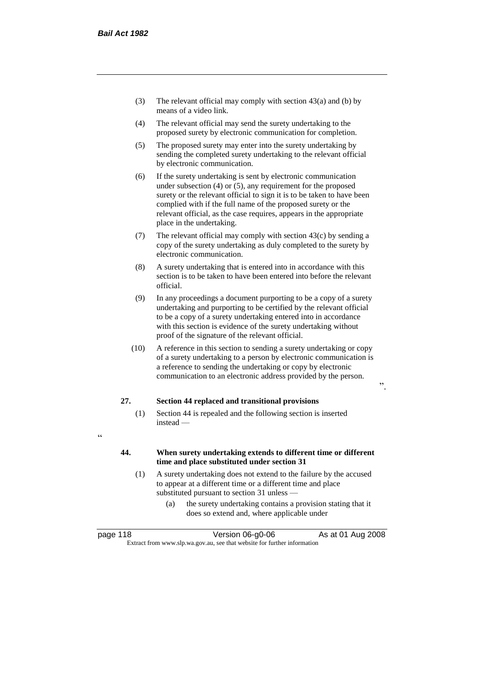- (3) The relevant official may comply with section 43(a) and (b) by means of a video link.
- (4) The relevant official may send the surety undertaking to the proposed surety by electronic communication for completion.
- (5) The proposed surety may enter into the surety undertaking by sending the completed surety undertaking to the relevant official by electronic communication.
- (6) If the surety undertaking is sent by electronic communication under subsection (4) or (5), any requirement for the proposed surety or the relevant official to sign it is to be taken to have been complied with if the full name of the proposed surety or the relevant official, as the case requires, appears in the appropriate place in the undertaking.
- (7) The relevant official may comply with section  $43(c)$  by sending a copy of the surety undertaking as duly completed to the surety by electronic communication.
- (8) A surety undertaking that is entered into in accordance with this section is to be taken to have been entered into before the relevant official.
- (9) In any proceedings a document purporting to be a copy of a surety undertaking and purporting to be certified by the relevant official to be a copy of a surety undertaking entered into in accordance with this section is evidence of the surety undertaking without proof of the signature of the relevant official.
- (10) A reference in this section to sending a surety undertaking or copy of a surety undertaking to a person by electronic communication is a reference to sending the undertaking or copy by electronic communication to an electronic address provided by the person.

".

# **27. Section 44 replaced and transitional provisions**

- (1) Section 44 is repealed and the following section is inserted instead —
- $\epsilon$

# **44. When surety undertaking extends to different time or different time and place substituted under section 31**

- (1) A surety undertaking does not extend to the failure by the accused to appear at a different time or a different time and place substituted pursuant to section 31 unless —
	- (a) the surety undertaking contains a provision stating that it does so extend and, where applicable under

| page 118 | Version 06-g0-06                                                         | As at 01 Aug 2008 |
|----------|--------------------------------------------------------------------------|-------------------|
|          | Extract from www.slp.wa.gov.au, see that website for further information |                   |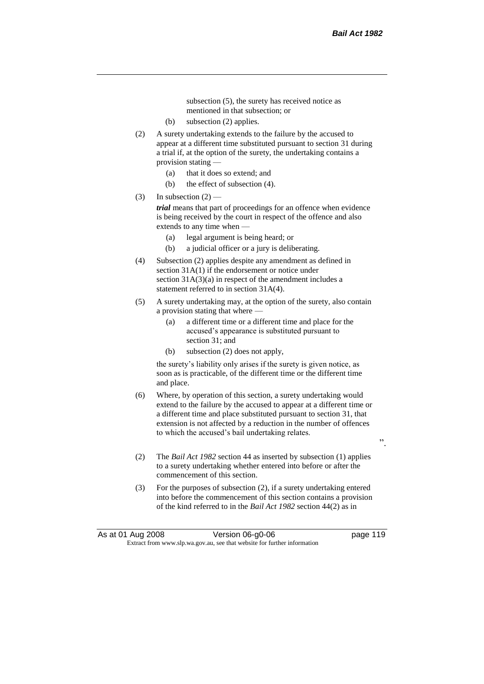subsection (5), the surety has received notice as mentioned in that subsection; or

- (b) subsection (2) applies.
- (2) A surety undertaking extends to the failure by the accused to appear at a different time substituted pursuant to section 31 during a trial if, at the option of the surety, the undertaking contains a provision stating —
	- (a) that it does so extend; and
	- (b) the effect of subsection (4).
- (3) In subsection  $(2)$  —

*trial* means that part of proceedings for an offence when evidence is being received by the court in respect of the offence and also extends to any time when —

- (a) legal argument is being heard; or
- (b) a judicial officer or a jury is deliberating.
- (4) Subsection (2) applies despite any amendment as defined in section 31A(1) if the endorsement or notice under section  $31A(3)(a)$  in respect of the amendment includes a statement referred to in section 31A(4).
- (5) A surety undertaking may, at the option of the surety, also contain a provision stating that where —
	- (a) a different time or a different time and place for the accused's appearance is substituted pursuant to section 31; and
	- (b) subsection (2) does not apply,

the surety's liability only arises if the surety is given notice, as soon as is practicable, of the different time or the different time and place.

- (6) Where, by operation of this section, a surety undertaking would extend to the failure by the accused to appear at a different time or a different time and place substituted pursuant to section 31, that extension is not affected by a reduction in the number of offences to which the accused's bail undertaking relates.
- ".
- (2) The *Bail Act 1982* section 44 as inserted by subsection (1) applies to a surety undertaking whether entered into before or after the commencement of this section.
- (3) For the purposes of subsection (2), if a surety undertaking entered into before the commencement of this section contains a provision of the kind referred to in the *Bail Act 1982* section 44(2) as in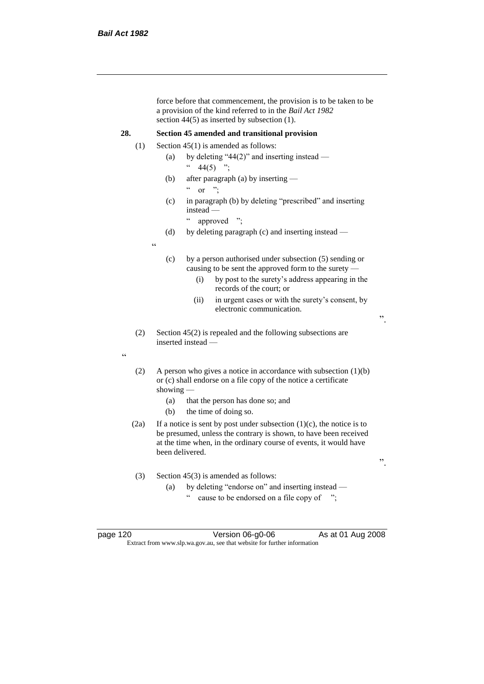force before that commencement, the provision is to be taken to be a provision of the kind referred to in the *Bail Act 1982*  section 44(5) as inserted by subsection (1). **28. Section 45 amended and transitional provision** (1) Section  $45(1)$  is amended as follows: (a) by deleting "44(2)" and inserting instead —  $44(5)$  "; (b) after paragraph (a) by inserting —  $\alpha$  or ": (c) in paragraph (b) by deleting "prescribed" and inserting instead — " approved "; (d) by deleting paragraph (c) and inserting instead — " (c) by a person authorised under subsection (5) sending or causing to be sent the approved form to the surety — (i) by post to the surety's address appearing in the records of the court; or (ii) in urgent cases or with the surety's consent, by electronic communication. ". (2) Section 45(2) is repealed and the following subsections are inserted instead — " (2) A person who gives a notice in accordance with subsection  $(1)(b)$ or (c) shall endorse on a file copy of the notice a certificate showing — (a) that the person has done so; and (b) the time of doing so. (2a) If a notice is sent by post under subsection  $(1)(c)$ , the notice is to be presumed, unless the contrary is shown, to have been received at the time when, in the ordinary course of events, it would have been delivered. ". (3) Section 45(3) is amended as follows: (a) by deleting "endorse on" and inserting instead cause to be endorsed on a file copy of ";

page 120 Version 06-g0-06 As at 01 Aug 2008 Extract from www.slp.wa.gov.au, see that website for further information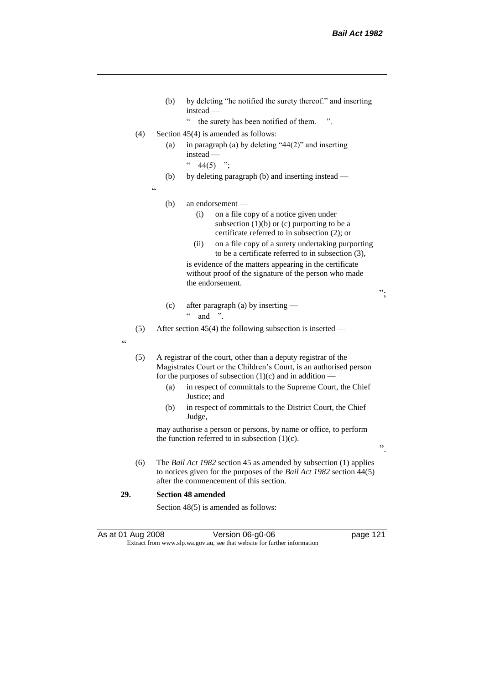- (b) by deleting "he notified the surety thereof." and inserting instead —
	- " the surety has been notified of them. ".
- (4) Section  $45(4)$  is amended as follows:
	- (a) in paragraph (a) by deleting " $44(2)$ " and inserting instead —
		- $44(5)$  ";
	- (b) by deleting paragraph (b) and inserting instead —

 $\epsilon$ 

#### (b) an endorsement —

- (i) on a file copy of a notice given under subsection  $(1)(b)$  or  $(c)$  purporting to be a certificate referred to in subsection (2); or
- (ii) on a file copy of a surety undertaking purporting to be a certificate referred to in subsection (3),

is evidence of the matters appearing in the certificate without proof of the signature of the person who made the endorsement.

";

- (c) after paragraph (a) by inserting  $\ldots$  and ".
- (5) After section 45(4) the following subsection is inserted —

.<br>د د

(5) A registrar of the court, other than a deputy registrar of the Magistrates Court or the Children's Court, is an authorised person for the purposes of subsection  $(1)(c)$  and in addition —

- (a) in respect of committals to the Supreme Court, the Chief Justice; and
- (b) in respect of committals to the District Court, the Chief Judge,

may authorise a person or persons, by name or office, to perform the function referred to in subsection  $(1)(c)$ .

".

(6) The *Bail Act 1982* section 45 as amended by subsection (1) applies to notices given for the purposes of the *Bail Act 1982* section 44(5) after the commencement of this section.

## **29. Section 48 amended**

Section 48(5) is amended as follows:

As at 01 Aug 2008 Version 06-g0-06 page 121 Extract from www.slp.wa.gov.au, see that website for further information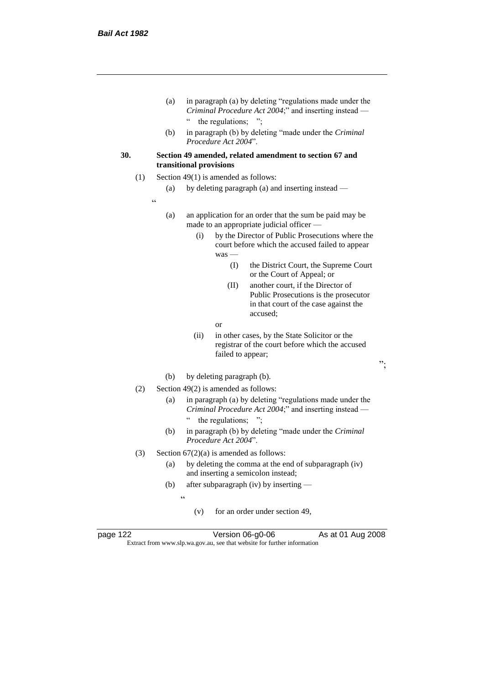- (a) in paragraph (a) by deleting "regulations made under the *Criminal Procedure Act 2004*;" and inserting instead — " the regulations; ";
- (b) in paragraph (b) by deleting "made under the *Criminal Procedure Act 2004*".
- **30. Section 49 amended, related amendment to section 67 and transitional provisions**
	- (1) Section 49(1) is amended as follows:
		- (a) by deleting paragraph (a) and inserting instead —
		- .<br>.
- (a) an application for an order that the sum be paid may be made to an appropriate judicial officer —
	- (i) by the Director of Public Prosecutions where the court before which the accused failed to appear was —
		- (I) the District Court, the Supreme Court or the Court of Appeal; or
		- (II) another court, if the Director of Public Prosecutions is the prosecutor in that court of the case against the accused;
		- or
	- (ii) in other cases, by the State Solicitor or the registrar of the court before which the accused failed to appear;
- ";

- (b) by deleting paragraph (b).
- (2) Section 49(2) is amended as follows:
	- (a) in paragraph (a) by deleting "regulations made under the *Criminal Procedure Act 2004*;" and inserting instead — " the regulations; ";
	- (b) in paragraph (b) by deleting "made under the *Criminal Procedure Act 2004*".
- (3) Section  $67(2)(a)$  is amended as follows:
	- (a) by deleting the comma at the end of subparagraph (iv) and inserting a semicolon instead;
	- (b) after subparagraph (iv) by inserting
		- $\epsilon$ 
			- (v) for an order under section 49,



page 122 Version 06-g0-06 As at 01 Aug 2008 Extract from www.slp.wa.gov.au, see that website for further information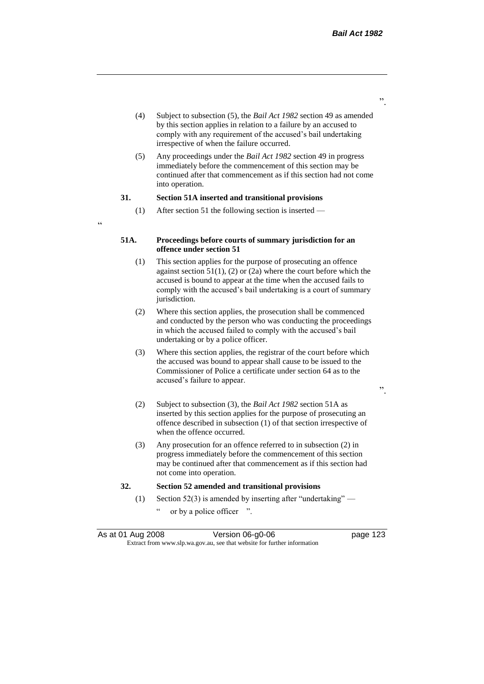- (4) Subject to subsection (5), the *Bail Act 1982* section 49 as amended by this section applies in relation to a failure by an accused to comply with any requirement of the accused's bail undertaking irrespective of when the failure occurred.
- (5) Any proceedings under the *Bail Act 1982* section 49 in progress immediately before the commencement of this section may be continued after that commencement as if this section had not come into operation.

#### **31. Section 51A inserted and transitional provisions**

 $\alpha$ 

(1) After section 51 the following section is inserted —

# **51A. Proceedings before courts of summary jurisdiction for an offence under section 51**

- (1) This section applies for the purpose of prosecuting an offence against section  $51(1)$ , (2) or (2a) where the court before which the accused is bound to appear at the time when the accused fails to comply with the accused's bail undertaking is a court of summary jurisdiction.
- (2) Where this section applies, the prosecution shall be commenced and conducted by the person who was conducting the proceedings in which the accused failed to comply with the accused's bail undertaking or by a police officer.
- (3) Where this section applies, the registrar of the court before which the accused was bound to appear shall cause to be issued to the Commissioner of Police a certificate under section 64 as to the accused's failure to appear.
- (2) Subject to subsection (3), the *Bail Act 1982* section 51A as inserted by this section applies for the purpose of prosecuting an offence described in subsection (1) of that section irrespective of when the offence occurred.
- (3) Any prosecution for an offence referred to in subsection (2) in progress immediately before the commencement of this section may be continued after that commencement as if this section had not come into operation.

## **32. Section 52 amended and transitional provisions**

- (1) Section 52(3) is amended by inserting after "undertaking"
	- or by a police officer ".

".

".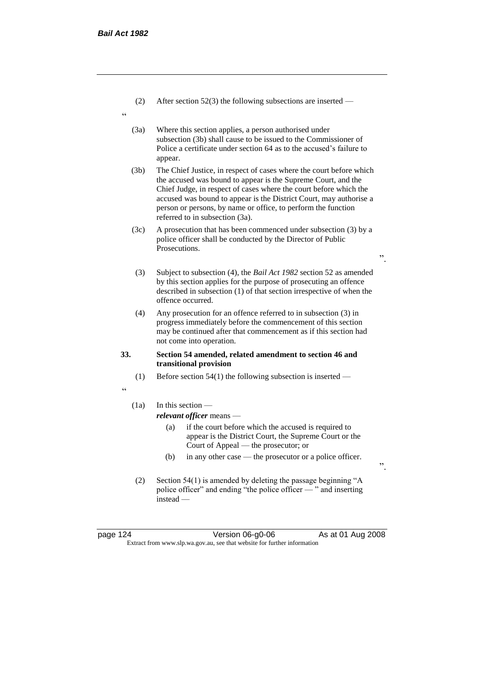- (2) After section 52(3) the following subsections are inserted —
- "
- (3a) Where this section applies, a person authorised under subsection (3b) shall cause to be issued to the Commissioner of Police a certificate under section 64 as to the accused's failure to appear.
- (3b) The Chief Justice, in respect of cases where the court before which the accused was bound to appear is the Supreme Court, and the Chief Judge, in respect of cases where the court before which the accused was bound to appear is the District Court, may authorise a person or persons, by name or office, to perform the function referred to in subsection (3a).
- (3c) A prosecution that has been commenced under subsection (3) by a police officer shall be conducted by the Director of Public Prosecutions.
	- (3) Subject to subsection (4), the *Bail Act 1982* section 52 as amended by this section applies for the purpose of prosecuting an offence described in subsection (1) of that section irrespective of when the offence occurred.
- (4) Any prosecution for an offence referred to in subsection (3) in progress immediately before the commencement of this section may be continued after that commencement as if this section had not come into operation.

## **33. Section 54 amended, related amendment to section 46 and transitional provision**

- (1) Before section 54(1) the following subsection is inserted —
- "

# (1a) In this section —

*relevant officer* means —

- (a) if the court before which the accused is required to appear is the District Court, the Supreme Court or the Court of Appeal — the prosecutor; or
- (b) in any other case the prosecutor or a police officer.
- (2) Section 54(1) is amended by deleting the passage beginning "A police officer" and ending "the police officer — " and inserting instead —

page 124 Version 06-g0-06 As at 01 Aug 2008 Extract from www.slp.wa.gov.au, see that website for further information

".

".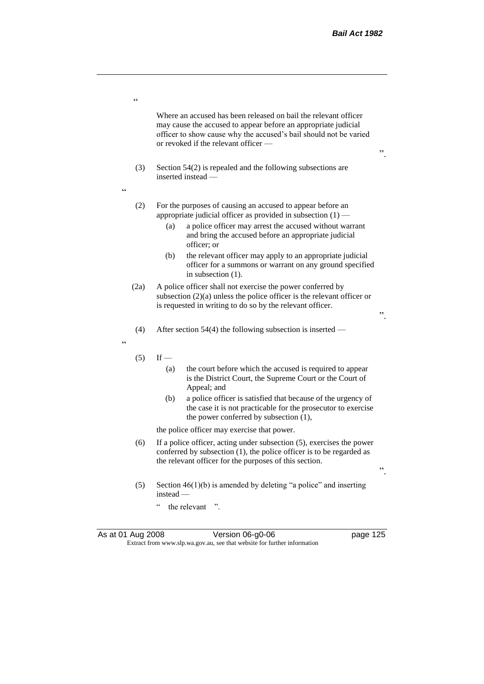".

".

".

Where an accused has been released on bail the relevant officer may cause the accused to appear before an appropriate judicial officer to show cause why the accused's bail should not be varied or revoked if the relevant officer —

- (3) Section 54(2) is repealed and the following subsections are inserted instead —
- $\ddot{\phantom{0}}$

.<br>C

- (2) For the purposes of causing an accused to appear before an appropriate judicial officer as provided in subsection (1) —
	- (a) a police officer may arrest the accused without warrant and bring the accused before an appropriate judicial officer; or
	- (b) the relevant officer may apply to an appropriate judicial officer for a summons or warrant on any ground specified in subsection (1).
- (2a) A police officer shall not exercise the power conferred by subsection (2)(a) unless the police officer is the relevant officer or is requested in writing to do so by the relevant officer.
- (4) After section 54(4) the following subsection is inserted —

"

- $(5)$  If
	- (a) the court before which the accused is required to appear is the District Court, the Supreme Court or the Court of Appeal; and
	- (b) a police officer is satisfied that because of the urgency of the case it is not practicable for the prosecutor to exercise the power conferred by subsection (1),

the police officer may exercise that power.

- (6) If a police officer, acting under subsection (5), exercises the power conferred by subsection (1), the police officer is to be regarded as the relevant officer for the purposes of this section.
- (5) Section  $46(1)(b)$  is amended by deleting "a police" and inserting instead —
	- " the relevant ".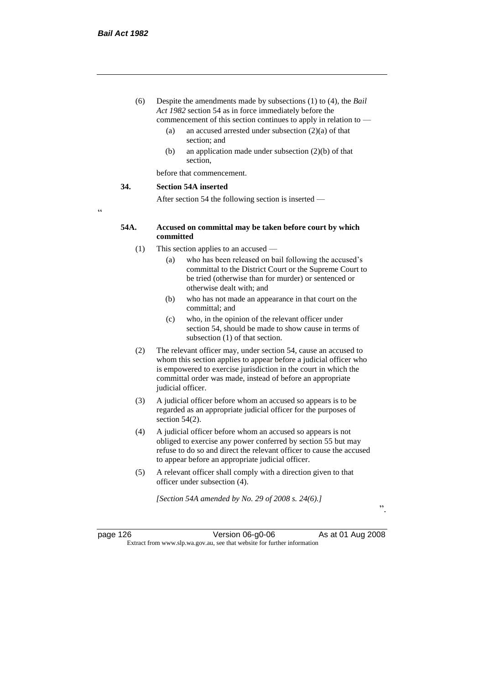- (6) Despite the amendments made by subsections (1) to (4), the *Bail Act 1982* section 54 as in force immediately before the commencement of this section continues to apply in relation to —
	- (a) an accused arrested under subsection (2)(a) of that section; and
	- (b) an application made under subsection (2)(b) of that section,

before that commencement.

#### **34. Section 54A inserted**

After section 54 the following section is inserted —

"

## **54A. Accused on committal may be taken before court by which committed**

- (1) This section applies to an accused
	- (a) who has been released on bail following the accused's committal to the District Court or the Supreme Court to be tried (otherwise than for murder) or sentenced or otherwise dealt with; and
	- (b) who has not made an appearance in that court on the committal; and
	- (c) who, in the opinion of the relevant officer under section 54, should be made to show cause in terms of subsection (1) of that section.
- (2) The relevant officer may, under section 54, cause an accused to whom this section applies to appear before a judicial officer who is empowered to exercise jurisdiction in the court in which the committal order was made, instead of before an appropriate judicial officer.
- (3) A judicial officer before whom an accused so appears is to be regarded as an appropriate judicial officer for the purposes of section 54(2).
- (4) A judicial officer before whom an accused so appears is not obliged to exercise any power conferred by section 55 but may refuse to do so and direct the relevant officer to cause the accused to appear before an appropriate judicial officer.
- (5) A relevant officer shall comply with a direction given to that officer under subsection (4).

*[Section 54A amended by No. 29 of 2008 s. 24(6).]*

page 126 Version 06-g0-06 As at 01 Aug 2008 Extract from www.slp.wa.gov.au, see that website for further information

".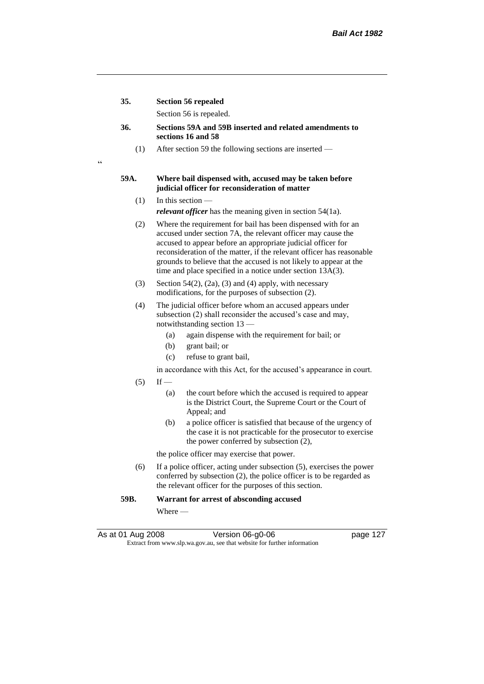**35. Section 56 repealed**

 $\epsilon$ 

Section 56 is repealed.

- **36. Sections 59A and 59B inserted and related amendments to sections 16 and 58**
	- (1) After section 59 the following sections are inserted —

## **59A. Where bail dispensed with, accused may be taken before judicial officer for reconsideration of matter**

- $(1)$  In this section *relevant officer* has the meaning given in section 54(1a).
- (2) Where the requirement for bail has been dispensed with for an accused under section 7A, the relevant officer may cause the accused to appear before an appropriate judicial officer for reconsideration of the matter, if the relevant officer has reasonable grounds to believe that the accused is not likely to appear at the time and place specified in a notice under section 13A(3).
- (3) Section 54(2), (2a), (3) and (4) apply, with necessary modifications, for the purposes of subsection (2).
- (4) The judicial officer before whom an accused appears under subsection (2) shall reconsider the accused's case and may, notwithstanding section 13 —
	- (a) again dispense with the requirement for bail; or
	- (b) grant bail; or
	- (c) refuse to grant bail,
	- in accordance with this Act, for the accused's appearance in court.
- $(5)$  If
	- (a) the court before which the accused is required to appear is the District Court, the Supreme Court or the Court of Appeal; and
	- (b) a police officer is satisfied that because of the urgency of the case it is not practicable for the prosecutor to exercise the power conferred by subsection (2),

the police officer may exercise that power.

(6) If a police officer, acting under subsection (5), exercises the power conferred by subsection (2), the police officer is to be regarded as the relevant officer for the purposes of this section.

## **59B. Warrant for arrest of absconding accused**

Where —

As at 01 Aug 2008 **Version 06-g0-06 Page 127** Extract from www.slp.wa.gov.au, see that website for further information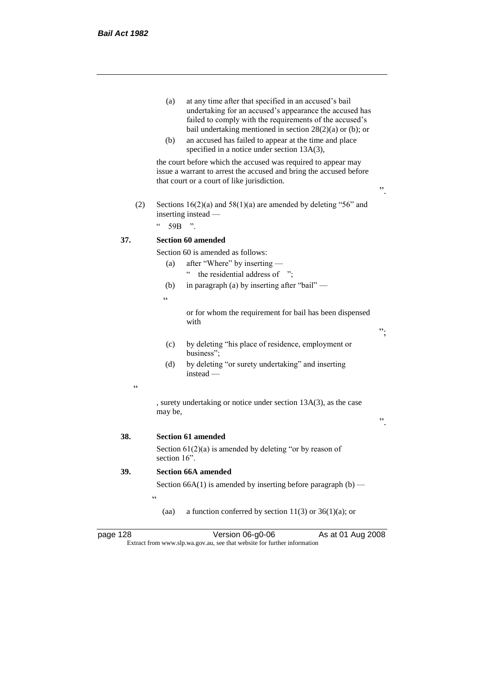- (a) at any time after that specified in an accused's bail undertaking for an accused's appearance the accused has failed to comply with the requirements of the accused's bail undertaking mentioned in section 28(2)(a) or (b); or
- (b) an accused has failed to appear at the time and place specified in a notice under section 13A(3),

the court before which the accused was required to appear may issue a warrant to arrest the accused and bring the accused before that court or a court of like jurisdiction.

".

";

".

(2) Sections  $16(2)(a)$  and  $58(1)(a)$  are amended by deleting "56" and inserting instead —

 $^{\circ}$  59B ".

# **37. Section 60 amended**

Section 60 is amended as follows:

- (a) after "Where" by inserting
	- " the residential address of ";
- (b) in paragraph (a) by inserting after "bail" —
- $\epsilon$

or for whom the requirement for bail has been dispensed with

- (c) by deleting "his place of residence, employment or business";
- (d) by deleting "or surety undertaking" and inserting instead —
- $\epsilon$

, surety undertaking or notice under section 13A(3), as the case may be,

**38. Section 61 amended**

Section  $61(2)(a)$  is amended by deleting "or by reason of section 16".

# **39. Section 66A amended**

 $\epsilon$ 

Section 66A(1) is amended by inserting before paragraph  $(b)$  —

(aa) a function conferred by section  $11(3)$  or  $36(1)(a)$ ; or

| page 128 |  |
|----------|--|
|----------|--|

page 128 Version 06-g0-06 As at 01 Aug 2008 Extract from www.slp.wa.gov.au, see that website for further information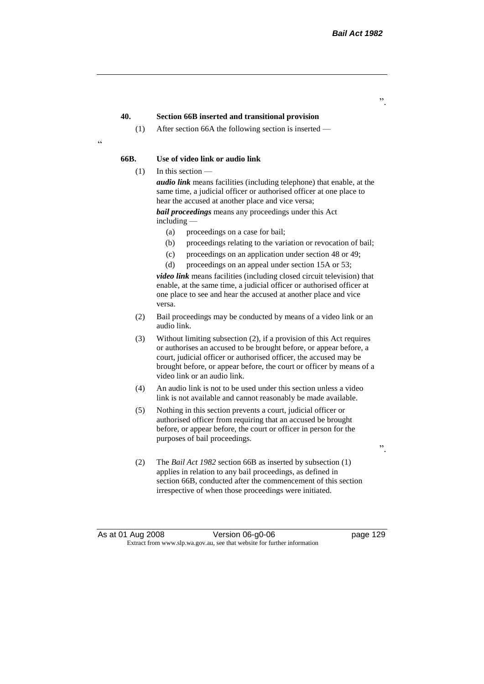".

# **40. Section 66B inserted and transitional provision**

(1) After section 66A the following section is inserted —

<u>،</u>

# **66B. Use of video link or audio link**

(1) In this section —

*audio link* means facilities (including telephone) that enable, at the same time, a judicial officer or authorised officer at one place to hear the accused at another place and vice versa;

*bail proceedings* means any proceedings under this Act including —

- (a) proceedings on a case for bail;
- (b) proceedings relating to the variation or revocation of bail;
- (c) proceedings on an application under section 48 or 49;
- (d) proceedings on an appeal under section 15A or 53;

*video link* means facilities (including closed circuit television) that enable, at the same time, a judicial officer or authorised officer at one place to see and hear the accused at another place and vice versa.

- (2) Bail proceedings may be conducted by means of a video link or an audio link.
- (3) Without limiting subsection (2), if a provision of this Act requires or authorises an accused to be brought before, or appear before, a court, judicial officer or authorised officer, the accused may be brought before, or appear before, the court or officer by means of a video link or an audio link.
- (4) An audio link is not to be used under this section unless a video link is not available and cannot reasonably be made available.
- (5) Nothing in this section prevents a court, judicial officer or authorised officer from requiring that an accused be brought before, or appear before, the court or officer in person for the purposes of bail proceedings.
- (2) The *Bail Act 1982* section 66B as inserted by subsection (1) applies in relation to any bail proceedings, as defined in section 66B, conducted after the commencement of this section irrespective of when those proceedings were initiated.

".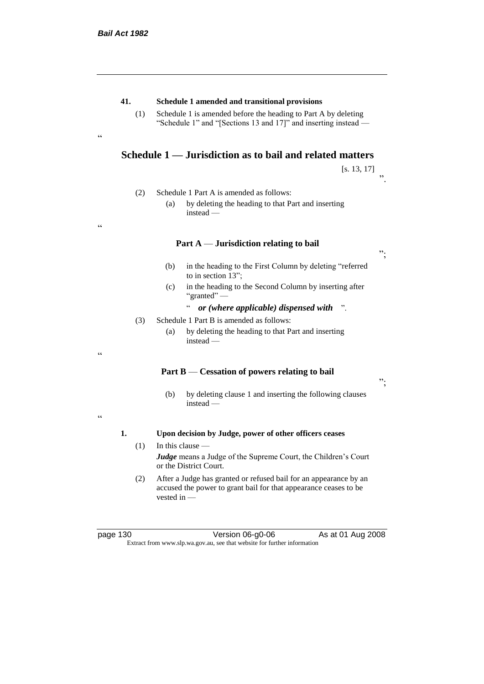.<br>cc

"

# **41. Schedule 1 amended and transitional provisions**

(1) Schedule 1 is amended before the heading to Part A by deleting "Schedule 1" and "[Sections 13 and 17]" and inserting instead —

# **Schedule 1 — Jurisdiction as to bail and related matters**

[s. 13, 17] ".

- (2) Schedule 1 Part A is amended as follows:
	- (a) by deleting the heading to that Part and inserting instead —

## **Part A** — **Jurisdiction relating to bail**

- (b) in the heading to the First Column by deleting "referred to in section 13";
- (c) in the heading to the Second Column by inserting after "granted" —

" *or (where applicable) dispensed with* ".

- (3) Schedule 1 Part B is amended as follows:
	- (a) by deleting the heading to that Part and inserting instead —

# **Part B** — **Cessation of powers relating to bail**

";

";

- (b) by deleting clause 1 and inserting the following clauses instead —
- $\epsilon$

"

## **1. Upon decision by Judge, power of other officers ceases**

- $(1)$  In this clause *Judge* means a Judge of the Supreme Court, the Children's Court or the District Court.
- (2) After a Judge has granted or refused bail for an appearance by an accused the power to grant bail for that appearance ceases to be vested in —

page 130 Version 06-g0-06 As at 01 Aug 2008 Extract from www.slp.wa.gov.au, see that website for further information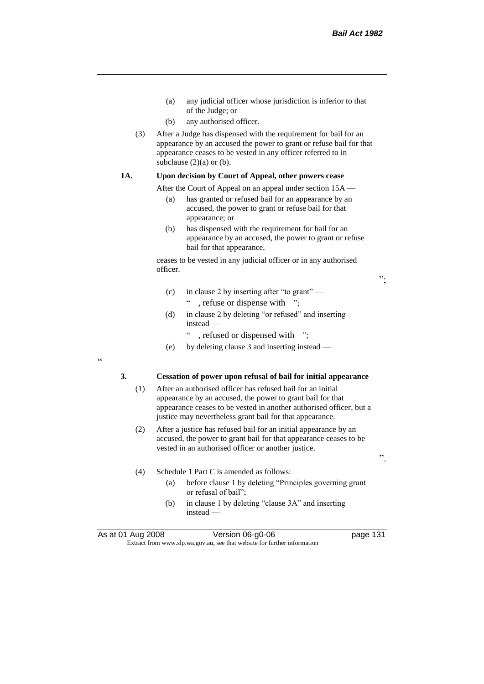";

".

- (a) any judicial officer whose jurisdiction is inferior to that of the Judge; or
- (b) any authorised officer.
- (3) After a Judge has dispensed with the requirement for bail for an appearance by an accused the power to grant or refuse bail for that appearance ceases to be vested in any officer referred to in subclause  $(2)(a)$  or  $(b)$ .

# **1A. Upon decision by Court of Appeal, other powers cease**

After the Court of Appeal on an appeal under section 15A —

- (a) has granted or refused bail for an appearance by an accused, the power to grant or refuse bail for that appearance; or
- (b) has dispensed with the requirement for bail for an appearance by an accused, the power to grant or refuse bail for that appearance,

ceases to be vested in any judicial officer or in any authorised officer.

- (c) in clause 2 by inserting after "to grant" " , refuse or dispense with ";
- (d) in clause 2 by deleting "or refused" and inserting instead —
	- " , refused or dispensed with ";
- (e) by deleting clause 3 and inserting instead —

"

#### **3. Cessation of power upon refusal of bail for initial appearance**

- (1) After an authorised officer has refused bail for an initial appearance by an accused, the power to grant bail for that appearance ceases to be vested in another authorised officer, but a justice may nevertheless grant bail for that appearance.
- (2) After a justice has refused bail for an initial appearance by an accused, the power to grant bail for that appearance ceases to be vested in an authorised officer or another justice.
- (4) Schedule 1 Part C is amended as follows:
	- (a) before clause 1 by deleting "Principles governing grant or refusal of bail";
	- (b) in clause 1 by deleting "clause 3A" and inserting instead —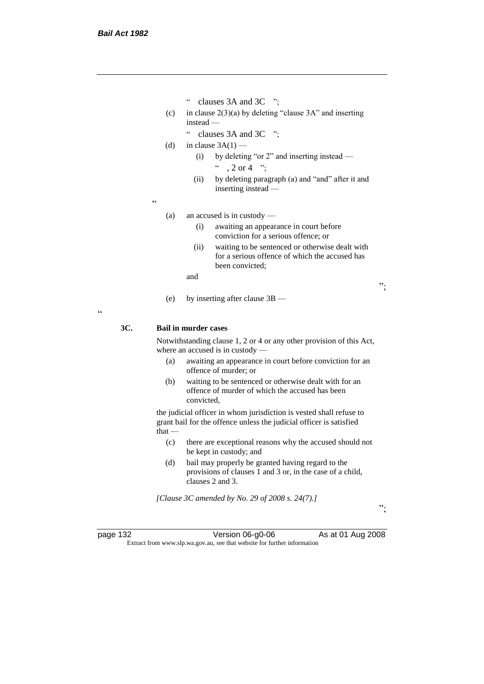- " clauses 3A and 3C ";
- (c) in clause  $2(3)(a)$  by deleting "clause 3A" and inserting instead —
	- " clauses 3A and 3C ";

(d) in clause  $3A(1)$  —

- (i) by deleting "or 2" and inserting instead  $\degree$  , 2 or 4  $\degree$  :
- (ii) by deleting paragraph (a) and "and" after it and inserting instead —

 $\epsilon$ 

- (a) an accused is in custody
	- (i) awaiting an appearance in court before conviction for a serious offence; or
	- (ii) waiting to be sentenced or otherwise dealt with for a serious offence of which the accused has been convicted;

and

(e) by inserting after clause 3B —

 $\epsilon$ 

# **3C. Bail in murder cases**

Notwithstanding clause 1, 2 or 4 or any other provision of this Act, where an accused is in custody —

- (a) awaiting an appearance in court before conviction for an offence of murder; or
- (b) waiting to be sentenced or otherwise dealt with for an offence of murder of which the accused has been convicted,

the judicial officer in whom jurisdiction is vested shall refuse to grant bail for the offence unless the judicial officer is satisfied that —

- (c) there are exceptional reasons why the accused should not be kept in custody; and
- (d) bail may properly be granted having regard to the provisions of clauses 1 and 3 or, in the case of a child, clauses 2 and 3.

*[Clause 3C amended by No. 29 of 2008 s. 24(7).]*

page 132 Version 06-g0-06 As at 01 Aug 2008 Extract from www.slp.wa.gov.au, see that website for further information

";

";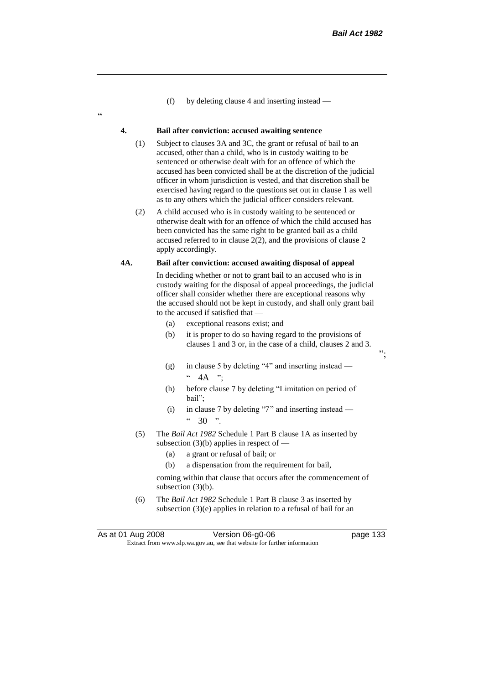";

(f) by deleting clause 4 and inserting instead —

#### **4. Bail after conviction: accused awaiting sentence**

.<br>c

- (1) Subject to clauses 3A and 3C, the grant or refusal of bail to an accused, other than a child, who is in custody waiting to be sentenced or otherwise dealt with for an offence of which the accused has been convicted shall be at the discretion of the judicial officer in whom jurisdiction is vested, and that discretion shall be exercised having regard to the questions set out in clause 1 as well as to any others which the judicial officer considers relevant.
- (2) A child accused who is in custody waiting to be sentenced or otherwise dealt with for an offence of which the child accused has been convicted has the same right to be granted bail as a child accused referred to in clause 2(2), and the provisions of clause 2 apply accordingly.

## **4A. Bail after conviction: accused awaiting disposal of appeal**

In deciding whether or not to grant bail to an accused who is in custody waiting for the disposal of appeal proceedings, the judicial officer shall consider whether there are exceptional reasons why the accused should not be kept in custody, and shall only grant bail to the accused if satisfied that —

- (a) exceptional reasons exist; and
- (b) it is proper to do so having regard to the provisions of clauses 1 and 3 or, in the case of a child, clauses 2 and 3.
- (g) in clause 5 by deleting "4" and inserting instead  $\cdot \cdot$  4A ";
- (h) before clause 7 by deleting "Limitation on period of bail";
- (i) in clause 7 by deleting "7" and inserting instead  $"30"$ .
- (5) The *Bail Act 1982* Schedule 1 Part B clause 1A as inserted by subsection  $(3)(b)$  applies in respect of  $-$ 
	- (a) a grant or refusal of bail; or
	- (b) a dispensation from the requirement for bail,

coming within that clause that occurs after the commencement of subsection  $(3)(b)$ .

(6) The *Bail Act 1982* Schedule 1 Part B clause 3 as inserted by subsection (3)(e) applies in relation to a refusal of bail for an

As at 01 Aug 2008 Version 06-g0-06 page 133 Extract from www.slp.wa.gov.au, see that website for further information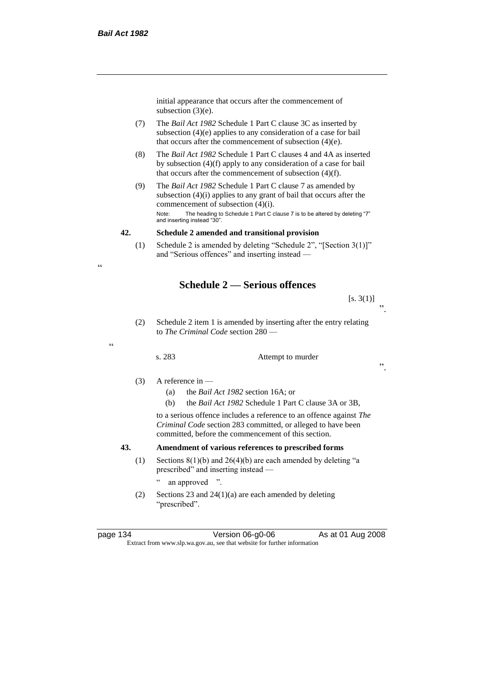initial appearance that occurs after the commencement of subsection (3)(e).

- (7) The *Bail Act 1982* Schedule 1 Part C clause 3C as inserted by subsection (4)(e) applies to any consideration of a case for bail that occurs after the commencement of subsection (4)(e).
- (8) The *Bail Act 1982* Schedule 1 Part C clauses 4 and 4A as inserted by subsection (4)(f) apply to any consideration of a case for bail that occurs after the commencement of subsection (4)(f).
- (9) The *Bail Act 1982* Schedule 1 Part C clause 7 as amended by subsection (4)(i) applies to any grant of bail that occurs after the commencement of subsection (4)(i). Note: The heading to Schedule 1 Part C clause 7 is to be altered by deleting "7" and inserting instead "30".

#### **42. Schedule 2 amended and transitional provision**

(1) Schedule 2 is amended by deleting "Schedule 2", "[Section 3(1)]" and "Serious offences" and inserting instead —

# **Schedule 2 — Serious offences**

 $[s. 3(1)]$ ".

(2) Schedule 2 item 1 is amended by inserting after the entry relating to *The Criminal Code* section 280 —

#### s. 283 Attempt to murder

".

# $(3)$  A reference in —

- (a) the *Bail Act 1982* section 16A; or
- (b) the *Bail Act 1982* Schedule 1 Part C clause 3A or 3B,

to a serious offence includes a reference to an offence against *The Criminal Code* section 283 committed, or alleged to have been committed, before the commencement of this section.

# **43. Amendment of various references to prescribed forms**

(1) Sections  $8(1)(b)$  and  $26(4)(b)$  are each amended by deleting "a prescribed" and inserting instead —

" an approved ".

(2) Sections 23 and 24(1)(a) are each amended by deleting "prescribed".

page 134 Version 06-g0-06 As at 01 Aug 2008 Extract from www.slp.wa.gov.au, see that website for further information

 $\epsilon$ 

"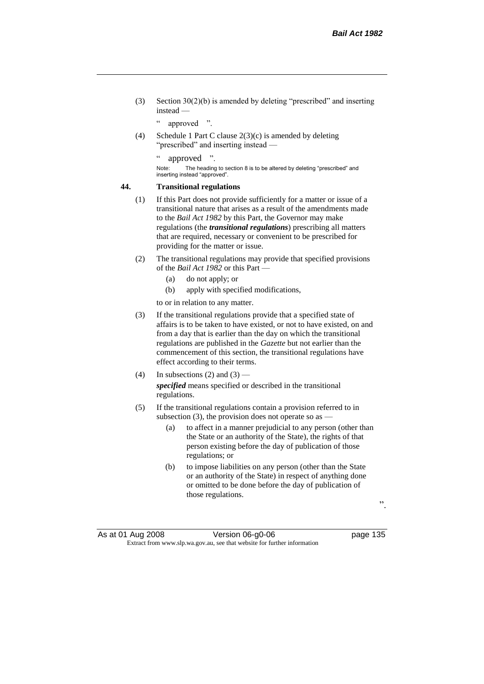(3) Section 30(2)(b) is amended by deleting "prescribed" and inserting instead —

" approved ".

(4) Schedule 1 Part C clause 2(3)(c) is amended by deleting "prescribed" and inserting instead —

" approved ".

Note: The heading to section 8 is to be altered by deleting "prescribed" and inserting instead "approved".

### **44. Transitional regulations**

- (1) If this Part does not provide sufficiently for a matter or issue of a transitional nature that arises as a result of the amendments made to the *Bail Act 1982* by this Part, the Governor may make regulations (the *transitional regulations*) prescribing all matters that are required, necessary or convenient to be prescribed for providing for the matter or issue.
- (2) The transitional regulations may provide that specified provisions of the *Bail Act 1982* or this Part —
	- (a) do not apply; or
	- (b) apply with specified modifications,

to or in relation to any matter.

- (3) If the transitional regulations provide that a specified state of affairs is to be taken to have existed, or not to have existed, on and from a day that is earlier than the day on which the transitional regulations are published in the *Gazette* but not earlier than the commencement of this section, the transitional regulations have effect according to their terms.
- (4) In subsections (2) and (3) *specified* means specified or described in the transitional regulations.
- (5) If the transitional regulations contain a provision referred to in subsection (3), the provision does not operate so as  $-$ 
	- (a) to affect in a manner prejudicial to any person (other than the State or an authority of the State), the rights of that person existing before the day of publication of those regulations; or
	- (b) to impose liabilities on any person (other than the State or an authority of the State) in respect of anything done or omitted to be done before the day of publication of those regulations.

".

As at 01 Aug 2008 **Version 06-g0-06 Page 135** Extract from www.slp.wa.gov.au, see that website for further information